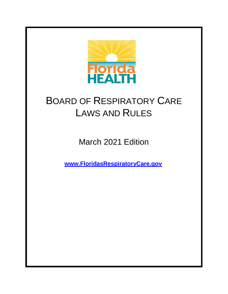

# BOARD OF RESPIRATORY CARE LAWS AND RULES

March 2021 Edition

**[www.FloridasRespiratoryCare.gov](http://www.floridasrespiratorycare.gov/)**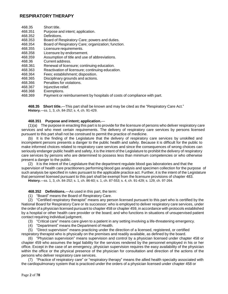# **RESPIRATORYTHERAPY**

- 468.35 Short title.
- 468.351 Purpose and intent; application.
- 468.352 Definitions.
- 468.353 Board of Respiratory Care; powers and duties.
- 468.354 Board of Respiratory Care; organization; function.
- 468.355 Licensure requirements.
- 468.358 Licensure by endorsement.
- 468.359 Assumption of title and use of abbreviations.
- 468.36 Current address.
- 468.361 Renewal of licensure; continuing education.
- 468.363 Reactivation of licensure; continuing education.
- 468.364 Fees; establishment; disposition.
- 468.365 Disciplinary grounds and actions.
- 468.366 Penalties for violations.
- 468.367 Injunctive relief.
- 468.368 Exemptions.
- 468.369 Payment or reimbursement by hospitals of costs of compliance with part.

**468.35 Short title.**—This part shall be known and may be cited as the "Respiratory Care Act." **History.**—ss. 1, 3, ch. 84-252; s. 4, ch. 91-429.

#### **468.351 Purpose and intent; application.**—

(1)(a) The purpose in enacting this part is to provide for the licensure of persons who deliver respiratory care services and who meet certain requirements. The delivery of respiratory care services by persons licensed pursuant to this part shall not be construed to permit the practice of medicine.

(b) It is the finding of the Legislature that the delivery of respiratory care services by unskilled and incompetent persons presents a danger to the public health and safety. Because it is difficult for the public to make informed choices related to respiratory care services and since the consequences of wrong choices can seriously endanger public health and safety, it is the intent of the Legislature to prohibit the delivery of respiratory care services by persons who are determined to possess less than minimum competencies or who otherwise present a danger to the public.

(2) It is the intent of the Legislature that the department regulate blood gas laboratories and that the supervision of health care practitioners performing blood gas analysis and specimen collection for the purpose of such analysis be specified in rules pursuant to the applicable practice act. Further, it is the intent of the Legislature that personnel licensed pursuant to this part shall be exempt from the licensure provisions of chapter 483.

**History.**—ss. 1, 3, ch. 84-252; s. 1, ch. 86-60; s. 1, ch. 87-553; s. 4, ch. 91-429; s. 129, ch. 97-264.

**468.352 Definitions.**—As used in this part, the term:

(1) "Board" means the Board of Respiratory Care.

(2) "Certified respiratory therapist" means any person licensed pursuant to this part who is certified by the National Board for Respiratory Care or its successor; who is employed to deliver respiratory care services, under the order of a physician licensed pursuant to chapter 458 or chapter 459, in accordance with protocols established by a hospital or other health care provider or the board; and who functions in situations of unsupervised patient contact requiring individual judgment.

(3) "Critical care" means care given to a patient in any setting involving a life-threatening emergency.

(4) "Department" means the Department of Health.

(5) "Direct supervision" means practicing under the direction of a licensed, registered, or certified

respiratory therapist who is physically on the premises and readily available, as defined by the board.

(6) "Physician supervision" means supervision and control by a physician licensed under chapter 458 or chapter 459 who assumes the legal liability for the services rendered by the personnel employed in his or her office. Except in the case of an emergency, physician supervision requires the easy availability of the physician within the office or the physical presence of the physician for consultation and direction of the actions of the persons who deliver respiratory care services.

(7) "Practice of respiratory care" or "respiratory therapy" means the allied health specialty associated with the cardiopulmonary system that is practiced under the orders of a physician licensed under chapter 458 or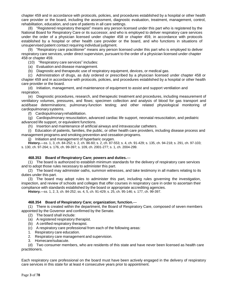chapter 459 and in accordance with protocols, policies, and procedures established by a hospital or other health care provider or the board, including the assessment, diagnostic evaluation, treatment, management, control, rehabilitation, education, and care of patients in all care settings.

(8) "Registered respiratory therapist" means any person licensed under this part who is registered by the National Board for Respiratory Care or its successor, and who is employed to deliver respiratory care services under the order of a physician licensed under chapter 458 or chapter 459, in accordance with protocols established by a hospital or other health care provider or the board, and who functions in situations of unsupervised patient contact requiring individual judgment.

(9) "Respiratory care practitioner" means any person licensed under this part who is employed to deliver respiratory care services, under direct supervision, pursuant to the order of a physician licensed under chapter 458 or chapter 459.

(10) "Respiratory care services" includes:

(a) Evaluation and disease management.

(b) Diagnostic and therapeutic use of respiratory equipment, devices, or medical gas.

(c) Administration of drugs, as duly ordered or prescribed by a physician licensed under chapter 458 or chapter 459 and in accordance with protocols, policies, and procedures established by a hospital or other health care provider or the board.

(d) Initiation, management, and maintenance of equipment to assist and support ventilation and respiration.

(e) Diagnostic procedures, research, and therapeutic treatment and procedures, including measurement of ventilatory volumes, pressures, and flows; specimen collection and analysis of blood for gas transport and acid/base determinations; pulmonary-function testing; and other related physiological monitoring of cardiopulmonary systems.

(f) Cardiopulmonary rehabilitation.

(g) Cardiopulmonary resuscitation, advanced cardiac life support, neonatal resuscitation, and pediatric advanced life support, or equivalent functions.

(h) Insertion and maintenance of artificial airways and intravascular catheters.

(i) Education of patients, families, the public, or other health care providers, including disease process and management programs and smoking prevention and cessation programs.

(j) Initiation and management of hyperbaric oxygen.

**History.**—ss. 1, 3, ch. 84-252; s. 2, ch. 86-60; s. 2, ch. 87-553; s. 4, ch. 91-429; s. 135, ch. 94-218; s. 291, ch. 97-103; s. 130, ch. 97-264; s. 176, ch. 99-397; s. 109, ch. 2001-277; s. 1, ch. 2004-299.

#### **468.353 Board of Respiratory Care; powers and duties.**—

(1) The board is authorized to establish minimum standards for the delivery of respiratory care services and to adopt those rules necessary to administer this part.

(2) The board may administer oaths, summon witnesses, and take testimony in all matters relating to its duties under this part.

(3) The board may adopt rules to administer this part, including rules governing the investigation, inspection, and review of schools and colleges that offer courses in respiratory care in order to ascertain their compliance with standards established by the board or appropriate accrediting agencies.

**History.**—ss. 1, 2, 3, ch. 84-252; ss. 4, 5, ch. 91-429; s. 25, ch. 95-146; s. 177, ch. 99-397.

#### **468.354 Board of Respiratory Care; organization; function.**—

(1) There is created within the department, the Board of Respiratory Care, composed of seven members appointed by the Governor and confirmed by the Senate.

- (2) The board shall include:
- (a) A registered respiratory therapist.
- (b) A certified respiratory therapist.
- (c) A respiratory care professional from each of the following areas:
- 1. Respiratory care education.
- 2. Respiratory care management and supervision.
- 3. Homecare/subacute.

(d) Two consumer members, who are residents of this state and have never been licensed as health care practitioners.

Each respiratory care professional on the board must have been actively engaged in the delivery of respiratory care services in this state for at least 4 consecutive years prior to appointment.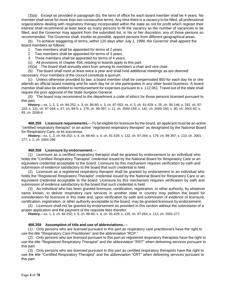(3)(a) Except as provided in paragraph (b), the term of office for each board member shall be 4 years. No member shall serve for more than two consecutive terms. Any time there is a vacancy to be filled, all professional organizations dealing with respiratory therapy incorporated within the state as not for profit which register their interest shall recommend at least twice as many persons to fill the vacancy as the number of vacancies to be filled, and the Governor may appoint from the submitted list, in his or her discretion, any of those persons so recommended. The Governor shall, insofar as possible, appoint persons from different geographical areas.

(b) To achieve staggering of terms, within 120 days after July 1, 1999, the Governor shall appoint the board members as follows:

- 1. Two members shall be appointed for terms of 2 years.
- 2. Two members shall be appointed for terms of 3 years.
- 3. Three members shall be appointed for terms of 4 years.
- (c) All provisions of chapter 456, relating to boards apply to this part.
- (4)(a) The board shall annually elect from among its members a chair and vice chair.

(b) The board shall meet at least twice a year and shall hold additional meetings as are deemed

necessary. Four members of the council constitute a quorum.

(c) Unless otherwise provided by law, a board member shall be compensated \$50 for each day he or she attends an official board meeting and for each day he or she participates in any other board business. A board member shall also be entitled to reimbursement for expenses pursuant to s. 112.061. Travel out of the state shall require the prior approval of the State Surgeon General.

(5) The board may recommend to the department a code of ethics for those persons licensed pursuant to this part.

**History.**—ss. 1, 2, 3, ch. 84-252; s. 3, ch. 86-60; s. 3, ch. 87-553; ss. 4, 5, ch. 91-429; s. 25, ch. 95-146; s. 292, ch. 97- 103; s. 131, ch. 97-264; s. 57, ch. 99-5; s. 178, ch. 99-397; s. 11, ch. 2000-159; s. 142, ch. 2000-160; s. 80, ch. 2001-62; s. 93, ch. 2008-6.

**468.355 Licensure requirements.**—To be eligible for licensure by the board, an applicant must be an active "certified respiratory therapist" or an active "registered respiratory therapist" as designated by the National Board for Respiratory Care, or its successor.

**History.**—ss. 1, 3, ch. 84-252; s. 4, ch. 86-60; s. 4, ch. 91-429; s. 132, ch. 97-264; s. 179, ch. 99-397; s. 110, ch. 2001- 277; s. 2, ch. 2004-299.

#### **468.358 Licensure by endorsement.**—

(1) Licensure as a certified respiratory therapist shall be granted by endorsement to an individual who holds the "Certified Respiratory Therapist" credential issued by the National Board for Respiratory Care or an equivalent credential acceptable to the board. Licensure by this mechanism requires verification by oath and submission of evidence satisfactory to the board that such credential is held.

(2) Licensure as a registered respiratory therapist shall be granted by endorsement to an individual who holds the "Registered Respiratory Therapist" credential issued by the National Board for Respiratory Care or an equivalent credential acceptable to the board. Licensure by this mechanism requires verification by oath and submission of evidence satisfactory to the board that such credential is held.

(3) An individual who has been granted licensure, certification, registration, or other authority, by whatever name known, to deliver respiratory care services in another state or country may petition the board for consideration for licensure in this state and, upon verification by oath and submission of evidence of licensure, certification, registration, or other authority acceptable to the board, may be granted licensure by endorsement.

(4) Licensure shall not be granted by endorsement as provided in this section without the submission of a proper application and the payment of the requisite fees therefor.

**History.**—ss. 1, 3, ch. 84-252; s. 6, ch. 86-60; s. 4, ch. 91-429; s. 135, ch. 97-264; s. 112, ch. 2001-277.

#### **468.359 Assumption of title and use of abbreviations.**—

(1) Only persons who are licensed pursuant to this part as respiratory care practitioners have the right to use the title "Respiratory Care Practitioner" and the abbreviation "RCP."

(2) Only persons who are licensed pursuant to this part as registered respiratory therapists have the right to use the title "Registered Respiratory Therapist" and the abbreviation "RRT" when delivering services pursuant to this part.

(3) Only persons who are licensed pursuant to this part as certified respiratory therapists have the right to use the title "Certified Respiratory Therapist" and the abbreviation "CRT" when delivering services pursuant to this part.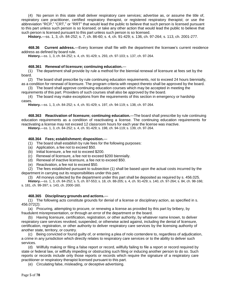(4) No person in this state shall deliver respiratory care services; advertise as, or assume the title of, respiratory care practitioner, certified respiratory therapist, or registered respiratory therapist; or use the abbreviation "RCP," "CRT," or "RRT" that would lead the public to believe that such person is licensed pursuant to this part unless such person is so licensed; or take any other action that would lead the public to believe that such person is licensed pursuant to this part unless such person is so licensed.

**History.**—ss. 1, 3, ch. 84-252; s. 7, ch. 86-60; s. 4, ch. 91-429; s. 136, ch. 97-264; s. 113, ch. 2001-277.

**468.36 Current address.**—Every licensee shall file with the department the licensee's current residence address as defined by board rule.

**History.**—ss. 1, 3, ch. 84-252; s. 4, ch. 91-429; s. 293, ch. 97-103; s. 137, ch. 97-264.

#### **468.361 Renewal of licensure; continuing education.**—

(1) The department shall provide by rule a method for the biennial renewal of licensure at fees set by the board.

(2) The board shall prescribe by rule continuing education requirements, not to exceed 24 hours biennially, as a condition for renewal of licensure. The program criteria with respect thereto shall be approved by the board.

(3) The board shall approve continuing education courses which may be accepted in meeting the requirements of this part. Providers of such courses shall also be approved by the board.

(4) The board may make exceptions from the requirements of this section in emergency or hardship cases.

**History.**—ss. 1, 3, ch. 84-252; s. 4, ch. 91-429; s. 197, ch. 94-119; s. 138, ch. 97-264.

**468.363 Reactivation of licensure; continuing education.**—The board shall prescribe by rule continuing education requirements as a condition of reactivating a license. The continuing education requirements for reactivating a license may not exceed 12 classroom hours for each year the license was inactive.

**History.**—ss. 1, 3, ch. 84-252; s. 4, ch. 91-429; s. 198, ch. 94-119; s. 139, ch. 97-264.

#### **468.364 Fees; establishment; disposition.**—

- (1) The board shall establish by rule fees for the following purposes:
- (a) Application, a fee not to exceed \$50.
- (b) Initial licensure, a fee not to exceed \$200.
- (c) Renewal of licensure, a fee not to exceed \$200 biennially.
- (d) Renewal of inactive licensure, a fee not to exceed \$50.
- (e) Reactivation, a fee not to exceed \$50.

(2) The fees established pursuant to subsection (1) shall be based upon the actual costs incurred by the department in carrying out its responsibilities under this part.

(3) All moneys collected by the department under this part shall be deposited as required by s. 456.025.

**History.**—ss. 1, 3, ch. 84-252; s. 5, ch. 87-553; s. 18, ch. 88-205; s. 4, ch. 91-429; s. 140, ch. 97-264; s. 84, ch. 98-166; s. 181, ch. 99-397; s. 143, ch. 2000-160.

#### **468.365 Disciplinary grounds and actions.**—

(1) The following acts constitute grounds for denial of a license or disciplinary action, as specified in s. 456.072(2):

(a) Procuring, attempting to procure, or renewing a license as provided by this part by bribery, by fraudulent misrepresentation, or through an error of the department or the board.

(b) Having licensure, certification, registration, or other authority, by whatever name known, to deliver respiratory care services revoked, suspended, or otherwise acted against, including the denial of licensure, certification, registration, or other authority to deliver respiratory care services by the licensing authority of another state, territory, or country.

(c) Being convicted or found guilty of, or entering a plea of nolo contendere to, regardless of adjudication, a crime in any jurisdiction which directly relates to respiratory care services or to the ability to deliver such services.

(d) Willfully making or filing a false report or record, willfully failing to file a report or record required by state or federal law, or willfully impeding or obstructing such filing or inducing another person to do so. Such reports or records include only those reports or records which require the signature of a respiratory care practitioner or respiratory therapist licensed pursuant to this part.

(e) Circulating false, misleading, or deceptive advertising.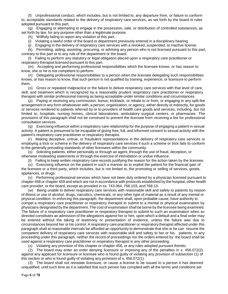(f) Unprofessional conduct, which includes, but is not limited to, any departure from, or failure to conform to, acceptable standards related to the delivery of respiratory care services, as set forth by the board in rules adopted pursuant to this part.

(g) Engaging or attempting to engage in the possession, sale, or distribution of controlled substances, as set forth by law, for any purpose other than a legitimate purpose.

(h) Willfully failing to report any violation of this part.

(i) Violating a lawful order of the board or department previously entered in a disciplinary hearing.

(j) Engaging in the delivery of respiratory care services with a revoked, suspended, or inactive license.

(k) Permitting, aiding, assisting, procuring, or advising any person who is not licensed pursuant to this part, contrary to this part or to any rule of the department or the board.

(l) Failing to perform any statutory or legal obligation placed upon a respiratory care practitioner or respiratory therapist licensed pursuant to this part.

(m) Accepting and performing professional responsibilities which the licensee knows, or has reason to know, she or he is not competent to perform.

(n) Delegating professional responsibilities to a person when the licensee delegating such responsibilities knows, or has reason to know, that such person is not qualified by training, experience, or licensure to perform them.

(o) Gross or repeated malpractice or the failure to deliver respiratory care services with that level of care, skill, and treatment which is recognized by a reasonably prudent respiratory care practitioner or respiratory therapist with similar professional training as being acceptable under similar conditions and circumstances.

(p) Paying or receiving any commission, bonus, kickback, or rebate to or from, or engaging in any split-fee arrangement in any form whatsoever with, a person, organization, or agency, either directly or indirectly, for goods or services rendered to patients referred by or to providers of health care goods and services, including, but not limited to, hospitals, nursing homes, clinical laboratories, ambulatory surgical centers, or pharmacies. The provisions of this paragraph shall not be construed to prevent the licensee from receiving a fee for professional consultation services.

(q) Exercising influence within a respiratory care relationship for the purpose of engaging a patient in sexual activity. A patient is presumed to be incapable of giving free, full, and informed consent to sexual activity with the patient's respiratory care practitioner or respiratory therapist.

(r) Making deceptive, untrue, or fraudulent representations in the delivery of respiratory care services or employing a trick or scheme in the delivery of respiratory care services if such a scheme or trick fails to conform to the generally prevailing standards of other licensees within the community.

(s) Soliciting patients, either personally or through an agent, through the use of fraud, deception, or otherwise misleading statements or through the exercise of intimidation or undue influence.

(t) Failing to keep written respiratory care records justifying the reason for the action taken by the licensee.

(u) Exercising influence on the patient in such a manner as to exploit the patient for the financial gain of the licensee or a third party, which includes, but is not limited to, the promoting or selling of services, goods, appliances, or drugs.

(v) Performing professional services which have not been duly ordered by a physician licensed pursuant to chapter 458 or chapter 459 and which are not in accordance with protocols established by the hospital, other health care provider, or the board, except as provided in ss. 743.064, 766.103, and 768.13.

(w) Being unable to deliver respiratory care services with reasonable skill and safety to patients by reason of illness or use of alcohol, drugs, narcotics, chemicals, or any other type of material as a result of any mental or physical condition. In enforcing this paragraph, the department shall, upon probable cause, have authority to compel a respiratory care practitioner or respiratory therapist to submit to a mental or physical examination by physicians designated by the department. The cost of examination shall be borne by the licensee being examined. The failure of a respiratory care practitioner or respiratory therapist to submit to such an examination when so directed constitutes an admission of the allegations against her or him, upon which a default and a final order may be entered without the taking of testimony or presentation of evidence, unless the failure was due to circumstances beyond her or his control. A respiratory care practitioner or respiratory therapist affected under this paragraph shall at reasonable intervals be afforded an opportunity to demonstrate that she or he can resume the competent delivery of respiratory care services with reasonable skill and safety to her or his patients. In any proceeding under this paragraph, neither the record of proceedings nor the orders entered by the board shall be used against a respiratory care practitioner or respiratory therapist in any other proceeding.

(x) Violating any provision of this chapter or chapter 456, or any rules adopted pursuant thereto.

(2) The board may enter an order denying licensure or imposing any of the penalties in s. 456.072(2) against any applicant for licensure or licensee who is found guilty of violating any provision of subsection (1) of this section or who is found guilty of violating any provision of s. 456.072(1).

(3) The board shall not reinstate licensure, or cause a license to be issued to a person it has deemed unqualified, until such time as it is satisfied that such person has complied with all the terms and conditions set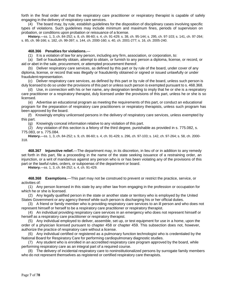forth in the final order and that the respiratory care practitioner or respiratory therapist is capable of safely engaging in the delivery of respiratory care services.

(4) The board may, by rule, establish guidelines for the disposition of disciplinary cases involving specific types of violations. Such guidelines may include minimum and maximum fines, periods of supervision on probation, or conditions upon probation or reissuance of a license.

**History.**—ss. 1, 3, ch. 84-252; s. 8, ch. 86-60; s. 4, ch. 91-429; s. 38, ch. 95-144; s. 295, ch. 97-103; s. 141, ch. 97-264; s. 85, ch. 98-166; s. 182, ch. 99-397; s. 144, ch. 2000-160; s. 40, ch. 2001-277; s. 16, ch. 2005-240.

#### **468.366 Penalties for violations.**—

(1) It is a violation of law for any person, including any firm, association, or corporation, to:

(a) Sell or fraudulently obtain, attempt to obtain, or furnish to any person a diploma, license, or record, or aid or abet in the sale, procurement, or attempted procurement thereof.

(b) Deliver respiratory care services, as defined by this part or by rule of the board, under cover of any diploma, license, or record that was illegally or fraudulently obtained or signed or issued unlawfully or under fraudulent representation.

(c) Deliver respiratory care services, as defined by this part or by rule of the board, unless such person is duly licensed to do so under the provisions of this part or unless such person is exempted pursuant to s. 468.368.

(d) Use, in connection with his or her name, any designation tending to imply that he or she is a respiratory care practitioner or a respiratory therapist, duly licensed under the provisions of this part, unless he or she is so licensed.

(e) Advertise an educational program as meeting the requirements of this part, or conduct an educational program for the preparation of respiratory care practitioners or respiratory therapists, unless such program has been approved by the board.

(f) Knowingly employ unlicensed persons in the delivery of respiratory care services, unless exempted by this part.

(g) Knowingly conceal information relative to any violation of this part.

(2) Any violation of this section is a felony of the third degree, punishable as provided in s. 775.082, s. 775.083, or s. 775.084.

**History.**—ss. 1, 3, ch. 84-252; s. 9, ch. 86-60; s. 4, ch. 91-429; s. 296, ch. 97-103; s. 142, ch. 97-264; s. 58, ch. 2000- 318.

**468.367 Injunctive relief.**—The department may, in its discretion, in lieu of or in addition to any remedy set forth in this part, file a proceeding in the name of the state seeking issuance of a restraining order, an injunction, or a writ of mandamus against any person who is or has been violating any of the provisions of this part or the lawful rules, orders, or subpoenas of the department or board.

**History.**—ss. 1, 3, ch. 84-252; s. 4, ch. 91-429.

**468.368 Exemptions.**—This part may not be construed to prevent or restrict the practice, service, or activities of:

(1) Any person licensed in this state by any other law from engaging in the profession or occupation for which he or she is licensed.

(2) Any legally qualified person in the state or another state or territory who is employed by the United States Government or any agency thereof while such person is discharging his or her official duties.

(3) A friend or family member who is providing respiratory care services to an ill person and who does not represent himself or herself to be a respiratory care practitioner or respiratory therapist.

(4) An individual providing respiratory care services in an emergency who does not represent himself or herself as a respiratory care practitioner or respiratory therapist.

(5) Any individual employed to deliver, assemble, set up, or test equipment for use in a home, upon the order of a physician licensed pursuant to chapter 458 or chapter 459. This subsection does not, however, authorize the practice of respiratory care without a license.

(6) Any individual certified or registered as a pulmonary function technologist who is credentialed by the National Board for Respiratory Care for performing cardiopulmonary diagnostic studies.

(7) Any student who is enrolled in an accredited respiratory care program approved by the board, while performing respiratory care as an integral part of a required course.

(8) The delivery of incidental respiratory care to noninstitutionalized persons by surrogate family members who do not represent themselves as registered or certified respiratory care therapists.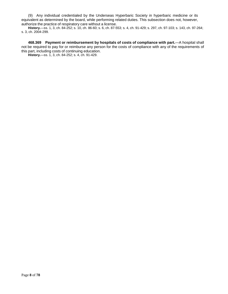(9) Any individual credentialed by the Underseas Hyperbaric Society in hyperbaric medicine or its equivalent as determined by the board, while performing related duties. This subsection does not, however, authorize the practice of respiratory care without a license.

**History.**—ss. 1, 3, ch. 84-252; s. 10, ch. 86-60; s. 6, ch. 87-553; s. 4, ch. 91-429; s. 297, ch. 97-103; s. 143, ch. 97-264; s. 3, ch. 2004-299.

**468.369 Payment or reimbursement by hospitals of costs of compliance with part.**—A hospital shall not be required to pay for or reimburse any person for the costs of compliance with any of the requirements of this part, including costs of continuing education.

**History.**—ss. 1, 3, ch. 84-252; s. 4, ch. 91-429.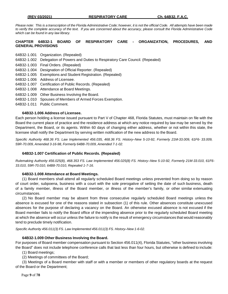Please note: This is a transcription of the Florida Administrative Code; however, it is not the official Code. All attempts have been made to verify the complete accuracy of the text. If you are concerned about the accuracy, please consult the Florida Administrative Code *which can be found in any law library.*

#### **CHAPTER 64B32-1 BOARD OF RESPIRATORY CARE - ORGANIZATION, PROCEDURES, AND GENERAL PROVISIONS**

- 64B32-1.001 Organization. (Repealed)
- 64B32-1.002 Delegation of Powers and Duties to Respiratory Care Council. (Repealed)
- 64B32-1.003 Final Orders. (Repealed)
- 64B32-1.004 Designation of Official Reporter. (Repealed)
- 64B32-1.005 Exemptions and Student Registration. (Repealed)
- 64B32-1.006 Address of Licensee.
- 64B32-1.007 Certification of Public Records. (Repealed)
- 64B32-1.008 Attendance at Board Meetings.
- 64B32-1.009 Other Business Involving the Board.
- 64B32-1.010 Spouses of Members of Armed Forces Exemption.
- 64B32-1.011 Public Comment.

#### **64B32-1.006 Address of Licensee.**

Each person holding a license issued pursuant to Part V of Chapter 468, Florida Statutes, must maintain on file with the Board the current place of practice and the residence address at which any notice required by law may be served by the Department, the Board, or its agents. Within 60 days of changing either address, whether or not within this state, the licensee shall notify the Department by serving written notification of the new address to the Board.

Specific Authority 468.36 FS. Law Implemented 456.035, 468.36 FS. History-New 5-10-92, Formerly 21M-33.009, 61F6-33.009, *59R-70.009, Amended 3-16-98, Formerly 64B8-70.009, Amended 7-1-02.*

#### **64B32-1.007 Certification of Public Records. (Repealed)**

*Rulemaking Authority 456.025(8), 468.353 FS. Law Implemented 456.025(8) FS. History–New 5-10-92, Formerly 21M-33.010, 61F6- 33.010, 59R-70.010, 64B8-70.010, Repealed 1-7-16.*

#### **64B32-1.008 Attendance at Board Meetings.**

(1) Board members shall attend all regularly scheduled Board meetings unless prevented from doing so by reason of court order, subpoena, business with a court with the sole prerogative of setting the date of such business, death of a family member, illness of the Board member, or illness of the member's family, or other similar extenuating circumstances.

(2) No Board member may be absent from three consecutive regularly scheduled Board meetings unless the absence is excused for one of the reasons stated in subsection (1) of this rule. Other absences constitute unexcused absences for the purpose of declaring a vacancy on the Board. An otherwise excused absence is not excused if the Board member fails to notify the Board office of the impending absence prior to the regularly scheduled Board meeting at which the absence will occur unless the failure to notify is the result of emergency circumstances that would reasonably tend to preclude timely notification.

*Specific Authority 456.011(3) FS. Law Implemented 456.011(3) FS. History–New 1-6-02.*

#### **64B32-1.009 Other Business Involving the Board.**

For purposes of Board member compensation pursuant to Section 456.011(4), Florida Statutes, "other business involving the Board" does not include telephone conference calls that last less than four hours, but otherwise is defined to include:

(1) Board meetings;

(2) Meetings of committees of the Board;

(3) Meetings of a Board member with staff or with a member or members of other regulatory boards at the request of the Board or the Department;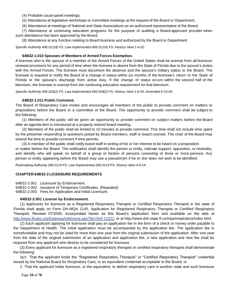(4) Probable cause panel meetings;

(5) Attendance at legislative workshops or committee meetings at the request of the Board or Department;

(6) Attendance at meetings of National and State Associations as an authorized representative of the Board;

(7) Attendance at continuing education programs for the purpose of auditing a Board-approved provider when such attendance has been approved by the Board;

(8) Attendance at any function relating to Board business and authorized by the Board or Department.

*Specific Authority 456.011(4) FS. Law Implemented 456.011(4) FS. History–New 1-6-02.*

#### **64B32-1.010 Spouses of Members of Armed Forces Exemption.**

A licensee who is the spouse of a member of the Armed Forces of the United States shall be exempt from all licensure renewal provisions for any period of time when the licensee is absent from the State of Florida due to the spouse's duties with the Armed Forces. The licensee must document the absence and the spouse's military status to the Board. The licensee is required to notify the Board of a change in status within six months of the licensee's return to the State of Florida or the spouse's discharge from active duty. If the change of status occurs within the second half of the biennium, the licensee is exempt from the continuing education requirement for that biennium.

*Specific Authority 456.024(2) FS. Law implemented 456.024(2) FS. History–New 1-6-02, Amended 5-23-04.*

#### **64B32-1.011 Public Comment.**

The Board of Respiratory Care invites and encourages all members of the public to provide comment on matters or propositions before the Board or a committee of the Board. The opportunity to provide comment shall be subject to the following:

(1) Members of the public will be given an opportunity to provide comment on subject matters before the Board after an agenda item is introduced at a properly noticed board meeting.

(2) Members of the public shall be limited to 10 minutes to provide comment. This time shall not include time spent by the presenter responding to questions posed by Board members, staff or board counsel. The chair of the Board may extend the time to provide comment if time permits.

(3) A member of the public shall notify board staff in writing of his or her interest to be heard on a proposition

or matter before the Board. The notification shall identify the person or entity, indicate support, opposition, or neutrality, and identify who will speak on behalf of a group or faction of persons consisting of three or more persons. Any person or entity appearing before the Board may use a pseudonym if he or she does not wish to be identified.

*Rulemaking Authority 286.0114 FS. Law Implemented 286.0114 FS. History‒New 4-9-14.*

#### **CHAPTER 64B32-2 LICENSURE REQUIREMENTS**

64B32-2.001 Licensure by Endorsement.

64B32-2.002 Issuance of Temporary Certificates. (Repealed)

64B32-2.003 Fees for Application and Initial Licensure.

#### **64B32-2.001 License by Endorsement.**

(1) Applicants for licensure as a Registered Respiratory Therapist or Certified Respiratory Therapist in the state of Florida shall apply on Form DH-MQA 1145, Application for Registered Respiratory Therapist or Certified Respiratory Therapist, Revised 07/2020, incorporated herein as this Board's application form and available on the web at [http://www.flrules.org/Gateway/reference.asp?No=Ref-12222,](http://www.flrules.org/Gateway/reference.asp?No=Ref-12222) or at http://www.doh.state.fl.us/mqa/respiratory/index.html.

(2) Each applicant applying for licensure shall pay an application fee in the form of a check or money order payable to the Department of Health. The initial application must be accompanied by the application fee. The application fee is nonrefundable and may not be used for more than one year from the original submission of the application. After one year from the date of the original submission of an application and application fee, a new application and new fee shall be required from any applicant who desires to be considered for licensure.

(3) Every applicant for licensure as a registered respiratory therapist or certified respiratory therapist shall demonstrate the following:

(a)1. That the applicant holds the "Registered Respiratory Therapist" or "Certified Respiratory Therapist" credential issued by the National Board for Respiratory Care, or an equivalent credential acceptable to the Board, or

2. That the applicant holds licensure, or the equivalent, to deliver respiratory care in another state and such licensure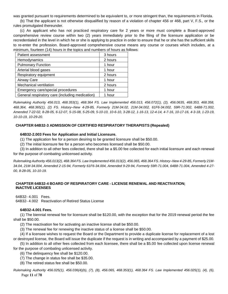was granted pursuant to requirements determined to be equivalent to, or more stringent than, the requirements in Florida.

(b) That the applicant is not otherwise disqualified by reason of a violation of chapter 456 or 468, part V, F.S., or the rules promulgated thereunder.

(c) An applicant who has not practiced respiratory care for 2 years or more must complete a Board-approved comprehensive review course within two (2) years immediately prior to the filing of the licensure application or be recredentialed in the level in which he or she is applying to practice in order to ensure that he or she has the sufficient skills to re-enter the profession. Board-approved comprehensive course means any course or courses which includes, at a minimum, fourteen (14) hours in the topics and numbers of hours as follows:

| Patient assessment                              | 3 hours |
|-------------------------------------------------|---------|
| Hemodynamics                                    | 2 hours |
| <b>Pulmonary Function</b>                       | 1 hour  |
| Arterial blood gases                            | 1 hour  |
| Respiratory equipment                           | 2 hours |
| Airway Care                                     | 1 hour  |
| Mechanical ventilation                          | 2 hours |
| Emergency care/special procedures               | 1 hour  |
| General respiratory care (including medication) | 1 hour  |

*Rulemaking Authority 456.013, 468.353(1), 468.364 FS. Law Implemented 456.013, 456.072(1), (2), 456.0635, 468.353, 468.358, 468.364, 468.365(1), (2) FS. History–New 4-29-85, Formerly 21M-34.02, 21M-34.002, 61F6-34.002, 59R-71.002, 64B8-71.002, Amended 7-22-02, 8-28-05, 6-12-07, 5-15-08, 5-25-09, 5-10-10, 10-6-10, 3-28-12, 1-16-13, 12-4-14, 4-7-16, 10-17-16, 4-3-18, 1-23-19, 10-10-19, 10-29-20.*

#### **CHAPTER 64B32-3 ADMISSION OF CERTIFIED RESPIRATORY THERAPISTS (Repealed)**

#### **64B32-2.003 Fees for Application and Initial Licensure.**

(1) The application fee for a person desiring to be granted licensure shall be \$50.00.

(2) The initial licensure fee for a person who becomes licensed shall be \$50.00.

(3) In addition to all other fees collected, there shall be a \$5.00 fee collected for each initial licensure and each renewal for the purpose of combating unlicensed activity.

*Rulemaking Authority 456.013(2), 468.364 FS. Law Implemented 456.013(2), 456.065, 468.364 FS. History–New 4-29-85, Formerly 21M-34.04, 21M-34.004, Amended 2-15-94, Formerly 61F6-34.004, Amended 9-29-94, Formerly 59R-71.004, 64B8-71.004, Amended 4-27- 00, 8-28-05, 10-10-19.*

#### **CHAPTER 64B32-4 BOARD OF RESPIRATORY CARE - LICENSE RENEWAL AND REACTIVATION; INACTIVE LICENSES**

64B32- 4.001 Fees.

64B32- 4.002 Reactivation of Retired Status License

# **64B32-4.001 Fees.**

(1) The biennial renewal fee for licensure shall be \$120.00, with the exception that for the 2019 renewal period the fee shall be \$50.00.

(2) The reactivation fee for activating an inactive license shall be \$50.00.

(3) The renewal fee for renewing the inactive status of a license shall be \$50.00.

(4) If a licensee wishes to request the Board or the Department to provide a duplicate license for replacement of a lost or destroyed license, the Board will issue the duplicate if the request is in writing and accompanied by a payment of \$25.00.

(5) In addition to all other fees collected from each licensee, there shall be a \$5.00 fee collected upon license renewal for the purpose of combating unlicensed activity.

- (6) The delinquency fee shall be \$120.00.
- (7) The change in status fee shall be \$35.00.
- (8) The retired status fee shall be \$50.00.

Page **11** of **78** *Rulemaking Authority 456.025(1), 456.036(4)(b), (7), (8), 456.065, 468.353(1), 468.364 FS. Law Implemented 456.025(1), (4), (6),*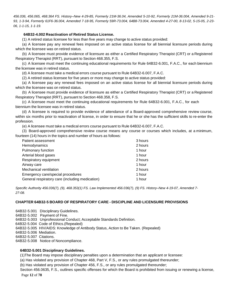*456.036, 456.065, 468.364 FS. History–New 4-29-85, Formerly 21M-36.04, Amended 5-10-92, Formerly 21M-36.004, Amended 9-21- 93, 1-3-94, Formerly 61F6-36.004, Amended 7-18-95, Formerly 59R-73.004, 64B8-73.004, Amended 4-27-00, 8-13-02, 5-15-05, 2-23- 06, 1-1-15, 1-1-19.*

#### **64B32-4.002 Reactivation of Retired Status License.**

(1) A retired status licensee for less than five years may change to active status provided:

(a) A licensee pay any renewal fees imposed on an active status license for all biennial licensure periods during which the licensee was on retired status.

(b) A licensee must provide evidence of licensure as either a Certified Respiratory Therapist (CRT) or a Registered Respiratory Therapist (RRT), pursuant to Section 468.355, F.S.

(c) A licensee must meet the continuing educational requirements for Rule 64B32-6.001, F.A.C., for each biennium the licensee was in retired status.

(d) A licensee must take a medical errors course pursuant to Rule 64B32-6.007, F.A.C.

(2) A retired status licensee for five years or more may change to active status provided:

(a) A licensee pay any renewal fees imposed on an active status license for all biennial licensure periods during which the licensee was on retired status.

(b) A licensee must provide evidence of licensure as either a Certified Respiratory Therapist (CRT) or a Registered Respiratory Therapist (RRT), pursuant to Section 468.358, F.S.

(c) A licensee must meet the continuing educational requirements for Rule 64B32-6.001, F.A.C., for each biennium the licensee was in retired status.

(d) A licensee is required to provide evidence of attendance of a Board-approved comprehensive review course, within six months prior to reactivation of license, in order to ensure that he or she has the sufficient skills to re-enter the profession.

(e) A licensee must take a medical errors course pursuant to Rule 64B32-6.007, F.A.C.

(3) Board-approved comprehensive review course means any course or courses which includes, at a minimum, fourteen (14) hours in the topics and number of hours as follows:

| Patient assessment                              | 3 hours |
|-------------------------------------------------|---------|
| Hemodynamics                                    | 2 hours |
| Pulmonary function                              | 1 hour  |
| Arterial blood gases                            | 1 hour  |
| Respiratory equipment                           | 2 hours |
| Airway care                                     | 1 hour  |
| Mechanical ventilation                          | 2 hours |
| Emergency care/special procedures               | 1 hour  |
| General respiratory care (including medication) | 1 hour  |
|                                                 |         |

*Specific Authority 456.036(7), (9), 468.353(1) FS. Law Implemented 456.036(7), (9) FS. History–New 4-19-07, Amended 7- 27-08.*

# **CHAPTER 64B32-5 BOARD OF RESPIRATORY CARE - DISCIPLINE AND LICENSURE PROVISIONS**

64B32-5.001 Disciplinary Guidelines. 64B32-5.002 Payment of Fine. 64B32-5.003 Unprofessional Conduct; Acceptable Standards Definition. 64B32-5.004 Code of Ethics.(Repealed) 64B32-5.005 HIV/AIDS: Knowledge of Antibody Status, Action to Be Taken. (Repealed) 64B32-5.006 Mediation. 64B32-5.007 Citations. 64B32-5.008 Notice of Noncompliance.

#### **64B32-5.001 Disciplinary Guidelines.**

(1)The Board may impose disciplinary penalties upon a determination that an applicant or licensee:

(a) Has violated any provision of Chapter 468, Part V, F.S., or any rules promulgated thereunder;

(b) Has violated any provision of Chapter 456, F.S., or any rules promulgated thereunder;

Section 456.0635, F.S., outlines specific offenses for which the Board is prohibited from issuing or renewing a license,

Page **12** of **78**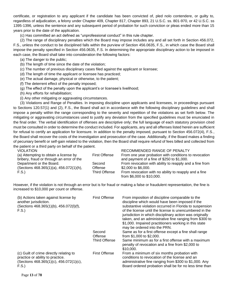certificate, or registration to any applicant if the candidate has been convicted of, pled nolo contendere, or guilty to, regardless of adjudication, a felony under Chapter 409, Chapter 817, Chapter 893, 21 U.S.C. ss. 801-970, or 42 U.S.C. ss 1395-1396, unless the sentence and any subsequent period of probation for such conviction or pleas ended more than 15 years prior to the date of the application.

(c) Has committed an act defined as "unprofessional conduct" in this rule chapter.

(2) The range of disciplinary penalties which the Board may impose includes any and all set forth in Section 456.072, F.S., unless the conduct to be disciplined falls within the purview of Section 456.0635, F.S., in which case the Board shall impose the penalty specified in Section 456.0635, F.S. In determining the appropriate disciplinary action to be imposed in each case, the Board shall take into consideration the following factors:

(a) The danger to the public;

- (b) The length of time since the date of the violation;
- (c) The number of previous disciplinary cases filed against the applicant or licensee;
- (d) The length of time the applicant or licensee has practiced;
- (e) The actual damage, physical or otherwise, to the patient;
- (f) The deterrent effect of the penalty imposed;
- (g) The effect of the penalty upon the applicant's or licensee's livelihood;
- (h) Any efforts for rehabilitation;
- (i) Any other mitigating or aggravating circumstances.

(3) Violations and Range of Penalties. In imposing discipline upon applicants and licensees, in proceedings pursuant to Sections 120.57(1) and (2), F.S., the Board shall act in accordance with the following disciplinary guidelines and shall impose a penalty within the range corresponding to the severity and repetition of the violations as set forth below. The mitigating or aggravating circumstances used to justify any deviation from the specified guidelines must be enunciated in the final order. The verbal identification of offenses are descriptive only; the full language of each statutory provision cited must be consulted in order to determine the conduct included. For applicants, any and all offenses listed herein are sufficient for refusal to certify an application for licensure. In addition to the penalty imposed, pursuant to Section 456.072(4), F.S., the Board shall recover the costs of the investigation and prosecution of the case. Additionally, if the Board makes a finding of pecuniary benefit or self-gain related to the violation, then the Board shall require refund of fees billed and collected from the patient or a third party on behalf of the patient.

| <b>VIOLATION</b>                          |                      | RECOMMENDED RANGE OF PENALTY                            |
|-------------------------------------------|----------------------|---------------------------------------------------------|
| (a) Attempting to obtain a license by     | First Offense        | From one year probation with conditions to revocation   |
| bribery, fraud or through an error of the |                      | and payment of a fine of \$250 to \$1,000.              |
| Department or the Board.                  | Second               | From revocation with ability to reapply and a fine from |
| (Sections 468.365(1)(a), 456.072(1)(h),   | Offense              | \$2,000 to \$6,000.                                     |
| F.S.                                      | <b>Third Offense</b> | From revocation with no ability to reapply and a fine   |
|                                           |                      | from \$6,000 to \$10,000.                               |

However, if the violation is not through an error but is for fraud or making a false or fraudulent representation, the fine is increased to \$10,000 per count or offense.

| (b) Actions taken against license by<br>another jurisdiction.<br>(Sections 468.365(1)(b), 456.072(l)(f),<br>F.S.               | <b>First Offense</b> | From imposition of discipline comparable to the<br>discipline which would have been imposed if the<br>substantive violation occurred in Florida to suspension<br>of the license until the license is unencumbered in the<br>jurisdiction in which disciplinary action was originally<br>taken, and an administrative fine ranging from \$300 to<br>\$1,000. Impaired practitioners working in this state<br>may be ordered into the PRN. |
|--------------------------------------------------------------------------------------------------------------------------------|----------------------|------------------------------------------------------------------------------------------------------------------------------------------------------------------------------------------------------------------------------------------------------------------------------------------------------------------------------------------------------------------------------------------------------------------------------------------|
|                                                                                                                                | Second<br>Offense    | Same as for a first offense except a fine shall range<br>from \$1,000 to \$2,000.                                                                                                                                                                                                                                                                                                                                                        |
|                                                                                                                                | <b>Third Offense</b> | Same minimum as for a first offense with a maximum<br>penalty of revocation and a fine from \$2,000 to<br>\$10,000.                                                                                                                                                                                                                                                                                                                      |
| (c) Guilt of crime directly relating to<br>practice or ability to practice.<br>(Sections 468.365(1)(c), 456.072(1)(c),<br>F.S. | <b>First Offense</b> | From a minimum of six months probation with<br>conditions to revocation of the license and an<br>administrative fine ranging from \$300 to \$1,000. Any<br>Board ordered probation shall be for no less time than                                                                                                                                                                                                                        |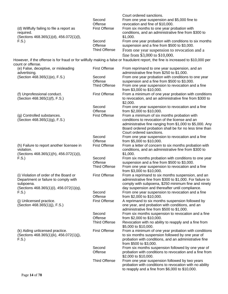| (d) Willfully failing to file a report as<br>required.<br>(Sections 468.365(1)(d), 456.072(1)(l),<br>F.S.) | Second<br>Offense<br><b>First Offense</b><br>Second | Court ordered sanctions.<br>From one year suspension and \$5,000 fine to<br>revocation and fine of \$10,000.<br>From six months to one year probation with<br>conditions, and an administrative fine from \$300 to<br>\$1,000.<br>From one year probation with conditions to six months |
|------------------------------------------------------------------------------------------------------------|-----------------------------------------------------|-----------------------------------------------------------------------------------------------------------------------------------------------------------------------------------------------------------------------------------------------------------------------------------------|
|                                                                                                            | Offense<br><b>Third Offense</b>                     | suspension and a fine from \$500 to \$3,000.<br>From one year suspension to revocation and a                                                                                                                                                                                            |
|                                                                                                            |                                                     | fine from \$3,000 to \$10,000.                                                                                                                                                                                                                                                          |
| count or offense.                                                                                          |                                                     | However, if the offense is for fraud or for willfully making a false or fraudulent report, the fine is increased to \$10,000 per                                                                                                                                                        |
| (e) False, deceptive, or misleading<br>advertising.                                                        | <b>First Offense</b>                                | From reprimand to one year suspension, and an<br>administrative fine from \$250 to \$1,000.                                                                                                                                                                                             |
| (Section 468.365(1)(e), F.S.)                                                                              | Second                                              | From one year probation with conditions to one year                                                                                                                                                                                                                                     |
|                                                                                                            | Offense                                             | suspension and a fine from \$500 to \$3,000.                                                                                                                                                                                                                                            |
|                                                                                                            | <b>Third Offense</b>                                | From one year suspension to revocation and a fine<br>from \$3,000 to \$10,000.                                                                                                                                                                                                          |
| (f) Unprofessional conduct.<br>(Section 468.365(1)(f), F.S.)                                               | <b>First Offense</b>                                | From a minimum of one year probation with conditions<br>to revocation, and an administrative fine from \$300 to<br>\$2,000.                                                                                                                                                             |
|                                                                                                            | Second<br>Offense                                   | From one year suspension to revocation and a fine<br>from \$2,000 to \$10,000.                                                                                                                                                                                                          |
| (g) Controlled substances.<br>(Section 468.365(1)(g), F.S.)                                                | <b>First Offense</b>                                | From a minimum of six months probation with<br>conditions to revocation of the license and an<br>administrative fine ranging from \$1,000 to \$5,000. Any<br>Board ordered probation shall be for no less time than                                                                     |
|                                                                                                            | Second<br>Offense                                   | Court ordered sanctions.<br>From one year suspension to revocation and a fine<br>from \$5,000 to \$10,000.                                                                                                                                                                              |
| (h) Failure to report another licensee in<br>violation.                                                    | <b>First Offense</b>                                | From a letter of concern to six months probation with<br>conditions, and an administrative fine from \$300 to                                                                                                                                                                           |
| (Sections 468.365(1)(h), 456.072(1)(i),                                                                    |                                                     | \$1,000.                                                                                                                                                                                                                                                                                |
| F.S.)                                                                                                      | Second                                              | From six months probation with conditions to one year                                                                                                                                                                                                                                   |
|                                                                                                            | Offense                                             | suspension and a fine from \$500 to \$3,000.                                                                                                                                                                                                                                            |
|                                                                                                            | <b>Third Offense</b>                                | From one year suspension to revocation and a fine<br>from \$3,000 to \$10,000.                                                                                                                                                                                                          |
| (i) Violation of order of the Board or<br>Department or failure to comply with<br>subpoena.                | <b>First Offense</b>                                | From a reprimand to six months suspension, and an<br>administrative fine from \$300 to \$1,000. For failure to<br>comply with subpoena, \$250 minimum fine and ninety                                                                                                                   |
| (Sections 468.365(1)(i), 456.072(1)(q),                                                                    |                                                     | day suspension and thereafter until compliance.                                                                                                                                                                                                                                         |
| F.S.)                                                                                                      | Second<br>Offense                                   | From one year suspension to revocation and a fine<br>from \$2,000 to \$10,000.                                                                                                                                                                                                          |
| (j) Unlicensed practice.<br>(Section 468.365(1)(j), F.S.)                                                  | <b>First Offense</b>                                | A reprimand to six months suspension followed by<br>one year, and probation with conditions, and an<br>administrative fine from \$500 to \$1,000.                                                                                                                                       |
|                                                                                                            | Second                                              | From six months suspension to revocation and a fine                                                                                                                                                                                                                                     |
|                                                                                                            | Offense<br><b>Third Offense</b>                     | from \$2,000 to \$10,000.<br>Revocation with no ability to reapply and a fine from                                                                                                                                                                                                      |
|                                                                                                            | <b>First Offense</b>                                | \$5,000 to \$10,000.                                                                                                                                                                                                                                                                    |
| (k) Aiding unlicensed practice.<br>(Sections 468.365(1)(k), 456.072(1)(j),<br>F.S.)                        |                                                     | From a minimum of one year probation with conditions<br>to six months suspension followed by one year of<br>probation with conditions, and an administrative fine<br>from \$500 to \$3,000.                                                                                             |
|                                                                                                            | Second<br>Offense                                   | From six months suspension followed by one year of<br>probation with conditions to revocation and a fine from                                                                                                                                                                           |
|                                                                                                            | <b>Third Offense</b>                                | \$2,000 to \$10,000.<br>From one year suspension followed by two years<br>probation with conditions to revocation with no ability<br>to reapply and a fine from \$6,000 to \$10,000.                                                                                                    |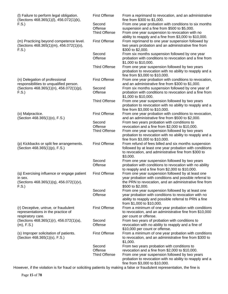| (I) Failure to perform legal obligation.<br>(Sections 468.365(1)(l), 456.072(1)(k), | <b>First Offense</b>            | From a reprimand to revocation, and an administrative<br>fine from \$300 to \$1,000.                                                         |
|-------------------------------------------------------------------------------------|---------------------------------|----------------------------------------------------------------------------------------------------------------------------------------------|
| F.S.                                                                                | Second                          | From one year probation with conditions to six months                                                                                        |
|                                                                                     | Offense<br><b>Third Offense</b> | suspension and a fine from \$500 to \$5,000.<br>From one year suspension to revocation with no                                               |
|                                                                                     |                                 | ability to reapply and a fine from \$3,000 to \$10,000.                                                                                      |
| (m) Practicing beyond competence level.                                             | <b>First Offense</b>            | From reprimand to one year suspension followed by                                                                                            |
| (Sections 468.365(1)(m), 456.072(1)(o),<br>F.S.)                                    |                                 | two years probation and an administrative fine from<br>\$300 to \$2,000.                                                                     |
|                                                                                     | Second                          | From six months suspension followed by one year                                                                                              |
|                                                                                     | Offense                         | probation with conditions to revocation and a fine from<br>\$1,000 to \$10,000.                                                              |
|                                                                                     | <b>Third Offense</b>            | From one year suspension followed by two years<br>probation to revocation with no ability to reapply and a<br>fine from \$3,000 to \$10,000. |
| (n) Delegation of professional                                                      | <b>First Offense</b>            | From one year probation with conditions to revocation,                                                                                       |
| responsibilities to unqualified person.<br>(Sections 468.365(1)(n), 456.072(1)(p),  | Second                          | and an administrative fine from \$300 to \$1,000.                                                                                            |
| F.S.)                                                                               | Offense                         | From six months suspension followed by one year of<br>probation with conditions to revocation and a fine from<br>\$1,000 to \$10,000.        |
|                                                                                     | <b>Third Offense</b>            | From one year suspension followed by two years                                                                                               |
|                                                                                     |                                 | probation to revocation with no ability to reapply and a<br>fine from \$3,000 to \$10,000.                                                   |
| (o) Malpractice.                                                                    | <b>First Offense</b>            | From one year probation with conditions to revocation,                                                                                       |
| (Section 468.365(1)(o), F.S.)                                                       | Second                          | and an administrative fine from \$500 to \$2,000.                                                                                            |
|                                                                                     | Offense                         | From two years probation with conditions to<br>revocation and a fine from \$2,000 to \$10,000.                                               |
|                                                                                     | <b>Third Offense</b>            | From one year suspension followed by two years                                                                                               |
|                                                                                     |                                 | probation to revocation with no ability to reapply and a<br>fine from \$3,000 to \$10,000.                                                   |
| (p) Kickbacks or split fee arrangements.                                            | <b>First Offense</b>            | From refund of fees billed and six months suspension                                                                                         |
| (Section 468.365(1)(p), F.S.)                                                       |                                 | followed by at least one year probation with conditions                                                                                      |
|                                                                                     |                                 | to revocation, and administrative fine from \$300 to<br>\$3,000.                                                                             |
|                                                                                     | Second                          | From one year suspension followed by two years                                                                                               |
|                                                                                     | Offense                         | probation with conditions to revocation with no ability                                                                                      |
|                                                                                     |                                 | to reapply and a fine from \$2,000 to \$10,000.                                                                                              |
| (q) Exercising influence or engage patient<br>in sex.                               | <b>First Offense</b>            | From one year suspension followed by at least one<br>year probation with conditions and possible referral to                                 |
| (Sections 468.365(1)(q), 456.072(1)(v),                                             |                                 | the PRN to revocation, and an administrative fine from                                                                                       |
| F.S.                                                                                | Second                          | \$500 to \$2,000.<br>From one year suspension followed by at least one                                                                       |
|                                                                                     | Offense                         | year probation with conditions to revocation with no                                                                                         |
|                                                                                     |                                 | ability to reapply and possible referral to PRN a fine<br>from \$1,000 to \$10,000.                                                          |
| (r) Deceptive, untrue, or fraudulent                                                | <b>First Offense</b>            | From a minimum of one year probation with conditions                                                                                         |
| representations in the practice of                                                  |                                 | to revocation, and an administrative fine from \$10,000                                                                                      |
| respiratory care.<br>(Sections 468.365(1)(r), 456.072(1)(a),                        | Second                          | per count or offense.<br>From two years of probation with conditions to                                                                      |
| $(m)$ , F.S.)                                                                       | Offense                         | revocation with no ability to reapply and a fine of                                                                                          |
|                                                                                     |                                 | \$10,000 per count or offense.                                                                                                               |
| (s) Improper solicitation of patients.                                              | <b>First Offense</b>            | From a minimum of one year probation with conditions                                                                                         |
| (Section 468.365(1)(s), F.S.)                                                       |                                 | to revocation, and an administrative fine from \$300 to<br>\$1,000.                                                                          |
|                                                                                     | Second                          | From two years probation with conditions to                                                                                                  |
|                                                                                     | Offense<br><b>Third Offense</b> | revocation and a fine from \$2,000 to \$10,000.<br>From one year suspension followed by two years                                            |
|                                                                                     |                                 | probation to revocation with no ability to reapply and a                                                                                     |
|                                                                                     |                                 | fine from \$3,000 to \$10,000.                                                                                                               |

However, if the violation is for fraud or soliciting patients by making a false or fraudulent representation, the fine is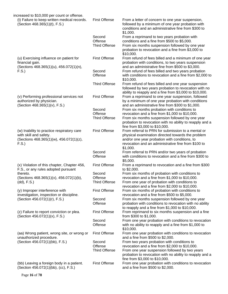| increased to \$10,000 per count or offense.                                                                              |                                           |                                                                                                                                                                                                                    |
|--------------------------------------------------------------------------------------------------------------------------|-------------------------------------------|--------------------------------------------------------------------------------------------------------------------------------------------------------------------------------------------------------------------|
| (t) Failure to keep written medical records.<br>(Section 468.365(1)(t), F.S.)                                            | <b>First Offense</b>                      | From a letter of concern to one year suspension,<br>followed by a minimum of one year probation with<br>conditions and an administrative fine from \$300 to<br>\$1,000.                                            |
|                                                                                                                          | Second<br>Offense<br><b>Third Offense</b> | From a reprimand to two years probation with<br>conditions and a fine from \$500 to \$5,000.<br>From six months suspension followed by one year<br>probation to revocation and a fine from \$3,000 to<br>\$10,000. |
| (u) Exercising influence on patient for<br>financial gain.<br>(Sections 468.365(1)(u), 456.072(1)(n),                    | <b>First Offense</b>                      | From refund of fees billed and a minimum of one year<br>probation with conditions, to two years suspension<br>and an administrative fine from \$500 to \$3,000.                                                    |
| F.S.                                                                                                                     | Second<br>Offense                         | From refund of fees billed and two years probation<br>with conditions to revocation and a fine from \$2,000 to<br>\$10,000.                                                                                        |
|                                                                                                                          | <b>Third Offense</b>                      | From refund of fees billed and one year suspension<br>followed by two years probation to revocation with no<br>ability to reapply and a fine from \$3,000 to \$10,000.                                             |
| (v) Performing professional services not<br>authorized by physician.<br>(Section 468.365(1)(v), F.S.)                    | <b>First Offense</b>                      | From a reprimand to one year suspension, followed<br>by a minimum of one year probation with conditions<br>and an administrative fine from \$300 to \$1,000.                                                       |
|                                                                                                                          | Second<br>Offense                         | From six months probation with conditions to<br>revocation and a fine from \$1,000 to \$10,000.                                                                                                                    |
|                                                                                                                          | <b>Third Offense</b>                      | From six months suspension followed by one year<br>probation to revocation with no ability to reapply and a<br>fine from \$3,000 to \$10,000.                                                                      |
| (w) Inability to practice respiratory care<br>with skill and safety.<br>(Sections 468.365(1)(w), 456.072(1)(z),<br>F.S.) | <b>First Offense</b>                      | From referral to PRN for submission to a mental or<br>physical examination directed towards the problem<br>and/or one year probation with conditions, to<br>revocation and an administrative fine from \$100 to    |
|                                                                                                                          |                                           | \$1,000.                                                                                                                                                                                                           |
|                                                                                                                          | Second<br>Offense                         | From referral to PRN and/or two years of probation<br>with conditions to revocation and a fine from \$300 to<br>\$5,000.                                                                                           |
| (x) Violation of this chapter, Chapter 456,<br>F.S., or any rules adopted pursuant                                       | <b>First Offense</b>                      | From a reprimand to revocation and a fine from \$300<br>to \$2,000.                                                                                                                                                |
| thereto.<br>(Sections 468.365(1)(x), 456.072(1)(b),<br>$(dd)$ , F.S.)                                                    | Second<br>Offense<br><b>Third Offense</b> | From six months of probation with conditions to<br>revocation and a fine from \$1,000 to \$10,000.<br>From one year of probation with conditions to<br>revocation and a fine from \$2,000 to \$10,000.             |
| (y) Improper interference with<br>investigation, inspection or discipline.                                               | <b>First Offense</b>                      | From six months of probation with conditions to<br>revocation and a fine from \$500 to \$5,000.                                                                                                                    |
| (Section 456.072(1)(r), F.S.)                                                                                            | Second<br>Offense                         | From six months suspension followed by one year<br>probation with conditions to revocation with no ability<br>to reapply and a fine from \$1,000 to \$10,000.                                                      |
| (z) Failure to report conviction or plea.<br>(Section 456.072(1)(x), F.S.)                                               | <b>First Offense</b>                      | From reprimand to six months suspension and a fine<br>from \$300 to \$1,000.                                                                                                                                       |
|                                                                                                                          | Second<br>Offense                         | From one year probation with conditions to revocation<br>with no ability to reapply and a fine from \$1,000 to<br>\$10,000.                                                                                        |
| (aa) Wrong patient, wrong site, or wrong or<br>unauthorized procedure.                                                   | <b>First Offense</b>                      | From one year probation with conditions to revocation<br>and a fine from \$500 to \$2,000.                                                                                                                         |
| (Section 456.072(1)(bb), F.S.)                                                                                           | Second<br>Offense<br><b>Third Offense</b> | From two years probation with conditions to<br>revocation and a fine from \$2,000 to \$10,000.<br>From one year suspension followed by two years<br>probation to revocation with no ability to reapply and a       |
| (bb) Leaving a foreign body in a patient.<br>(Section 456.072(1)(bb), (cc), F.S.)                                        | <b>First Offense</b>                      | fine from \$3,000 to \$10,000.<br>From one year probation with conditions to revocation<br>and a fine from \$500 to \$2,000.                                                                                       |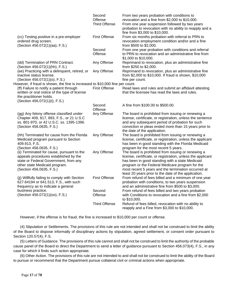|                                                                                                                                                                                           | Second<br>Offense<br><b>Third Offense</b> | From two years probation with conditions to<br>revocation and a fine from \$2,000 to \$10,000.<br>From one year suspension followed by two years<br>probation to revocation with no ability to reapply and a<br>fine from \$3,000 to \$10,000.                                                                                         |
|-------------------------------------------------------------------------------------------------------------------------------------------------------------------------------------------|-------------------------------------------|----------------------------------------------------------------------------------------------------------------------------------------------------------------------------------------------------------------------------------------------------------------------------------------------------------------------------------------|
| (cc) Testing positive in a pre-employer<br>ordered drug screen.<br>(Section 456.072(1)(aa), F.S.)                                                                                         | <b>First Offense</b>                      | From six months probation with referral to PRN to<br>revocation employment condition and/or and a fine<br>from \$500 to \$2,000.                                                                                                                                                                                                       |
|                                                                                                                                                                                           | Second<br>Offense                         | From one year probation with conditions and referral<br>to PRN to revocation and an administrative fine from<br>\$1,000 to \$10,000.                                                                                                                                                                                                   |
| (dd) Termination of PRN Contract.<br>(Section 456.072(1)(hh), F.S.)                                                                                                                       | Any Offense                               | Reprimand to revocation, plus an administrative fine<br>from \$250 to \$2,000.                                                                                                                                                                                                                                                         |
| (ee) Practicing with a delinquent, retired, or<br>inactive status license.<br>(Section 456.072(1)(o), F.S.)                                                                               | Any Offense                               | Reprimand to revocation, plus an administrative fine<br>from \$2,000 to \$10,000. If fraud is shown, \$10,000<br>fine per count.                                                                                                                                                                                                       |
| However, if fraud is shown, the fine is increased to \$10,000 fine per count.                                                                                                             |                                           |                                                                                                                                                                                                                                                                                                                                        |
| (ff) Failure to notify a patient through<br>written or oral notice of the type of license<br>the practitioner holds.<br>(Section 456.072(1)(t), F.S.)                                     | <b>First Offense</b>                      | Read laws and rules and submit an affidavit attesting<br>that the licensee has read the laws and rules.                                                                                                                                                                                                                                |
|                                                                                                                                                                                           | Second<br>Offense                         | A fine from \$100.00 to \$500.00.                                                                                                                                                                                                                                                                                                      |
| (gg) Any felony offense classified under<br>Chapter 409, 817, 893, F.S., or 21 U.S.C<br>ss. 801-970, or 42 U.S.C. ss. 1395-1396.<br>(Section 456.0635, F.S.)                              | Any Offense                               | The board is prohibited from issuing or renewing a<br>license, certificate, or registration, unless the sentence<br>and any subsequent period of probation for such<br>conviction or pleas ended more than 15 years prior to<br>the date of the application.                                                                           |
| (hh) Terminated for cause from the Florida<br>Medicaid program pursuant to Section<br>409.913, F.S.<br>(Section 456.0635, F.S.)                                                           | Any Offense                               | The board is prohibited from issuing or renewing a<br>license, certificate, or registration, unless the applicant<br>has been in good standing with the Florida Medicaid<br>program for the most recent 5 years.                                                                                                                       |
| (ii) Terminated for cause, pursuant to the<br>appeals procedures established by the<br>state or Federal Government, from any<br>other state Medicaid program.<br>(Section 456.0635, F.S.) | Any Offense                               | The board is prohibited from issuing or renewing a<br>license, certificate, or registration, unless the applicant<br>has been in good standing with a state Medicaid<br>program or the Federal Medicare program for the<br>most recent 5 years and the termination occurred at<br>least 20 years prior to the date of the application. |
| (jj) Willfully failing to comply with Section<br>627.64194 or 641.513, F.S., with such<br>frequency as to indicate a general                                                              | <b>First Offense</b>                      | From refund of fees billed and a minimum of one year<br>probation with conditions, to two years suspension<br>and an administrative fine from \$500 to \$3,000.                                                                                                                                                                        |
| business practice.<br>(Section 456.072(1)(oo), F.S.)                                                                                                                                      | Second<br>Offense                         | From refund of fees billed and two years probation<br>with Conditions to revocation and a fine from \$2,000<br>to \$10,000.                                                                                                                                                                                                            |
|                                                                                                                                                                                           | <b>Third Offense</b>                      | Refund of fees billed, revocation with no ability to<br>reapply and a Fine from \$3,000 to \$10,000.                                                                                                                                                                                                                                   |

However, if the offense is for fraud, the fine is increased to \$10,000 per count or offense.

(4) Stipulation or Settlements. The provisions of this rule are not intended and shall not be construed to limit the ability of the Board to dispose informally of disciplinary actions by stipulation, agreed settlement, or consent order pursuant to Section 120.57(4), F.S.

(5) Letters of Guidance. The provisions of this rule cannot and shall not be construed to limit the authority of the probable cause panel of the Board to direct the Department to send a letter of guidance pursuant to Section 456.073(4), F.S., in any case for which it finds such action appropriate.

(6) Other Action. The provisions of this rule are not intended to and shall not be construed to limit the ability of the Board to pursue or recommend that the Department pursue collateral civil or criminal actions when appropriate.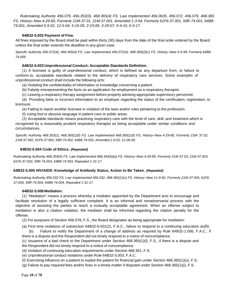*Rulemaking Authority 456.079, 456.353(3), 468.365(4) FS. Law Implemented 456.0635, 456.072, 456.079, 468.365 FS. History–New 4-29-85, Formerly 21M-37.01, 21M-37.001, Amended 1-3-94, Formerly 61F6-37.001, 59R-74.001, 64B8- 74.001, Amended 5-5-02, 12-5-04, 5-15-05, 2-23-06, 3-29-07, 5-4-10, 6-5-17*.

### **64B32-5.002 Payment of Fine.**

All fines imposed by the Board shall be paid within thirty (30) days from the date of the final order entered by the Board unless the final order extends the deadline in any given case.

*Specific Authority 456.072(4), 468.365(4) FS. Law Implemented 456.072(4), 468.365(2)(c) FS. History–New 6-9-99, Formerly 64B8- 74.005.*

#### **64B32-5.003 Unprofessional Conduct; Acceptable Standards Definition.**

(1) A licensee is guilty of unprofessional conduct, which is defined as any departure from, or failure to conform to, acceptable standards related to the delivery of respiratory care services. Some examples of unprofessional conduct shall include the following acts:

(a) Violating the confidentiality of information or knowledge concerning a patient.

(b) Falsely misrepresenting the facts on an application for employment as a respiratory therapist.

(c) Leaving a respiratory therapy assignment before properly advising appropriate supervisory personnel.

(d) Providing false or incorrect information to an employer regarding the status of the certification, registration, or licensure.

(e) Failing to report another licensee in violation of the laws and/or rules pertaining to the profession.

(f) Using foul or abusive language in patient care or public areas.

(2) Acceptable standards means practicing respiratory care with the level of care, skill, and treatment which is recognized by a reasonably prudent respiratory therapist as being acceptable under similar conditions and circumstances.

*Specific Authority 468.353(1), 468.365(1)(f) FS. Law Implemented 468.365(1)(f) FS. History–New 4-29-85, Formerly 21M- 37.02, 21M-37.002, 61F6-37.002, 59R-74.002, 64B8-74.002, Amended 1-6-02, 12-26-05.*

#### **64B32-5.004 Code of Ethics. (***Repealed)*

*Rulemaking Authority 468.354(5) FS. Law Implemented 468.354(5)(a) FS. History–New 4-29-85, Formerly 21M-37.03, 21M-37.003, 61F6-37.003, 59R-74.003, 64B8-74.003, Repealed 1-31-17.*

#### **64B32-5.005 HIV/AIDS: Knowledge of Antibody Status, Action to Be Taken.** *(Repealed)*

*Rulemaking Authority 456.032 FS. Law Implemented 456.032, 468.365(1)(x) FS. History–New 11-9-92, Formerly 21M-37.004, 61F6- 37.004, 59R-74.004, 64B8-74.004, Repealed 1-31-17.*

#### **64B32-5.006 Mediation.**

(1) "Mediation" means a process whereby a mediator appointed by the Department acts to encourage and facilitate resolution of a legally sufficient complaint. It is an informal and nonadversarial process with the objective of assisting the parties to reach a mutually acceptable agreement. When an offense subject to mediation is also a citation violation, the mediator shall be informed regarding the citation penalty for the offense.

(2) For purposes of Section 456.078, F.S., the Board designates as being appropriate for mediation:

(a) First time violations of subsection 64B32-6.001(2), F.A.C., failure to respond to a continuing education audit. (b) Failure to notify the Department of a change of address as required by Rule 64B32-1.006, F.A.C., if

there is a dispute and the Respondent did not timely respond to a notice of noncompliance.

(c) Issuance of a bad check to the Department under Section 468.365(1)(l), F.S., if there is a dispute and the Respondent did not timely respond to a notice of noncompliance.

(d) Violation of continuing education requirements under Section 468.361, F.S.

(e) Unprofessional conduct violations under Rule 64B32-5.003, F.A.C.

(f) Exercising influence on a patient to exploit the patient for financial gain under Section 468.365(1)(u), F.S.

(g) Failure to pay required fees and/or fines in a timely matter if disputed under Section 468.365(1)(i), F.S.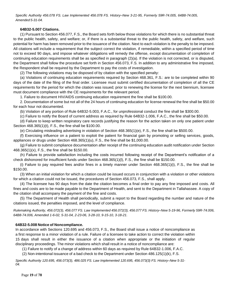*Specific Authority 456.078 FS. Law Implemented 456.078 FS. History–New 3-21-95, Formerly 59R-74.005, 64B8-74.005, Amended 5-31-04.*

#### **64B32-5.007 Citations.**

(1) Pursuant to Section 456.077, F.S., the Board sets forth below those violations for which there is no substantial threat to the public health, safety, and welfare; or, if there is a substantial threat to the public health, safety, and welfare, such potential for harm has been removed prior to the issuance of the citation. Next to each violation is the penalty to be imposed. All citations will include a requirement that the subject correct the violation, if remediable, within a specified period of time not to exceed 90 days, and impose whatever obligations will remedy the offense, except documentation of completion of continuing education requirements shall be as specified in paragraph (2)(a). If the violation is not corrected, or is disputed, the Department shall follow the procedure set forth in Section 456.073, F.S. In addition to any administrative fine imposed, the Respondent shall be required by the Department to pay the costs of investigation.

(2) The following violations may be disposed of by citation with the specified penalty:

(a) Violations of continuing education requirements required by Section 468.361, F.S.: are to be completed within 90 days of the date of the filing of the final order. Licensee must submit certified documentation of completion of all the CE requirements for the period for which the citation was issued; prior to renewing the license for the next biennium, licensee must document compliance with the CE requirements for the relevant period.

1. Failure to document HIV/AIDS continuing education requirement the fine shall be \$100.00.

2. Documentation of some but not all of the 24 hours of continuing education for license renewal the fine shall be \$50.00 for each hour not documented.

(b) Violation of any portion of Rule 64B32-5.003, F.A.C., for unprofessional conduct the fine shall be \$300.00.

(c) Failure to notify the Board of current address as required by Rule 64B32-1.006, F.A.C., the fine shall be \$50.00.

(d) Failure to keep written respiratory care records justifying the reason for the action taken on only one patient under Section 468.365(1)(t), F.S., the fine shall be \$100.00.

(e) Circulating misleading advertising in violation of Section 468.365(1)(e), F.S., the fine shall be \$500.00.

(f) Exercising influence on a patient to exploit the patient for financial gain by promoting or selling services, goods, appliances or drugs under Section 468.365(1)(u), F.S., the fine shall be \$1,000.00.

(g) Failure to submit compliance documentation after receipt of the continuing education audit notification under Section 468.365(1)(x), F.S., the fine shall be \$150.00.

(h) Failure to provide satisfaction including the costs incurred following receipt of the Department's notification of a check dishonored for insufficient funds under Section 468.365(1)(l), F.S., the fine shall be \$150.00.

(i) Failure to pay required fees and/or fines in a timely manner under Section 468.365(1)(i), F.S., the fine shall be \$150.00.

(3) When an initial violation for which a citation could be issued occurs in conjunction with a violation or other violations for which a citation could not be issued, the procedures of Section 456.073, F.S., shall apply.

(4) The licensee has 90 days from the date the citation becomes a final order to pay any fine imposed and costs. All fines and costs are to be made payable to the Department of Health, and sent to the Department in Tallahassee. A copy of the citation shall accompany the payment of the fine and costs.

(5) The Department of Health shall periodically, submit a report to the Board regarding the number and nature of the citations issued, the penalties imposed, and the level of compliance.

*Rulemaking Authority, 456.072(3), 456.077 FS. Law Implemented 456.072(3), 456.077 FS. History–New 5-19-96, Formerly 59R-74.006, 64B8-74.006, Amended 1-6-02, 5-31-04, 2-23-06, 3-28-10, 9-15-10, 3-18-21.*

# **64B32-5.008 Notice of Noncompliance.**

In accordance with Sections 120.695 and 456.073, F.S., the Board shall issue a notice of noncompliance as a first response to a minor violation of a rule. Failure of a licensee to take action to correct the violation within 15 days shall result in either the issuance of a citation when appropriate or the initiation of regular disciplinary proceedings. The minor violations which shall result in a notice of noncompliance are:

(1) Failure to notify of a change of address within 60 days as required by Rule 64B32-1.006, F.A.C.

(2) Non-intentional issuance of a bad check to the Department under Section 486.125(1)(k), F.S.

*Specific Authority 120.695, 456.073(3), 486.025 FS. Law Implemented 120.695, 456.073(3) FS. History–New 5-31- 04.*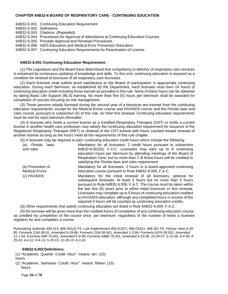#### **CHAPTER 64B32-6 BOARD OF RESPIRATORY CARE - CONTINUING EDUCATION**

64B32-6.001 Continuing Education Requirement 64B32-6.002 Definitions. 64B32-6.003 Citations. (Repealed) 64B32-6.004 Procedures for Approval of Attendance at Continuing Education Courses. 64B32-6.005 Provider Approval and Renewal Procedures. 64B32-6.006 AIDS Education and Medical Error Prevention Education. 64B32-6.007 Continuing Education Requirements for Reactivation of License.

#### **64B32-6.001 Continuing Education Requirement.**

(1) The Legislature and the Board have determined that competency in delivery of respiratory care services is enhanced by continuous updating of knowledge and skills. To this end, continuing education is required as a condition for renewal of licensure of all respiratory care licensees.

(2) Each licensee shall submit proof satisfactory to the Board of participation in appropriate continuing education. During each biennium, as established by the Department, each licensee must earn 24 hours of continuing education credit including those earned as provided in this rule. None of these hours can be obtained by taking Basic Life Support (BLS) training. No more than five (5) hours per biennium shall be awarded for completion of courses focusing on risk management.

(3) Those persons initially licensed during the second year of a biennium are exempt from the continuing education requirements, except for the Medical Errors course and HIV/AIDS course and the Florida laws and rules course, pursuant to subsection (5) of this rule, for their first renewal. Continuing education requirements must be met for each biennium thereafter.

(4) A licensee who holds a current license as a Certified Respiratory Therapist (CRT) or holds a current license in another health care profession may satisfy the continuing education requirement for issuance of the Registered Respiratory Therapist (RRT) or renewal of the CRT license with hours counted toward renewal of another license as long as the hours meet all the requirements of this rule chapter.<br>(5) A license a movie convirced to earn continuing education spedit bours which include the fallowing

|                  | (5) A licensee may be required to earn continuing education credit hours which include the following: |
|------------------|-------------------------------------------------------------------------------------------------------|
| (a) Elorida Jawe | Mandatory for all licensens: 2 cradit hours pursuant to subsect                                       |

| Florida<br>(a)<br>laws<br>and rules                        | Mandatory for all licensees: 2 credit hours pursuant to subsection<br>64B32-6.001(5), F.A.C. Licensees may earn up to 8 continuing<br>education hours per biennium by attending meetings of the Board of<br>Respiration Care, but no more than 2 of those hours will be credited to<br>satisfying the Florida laws and rules requirement.                                                                                                                                                                                                                                                                                                       |
|------------------------------------------------------------|-------------------------------------------------------------------------------------------------------------------------------------------------------------------------------------------------------------------------------------------------------------------------------------------------------------------------------------------------------------------------------------------------------------------------------------------------------------------------------------------------------------------------------------------------------------------------------------------------------------------------------------------------|
| (b) Prevention of<br><b>Medical Errors</b><br>(c) HIV/AIDS | Mandatory for all licensees: 2 hours in a board-approved continuing<br>education course pursuant to Rule 64B32-6.006, F.A.C.<br>Mandatory for the initial renewal of all licensees, optional for<br>subsequent renewals: At least 3 hours but no more than 5 hours<br>pursuant to Rule 64B32-6.006, F.A.C. The course must be taken within<br>the last five (5) years prior to either initial licensure or first renewal.<br>Licensees may complete up to 5 hours of continuing education credited<br>to HIV/AIDS education, although any completed hours in excess of the<br>required 3 hours will be counted as continuing education credits. |
|                                                            | (a) Other accuracy contribution to the continuing ordination and listed in Dule C4D00, CAO4, F.A.O.                                                                                                                                                                                                                                                                                                                                                                                                                                                                                                                                             |

(d) Other requirements that satisfy continuing education are listed in Rule 64B32-6.004, F.A.C.

(6) No licensee will be given more than the credited hours of completion of any continuing education course, as credited for completion of the course once, per biennium, regardless of the number of times a licensee registers for and completes a course.

*Rulemaking Authority 456.013, 468.361(2) FS. Law Implemented 456.013(7), 456.033(1), 468.361 FS. History–New 4-29- 85, Formerly 21M-38.01, Amended 9-29-86, Formerly 21M-38.001, Amended 1-2-94, Formerly 61F6-38.001, Amended 11-1-94, Formerly 59R-75.001, Amended 6-9-99, Formerly 64B8-75.001, Amended 5-15-05, 10-28-07, 5-15-08, 8-4-09, 4- 25-10, 4-4-12, 8-4-14, 5-25-15, 12-28-15, 8-3-16.*

#### **64B32-6.002 Definitions.**

(1) "Academic Quarter Credit Hour" means ten (10) hours.

(2) "Academic Semester Credit Hour" means fifteen (15) hours.

Page **20** of **78**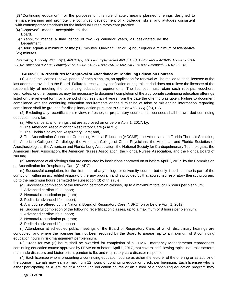(3) "Continuing education", for the purposes of this rule chapter, means planned offerings designed to enhance learning and promote the continued development of knowledge, skills, and attitudes consistent with contemporary standards for the individual's respiratory care practice.

(4) "Approved" means acceptable to the Board.

(5) "Biennium" means a time period of two (2) calendar years, as designated by the Department.

(6) "Hour" equals a minimum of fifty (50) minutes. One-half (1/2 or .5) hour equals a minimum of twenty-five (25) minutes.

*Rulemaking Authority 468.353(1), 468.361(2) FS. Law Implemented 468.361 FS. History–New 4-29-85, Formerly 21M-38.02, Amended 9-29-86, Formerly 21M-38.002, 61F6-38.002, 59R-75.002, 64B8-75.002, Amended 2-20-07, 8-3-15.*

# **64B32-6.004 Procedures for Approval of Attendance at Continuing Education Courses.**

(1)During the license renewal period of each biennium, an application for renewal will be mailed to each licensee at the last address provided to the Board. Failure to receive any notification during this period does not relieve the licensee of the responsibility of meeting the continuing education requirements. The licensee must retain such receipts, vouchers, certificates, or other papers as may be necessary to document completion of the appropriate continuing education offerings listed on the renewal form for a period of not less than 4 years from the date the offering was taken. Failure to document compliance with the continuing education requirements or the furnishing of false or misleading information regarding compliance shall be grounds for disciplinary action pursuant to Section 468.365(1)(a), F.S.

(2) Excluding any recertification, review, refresher, or preparatory courses, all licensees shall be awarded continuing education hours for:

(a) Attendance at all offerings that are approved on or before April 1, 2017, by:

1. The American Association for Respiratory Care (AARC);

2. The Florida Society for Respiratory Care; and,

3. The Accreditation Council for Continuing Medical Education (ACCME), the American and Florida Thoracic Societies, the American College of Cardiology, the American College of Chest Physicians, the American and Florida Societies of Anesthesiologists, the American and Florida Lung Association, the National Society for Cardiopulmonary Technologists, the American Heart Association, the American Nurses Association, the Florida Nurses Association, and the Florida Board of Nursing.

(b) Attendance at all offerings that are conducted by institutions approved on or before April 1, 2017, by the Commission on Accreditation for Respiratory Care (CoARC);

(c) Successful completion, for the first time, of any college or university course, but only if such course is part of the curriculum within an accredited respiratory therapy program and is provided by that accredited respiratory therapy program, up to the maximum hours permitted by subsection (3) of this rule.

(d) Successful completion of the following certification classes, up to a maximum total of 16 hours per biennium;

- 1. Advanced cardiac life support;
- 2. Neonatal resuscitation program;
- 3. Pediatric advanced life support;
- 4. Any course offered by the National Board of Respiratory Care (NBRC) on or before April 1, 2017.

(e) Successful completion of the following recertification classes, up to a maximum of 8 hours per biennium;

- 1. Advanced cardiac life support;
- 2. Neonatal resuscitation program;
- 3. Pediatric advanced life support.

(f) Attendance at scheduled public meetings of the Board of Respiratory Care, at which disciplinary hearings are conducted, and where the licensee has not been required by the Board to appear, up to a maximum of 8 continuing education hours in risk management per biennium.

(3) Credit for two (2) hours shall be awarded for completion of a FEMA Emergency Management/Preparedness continuing education course approved by FEMA on or before April 1, 2017, that covers the following topics: natural disasters, manmade disasters and bioterrorism, pandemic flu, and respiratory care disaster response.

(4) Each licensee who is presenting a continuing education course as either the lecturer of the offering or as author of the course materials may earn a maximum 12 hours of continuing education credit per biennium. Each licensee who is either participating as a lecturer of a continuing education course or an author of a continuing education program may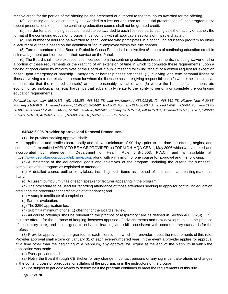receive credit for the portion of the offering he/she presented or authored to the total hours awarded for the offering.

(a) Continuing education credit may be awarded to a lecturer or author for the initial presentation of each program only; repeat presentations of the same continuing education course shall not be granted credit.

(b) In order for a continuing education credit to be awarded to each licensee participating as either faculty or author, the format of the continuing education program must comply with all applicable sections of this rule chapter.

(c) The number of hours to be awarded to each licensee who participates in a continuing education program as either a lecturer or author is based on the definition of "hour" employed within this rule chapter.

(5) Former members of the Board's Probable Cause Panel shall receive five (5) hours of continuing education credit in risk management per biennium for their service on the Panel.

(6) The Board shall make exceptions for licensee from the continuing education requirements, including waiver of all or a portion of these requirements or the granting of an extension of time in which to complete these requirements, upon a finding of good cause by majority vote of the Board at a public meeting following receipt of a written request for exception based upon emergency or hardship. Emergency or hardship cases are those: (1) involving long term personal illness or illness involving a close relative or person for whom the licensee has care-giving responsibilities; (2) where the licensee can demonstrate that the required course(s) are not reasonably available; and (3) where the licensee can demonstrate economic, technological, or legal hardships that substantially relate to the ability to perform or complete the continuing education requirements.

*Rulemaking Authority 456.013(6), (9), 468.353, 468.361 FS. Law Implemented 456.013(6), (9), 468.361 FS. History–New 4-29-85, Formerly 21M-38.04, Amended 9-29-86, 11-29-88, 9-24-92, 10-15-92, Formerly 21M-38.004, Amended 1-2-94, 7-10-94, Formerly 61F6- 38.004, Amended 11-1-94, 3-14-95, 7-18-95, 4-24-96, 8-27-96, Formerly 59R-75.004, 64B8-75.004, Amended 6-8-00, 5-7-01, 1-22-03, 7-29-03, 5-31-04, 4-19-07, 10-8-07, 9-3-09, 2-18-10, 5-25-15, 9-23-15, 6-5-17.*

#### **64B32-6.005 Provider Approval and Renewal Procedures.**

(1) The provider seeking approval shall:

Make application and profile electronically and allow a minimum of 90 days prior to the date the offering begins, and submit the form entitled APPLY TO BE A CE PROVIDER on FORM DH-MQA-CEB-1, May 2006 which was adopted and incorporated by reference in Department of Health Rule 64B-5.003, F.A.C., and is available at: https://www.cebroker.com/public/pb\_index.asp\_along with a minimum of one course for approval and the following:

(a) A statement of the educational goals and objectives of the program, including the criteria for successful completion of the program as explained to attendees;

(b) A detailed course outline or syllabus, including such items as method of instruction, and testing materials, if any;

(c) A current curriculum vitae of each speaker or lecturer appearing in the program;

(d) The procedure to be used for recording attendance of those attendees seeking to apply for continuing education credit and the procedure for certification of attendance; and

(e) A sample certificate of completion.

(f) Sample evaluation.

(g) The \$250 application fee.

(h) Submit a minimum of one (1) offering for the Board's review.

(2) All course offerings shall be relevant to the practice of respiratory care as defined in Section 468.352(4), F.S., must be offered for the purpose of keeping licensees apprised of advancements and new developments in the practice of respiratory care, and is designed to enhance learning and skills consistent with contemporary standards for the profession.

(3) Provider approval shall be granted for each biennium in which the provider meets the requirements of this rule. Provider approval shall expire on January 31 of each even-numbered year. In the event a provider applies for approval at a time other than the beginning of a biennium, any approval will expire at the end of the biennium in which the application was made.

(4) Every provider shall:

(a) Notify the Board through CE Broker, of any change in contact persons or any significant alterations or changes in the content, goals or objectives, or syllabus of the program, or in the instructors of the program.

(b) Be subject to periodic review to determine if the program continues to meet the requirements of this rule.

Page **22** of **78**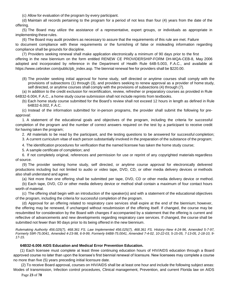(c) Allow for evaluation of the program by every participant.

(d) Maintain all records pertaining to the program for a period of not less than four (4) years from the date of the offering.

(5) The Board may utilize the assistance of a representative, expert groups, or individuals as appropriate in implementing these rules.

(6) The Board may audit providers as necessary to assure that the requirements of this rule are met. Failure to document compliance with these requirements or the furnishing of false or misleading information regarding compliance shall be grounds for discipline.

(7) Providers seeking renewal shall make application electronically a minimum of 90 days prior to the first offering in the new biennium on the form entitled RENEW CE PROVIDERSHIP-FORM DH-MQA-CEB-8, May 2006 adopted and incorporated by reference in the Department of Health Rule 64B-5.003, F.A.C., and available at https:/[/www.cebroker.com/public/pb\\_index.asp.](http://www.cebroker.com/public/pb_index.asp) The biennial renewal fee for providers shall be \$220.00.

(8) The provider seeking initial approval for home study, self directed or anytime courses shall comply with the provisions of subsections (1) through (3), and providers seeking to renew approval as a provider of home study, self directed, or anytime courses shall comply with the provisions of subsections (4) through (7).

(a) In addition to the credit exclusion for recertification, review, refresher or preparatory courses as provided in Rule 64B32-6.004, F.A.C., a home study course submission shall not include reprints from textbooks.

(b) Each home study course submitted for the Board's review shall not exceed 12 hours in length as defined in Rule 64B32-6.002, F.A.C.

(c) Instead of the information submitted for in-person programs, the provider shall submit the following for preapproval:

1. A statement of the educational goals and objectives of the program, including the criteria for successful completion of the program and the number of correct answers required on the test by a participant to receive credit for having taken the program;

2. All materials to be read by the participant, and the testing questions to be answered for successful completion;

3. A current curriculum vitae of each person substantially involved in the preparation of the substance of the program;

4. The identification procedures for verification that the named licensee has taken the home study course;

5. A sample certificate of completion; and

6. If not completely original, references and permission for use or reprint of any copyrighted materials regardless of source.

(9) The provider seeking home study, self directed, or anytime course approval for electronically delivered productions including but not limited to audio or video tape, DVD, CD, or other media delivery devices or methods also shall understand and agree:

(a) Not more than one offering shall be submitted per tape, DVD, CD or other media delivery device or method.

(b) Each tape, DVD, CD or other media delivery device or method shall contain a maximum of four contact hours worth of material.

(c) The offering shall begin with an introduction of the speaker(s) and with a statement of the educational objectives of the program, including the criteria for successful completion of the program.

(d) Approval for an offering related to respiratory care services shall expire at the end of the biennium; however, the offering may be renewed, if unchanged without resubmission of the offering itself. If changed, the course may be resubmitted for consideration by the Board with changes if accompanied by a statement that the offering is current and reflective of advancements and new developments regarding respiratory care services. If changed, the course shall be submitted not fewer than 90 days prior to its being offered in the new biennium.

*Rulemaking Authority 456.025(7), 468.361 FS. Law Implemented 456.025(7), 468.361 FS. History–New 4-24-96, Amended 5-7-97, Formerly 59R-75.0041, Amended 4-23-98, 6-9-99, Formerly 64B8-75.0041, Amended 7-4-02, 10-22-03, 5-15-05, 7-13-05, 2-18-10, 9- 17-15.*

#### **64B32-6.006 AIDS Education and Medical Error Prevention Education.**

(1) Each licensee must complete at least three continuing education hours of HIV/AIDS education through a Board approved course no later than upon the licensee's first biennial renewal of licensure. New licensees may complete a course no more than five (5) years preceding initial licensure date.

(2) To receive Board approval, courses on HIV/AIDS shall be at least one hour and include the following subject areas: Modes of transmission, Infection control procedures, Clinical management, Prevention, and current Florida law on AIDS

Page **23** of **78**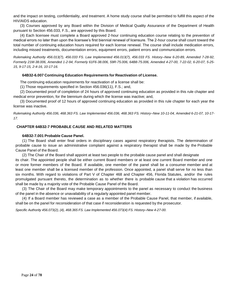and the impact on testing, confidentiality, and treatment. A home study course shall be permitted to fulfill this aspect of the HIV/AIDS education.

(3) Courses approved by any Board within the Division of Medical Quality Assurance of the Department of Health pursuant to Section 456.033, F.S., are approved by this Board.

(4) Each licensee must complete a Board approved 2-hour continuing education course relating to the prevention of medical errors no later than upon the licensee's first biennial renewal of licensure. The 2-hour course shall count toward the total number of continuing education hours required for each license renewal. The course shall include medication errors, including missed treatments, documentation errors, equipment errors, patient errors and communication errors.

*Rulemaking Authority 456.013(7), 456.033 FS. Law Implemented 456.013(7), 456.033 FS. History–New 6-20-89, Amended 7-28-92, Formerly 21M-38.006, Amended 1-2-94, Formerly 61F6-38.006, 59R-75.006, 64B8-75.006, Amended 4-27-00, 7-22-02, 6-20-07, 5-25- 15, 9-17-15, 2-4-16, 10-17-16.*

#### **64B32-6.007 Continuing Education Requirements for Reactivation of License.**

The continuing education requirements for reactivation of a license shall be:

(1) Those requirements specified in Section 456.036(11), F.S.; and,

(2) Documented proof of completion of 24 hours of approved continuing education as provided in this rule chapter and medical error prevention, for the biennium during which the license was inactive; and,

(3) Documented proof of 12 hours of approved continuing education as provided in this rule chapter for each year the license was inactive.

*Rulemaking Authority 456.036, 468.363 FS. Law Implemented 456.036, 468.363 FS. History–New 10-11-04, Amended 6-21-07, 10-17- 17.*

# **CHAPTER 64B32-7 PROBABLE CAUSE AND RELATED MATTERS**

#### **64B32-7.001 Probable Cause Panel.**

(1) The Board shall enter final orders in disciplinary cases against respiratory therapists. The determination of probable cause to issue an administrative complaint against a respiratory therapist shall be made by the Probable Cause Panel of the Board.

(2) The Chair of the Board shall appoint at least two people to the probable cause panel and shall designate its chair. The appointed people shall be either current Board members or at least one current Board member and one or more former members of the Board. If available, one member of the panel shall be a consumer member and at least one member shall be a licensed member of the profession. Once appointed, a panel shall serve for no less than six months. With regard to violations of Part V of Chapter 468 and Chapter 456, Florida Statutes, and/or the rules promulgated pursuant thereto, the determination as to whether there is probable cause that a violation has occurred

shall be made by a majority vote of the Probable Cause Panel of the Board. (3) The Chair of the Board may make temporary appointments to the panel as necessary to conduct the business of the panel in the absence or unavailability of a regularly appointed panel member.

(4) If a Board member has reviewed a case as a member of the Probable Cause Panel, that member, if available, shall be on the panel for reconsideration of that case if reconsideration is requested by the prosecutor.

*Specific Authority 456.073(2), (4), 468.365 FS. Law Implemented 456.073(4) FS. History–New 4-27-00.*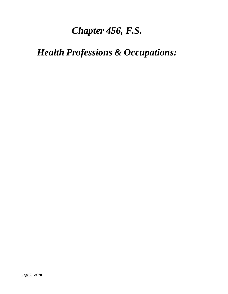# *Chapter 456, F.S.*

# *Health Professions & Occupations:*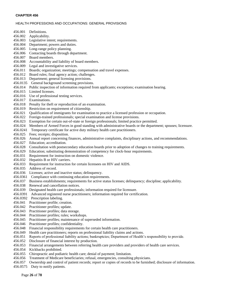#### **CHAPTER 456**

#### HEALTH PROFESSIONS AND OCCUPATIONS: GENERAL PROVISIONS

- 456.001 Definitions.
- 456.002 Applicability.
- 456.003 Legislative intent; requirements.
- 456.004 Department; powers and duties.
- 456.005 Long-range policy planning.
- 456.006 Contacting boards through department.
- 456.007 Board members.
- 456.008 Accountability and liability of board members.
- 456.009 Legal and investigative services.
- 456.011 Boards; organization; meetings; compensation and travel expenses.
- 456.012 Board rules; final agency action; challenges.
- 456.013 Department; general licensing provisions.
- 456.0135 General background screening provisions.
- 456.014 Public inspection of information required from applicants; exceptions; examination hearing.
- 456.015 Limited licenses.
- 456.016 Use of professional testing services.
- 456.017 Examinations.
- 456.018 Penalty for theft or reproduction of an examination.
- 456.019 Restriction on requirement of citizenship.
- 456.021 Qualification of immigrants for examination to practice a licensed profession or occupation.
- 456.022 Foreign-trained professionals; special examination and license provisions.
- 456.023 Exemption for certain out-of-state or foreign professionals; limited practice permitted.
- 456.024 Members of Armed Forces in good standing with administrative boards or the department; spouses; licensure.
- 456.0241 Temporary certificate for active duty military health care practitioners.
- 456.025 Fees; receipts; disposition.
- 456.026 Annual report concerning finances, administrative complaints, disciplinary actions, and recommendations.
- 456.027 Education; accreditation.
- 456.028 Consultation with postsecondary education boards prior to adoption of changes to training requirements.<br>456.029 Education: substituting demonstration of competency for clock-hour requirements.
- Education; substituting demonstration of competency for clock-hour requirements.
- 456.031 Requirement for instruction on domestic violence.
- 456.032 Hepatitis B or HIV carriers.
- 456.033 Requirement for instruction for certain licensees on HIV and AIDS.
- 456.035 Address of record.
- 456.036 Licenses; active and inactive status; delinquency.
- 456.0361 Compliance with continuing education requirements.
- 456.037 Business establishments; requirements for active status licenses; delinquency; discipline; applicability.
- 456.038 Renewal and cancellation notices.
- 456.039 Designated health care professionals; information required for licensure.
- 456.0391 Advanced registered nurse practitioners; information required for certification.
- 456.0392 Prescription labeling.
- 456.041 Practitioner profile; creation.
- 456.042 Practitioner profiles; update.
- 456.043 Practitioner profiles; data storage.
- 456.044 Practitioner profiles; rules; workshops.
- 456.045 Practitioner profiles; maintenance of superseded information.
- 456.046 Practitioner profiles; confidentiality.
- 456.048 Financial responsibility requirements for certain health care practitioners.
- 456.049 Health care practitioners; reports on professional liability claims and actions.
- 456.051 Reports of professional liability actions; bankruptcies; Department of Health's responsibility to provide.
- 456.052 Disclosure of financial interest by production.
- 456.053 Financial arrangements between referring health care providers and providers of health care services.
- 456.054 Kickbacks prohibited.
- 456.055 Chiropractic and podiatric health care; denial of payment; limitation.
- 456.056 Treatment of Medicare beneficiaries; refusal, emergencies, consulting physicians.
- 456.057 Ownership and control of patient records; report or copies of records to be furnished; disclosure of information.

456.0575 Duty to notify patients.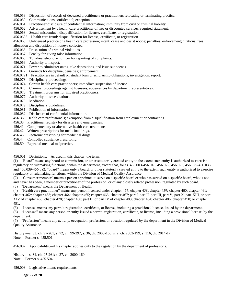- 456.058 Disposition of records of deceased practitioners or practitioners relocating or terminating practice.
- 456.059 Communications confidential; exceptions.
- 456.061 Practitioner disclosure of confidential information; immunity from civil or criminal liability.
- 456.062 Advertisement by a health care practitioner of free or discounted services; required statement.
- 456.063 Sexual misconduct; disqualification for license, certificate, or registration.
- 456.0635 Health care fraud; disqualification for license, certificate, or registration.

456.065 Unlicensed practice of a health care profession; intent; cease and desist notice; penalties; enforcement; citations; fees; allocation and disposition of moneys collected.

- 456.066 Prosecution of criminal violations.
- 456.067 Penalty for giving false information.
- 456.068 Toll-free telephone number for reporting of complaints.
- 456.069 Authority to inspect.
- 456.071 Power to administer oaths, take depositions, and issue subpoenas.
- 456.072 Grounds for discipline; penalties; enforcement.
- 456.0721 Practitioners in default on student loan or scholarship obligations; investigation; report.
- 456.073 Disciplinary proceedings.
- 456.074 Certain health care practitioners; immediate suspension of license.
- 456.075 Criminal proceedings against licensees; appearances by department representatives.
- 456.076 Treatment programs for impaired practitioners.
- 456.077 Authority to issue citations.
- 456.078 Mediation.
- 456.079 Disciplinary guidelines.
- 456.081 Publication of information.
- 456.082 Disclosure of confidential information.
- 456.36 Health care professionals; exemption from disqualification from employment or contracting.
- 456.38 Practitioner registry for disasters and emergencies.
- 456.41 Complementary or alternative health care treatments.
- 456.42 Written prescriptions for medicinal drugs.
- 456.43 Electronic prescribing for medicinal drugs.
- 456.44 Controlled substance prescribing.
- 456.50 Repeated medical malpractice.

456.001 Definitions.—As used in this chapter, the term:

(1) "Board" means any board or commission, or other statutorily created entity to the extent such entity is authorized to exercise regulatory or rulemaking functions, within the department, except that, for ss. 456.003-456.018, 456.022, 456.023, 456.025-456.033, and 456.039-456.082, "board" means only a board, or other statutorily created entity to the extent such entity is authorized to exercise regulatory or rulemaking functions, within the Division of Medical Quality Assurance.

(2) "Consumer member" means a person appointed to serve on a specific board or who has served on a specific board, who is not, and never has been, a member or practitioner of the profession, or of any closely related profession, regulated by such board. (3) "Department" means the Department of Health.

(4) "Health care practitioner" means any person licensed under chapter 457; chapter 458; chapter 459; chapter 460; chapter 461; chapter 462; chapter 463; chapter 464; chapter 465; chapter 466; chapter 467; part I, part II, part III, part V, part X, part XIII, or part XIV of chapter 468; chapter 478; chapter 480; part III or part IV of chapter 483; chapter 484; chapter 486; chapter 490; or chapter 491.

(5) "License" means any permit, registration, certificate, or license, including a provisional license, issued by the department.

(6) "Licensee" means any person or entity issued a permit, registration, certificate, or license, including a provisional license, by the department.

(7) "Profession" means any activity, occupation, profession, or vocation regulated by the department in the Division of Medical Quality Assurance.

History.—s. 33, ch. 97-261; s. 72, ch. 99-397; s. 36, ch. 2000-160; s. 2, ch. 2002-199; s. 116, ch. 2014-17. Note.—Former s. 455.501.

456.002 Applicability.—This chapter applies only to the regulation by the department of professions.

History.—s. 34, ch. 97-261; s. 37, ch. 2000-160. Note.—Former s. 455.504.

456.003 Legislative intent; requirements.—

Page **27** of **78**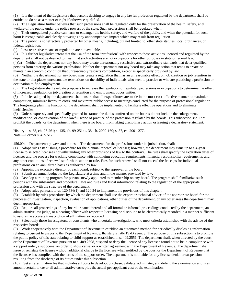(1) It is the intent of the Legislature that persons desiring to engage in any lawful profession regulated by the department shall be entitled to do so as a matter of right if otherwise qualified.

(2) The Legislature further believes that such professions shall be regulated only for the preservation of the health, safety, and welfare of the public under the police powers of the state. Such professions shall be regulated when:

(a) Their unregulated practice can harm or endanger the health, safety, and welfare of the public, and when the potential for such harm is recognizable and clearly outweighs any anticompetitive impact which may result from regulation.

(b) The public is not effectively protected by other means, including, but not limited to, other state statutes, local ordinances, or federal legislation.

(c) Less restrictive means of regulation are not available.

(3) It is further legislative intent that the use of the term "profession" with respect to those activities licensed and regulated by the department shall not be deemed to mean that such activities are not occupations for other purposes in state or federal law.

(4)(a) Neither the department nor any board may create unreasonably restrictive and extraordinary standards that deter qualified persons from entering the various professions. Neither the department nor any board may take any action that tends to create or maintain an economic condition that unreasonably restricts competition, except as specifically provided by law.

(b) Neither the department nor any board may create a regulation that has an unreasonable effect on job creation or job retention in the state or that places unreasonable restrictions on the ability of individuals who seek to practice or who are practicing a profession or occupation to find employment.

(c) The Legislature shall evaluate proposals to increase the regulation of regulated professions or occupations to determine the effect of increased regulation on job creation or retention and employment opportunities.

(5) Policies adopted by the department shall ensure that all expenditures are made in the most cost-effective manner to maximize competition, minimize licensure costs, and maximize public access to meetings conducted for the purpose of professional regulation. The long-range planning function of the department shall be implemented to facilitate effective operations and to eliminate inefficiencies.

(6) Unless expressly and specifically granted in statute, the duties conferred on the boards do not include the enlargement, modification, or contravention of the lawful scope of practice of the profession regulated by the boards. This subsection shall not prohibit the boards, or the department when there is no board, from taking disciplinary action or issuing a declaratory statement.

History.—s. 38, ch. 97-261; s. 135, ch. 99-251; s. 38, ch. 2000-160; s. 57, ch. 2001-277. Note.—Former s. 455.517.

456.004 Department; powers and duties.—The department, for the professions under its jurisdiction, shall:

(1) Adopt rules establishing a procedure for the biennial renewal of licenses; however, the department may issue up to a 4-year license to selected licensees notwithstanding any other provisions of law to the contrary. The rules shall specify the expiration dates of licenses and the process for tracking compliance with continuing education requirements, financial responsibility requirements, and any other conditions of renewal set forth in statute or rule. Fees for such renewal shall not exceed the fee caps for individual professions on an annualized basis as authorized by law.

(2) Appoint the executive director of each board, subject to the approval of the board.

(3) Submit an annual budget to the Legislature at a time and in the manner provided by law.

(4) Develop a training program for persons newly appointed to membership on any board. The program shall familiarize such persons with the substantive and procedural laws and rules and fiscal information relating to the regulation of the appropriate profession and with the structure of the department.

(5) Adopt rules pursuant to ss. 120.536(1) and 120.54 to implement the provisions of this chapter.

(6) Establish by rules procedures by which the department shall use the expert or technical advice of the appropriate board for the purposes of investigation, inspection, evaluation of applications, other duties of the department, or any other areas the department may deem appropriate.

(7) Require all proceedings of any board or panel thereof and all formal or informal proceedings conducted by the department, an administrative law judge, or a hearing officer with respect to licensing or discipline to be electronically recorded in a manner sufficient to assure the accurate transcription of all matters so recorded.

(8) Select only those investigators, or consultants who undertake investigations, who meet criteria established with the advice of the respective boards.

(9) Work cooperatively with the Department of Revenue to establish an automated method for periodically disclosing information relating to current licensees to the Department of Revenue, the state's Title IV-D agency. The purpose of this subsection is to promote the public policy of this state relating to child support as established in s. 409.2551. The department shall, when directed by the court or the Department of Revenue pursuant to s. 409.2598, suspend or deny the license of any licensee found not to be in compliance with a support order, a subpoena, an order to show cause, or a written agreement with the Department of Revenue. The department shall issue or reinstate the license without additional charge to the licensee when notified by the court or the Department of Revenue that the licensee has complied with the terms of the support order. The department is not liable for any license denial or suspension resulting from the discharge of its duties under this subsection.

(10) Set an examination fee that includes all costs to develop, purchase, validate, administer, and defend the examination and is an amount certain to cover all administrative costs plus the actual per-applicant cost of the examination.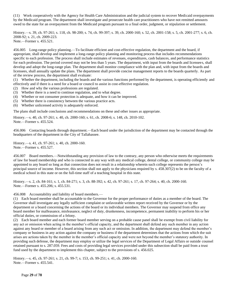(11) Work cooperatively with the Agency for Health Care Administration and the judicial system to recover Medicaid overpayments by the Medicaid program. The department shall investigate and prosecute health care practitioners who have not remitted amounts owed to the state for an overpayment from the Medicaid program pursuant to a final order, judgment, or stipulation or settlement.

History.—s. 39, ch. 97-261; s. 118, ch. 98-200; s. 74, ch. 99-397; s. 39, ch. 2000-160; s. 52, ch. 2001-158; s. 5, ch. 2001-277; s. 6, ch. 2008-92; s. 21, ch. 2009-223. Note.—Former s. 455.521.

456.005 Long-range policy planning.—To facilitate efficient and cost-effective regulation, the department and the board, if appropriate, shall develop and implement a long-range policy planning and monitoring process that includes recommendations specific to each profession. The process shall include estimates of revenues, expenditures, cash balances, and performance statistics for each profession. The period covered may not be less than 5 years. The department, with input from the boards and licensees, shall develop and adopt the long-range plan. The department shall monitor compliance with the plan and, with input from the boards and licensees, shall annually update the plans. The department shall provide concise management reports to the boards quarterly. As part of the review process, the department shall evaluate:

(1) Whether the department, including the boards and the various functions performed by the department, is operating efficiently and effectively and if there is a need for a board or council to assist in cost-effective regulation.

- (2) How and why the various professions are regulated.
- (3) Whether there is a need to continue regulation, and to what degree.
- (4) Whether or not consumer protection is adequate, and how it can be improved.
- (5) Whether there is consistency between the various practice acts.
- (6) Whether unlicensed activity is adequately enforced.

The plans shall include conclusions and recommendations on these and other issues as appropriate.

History.—s. 40, ch. 97-261; s. 40, ch. 2000-160; s. 61, ch. 2008-6; s. 148, ch. 2010-102. Note.—Former s. 455.524.

456.006 Contacting boards through department.—Each board under the jurisdiction of the department may be contacted through the headquarters of the department in the City of Tallahassee.

History.—s. 41, ch. 97-261; s. 40, ch. 2000-160. Note.—Former s. 455.527.

456.007 Board members.—Notwithstanding any provision of law to the contrary, any person who otherwise meets the requirements of law for board membership and who is connected in any way with any medical college, dental college, or community college may be appointed to any board so long as that connection does not result in a relationship wherein such college represents the person's principal source of income. However, this section shall not apply to the physicians required by s. 458.307(2) to be on the faculty of a medical school in this state or on the full-time staff of a teaching hospital in this state.

History.—s. 2, ch. 84-161; s. 1, ch. 84-271; s. 3, ch. 88-392; s. 42, ch. 97-261; s. 17, ch. 97-264; s. 40, ch. 2000-160. Note.—Former s. 455.206; s. 455.531.

456.008 Accountability and liability of board members.—

(1) Each board member shall be accountable to the Governor for the proper performance of duties as a member of the board. The Governor shall investigate any legally sufficient complaint or unfavorable written report received by the Governor or by the department or a board concerning the actions of the board or its individual members. The Governor may suspend from office any board member for malfeasance, misfeasance, neglect of duty, drunkenness, incompetence, permanent inability to perform his or her official duties, or commission of a felony.

(2) Each board member and each former board member serving on a probable cause panel shall be exempt from civil liability for any act or omission when acting in the member's official capacity, and the department shall defend any such member in any action against any board or member of a board arising from any such act or omission. In addition, the department may defend the member's company or business in any action against the company or business if the department determines that the actions from which the suit arises are actions taken by the member in the member's official capacity and were not beyond the member's statutory authority. In providing such defense, the department may employ or utilize the legal services of the Department of Legal Affairs or outside counsel retained pursuant to s. 287.059. Fees and costs of providing legal services provided under this subsection shall be paid from a trust fund used by the department to implement this chapter, subject to the provisions of s. 456.025.

History.—s. 45, ch. 97-261; s. 21, ch. 99-7; s. 153, ch. 99-251; s. 41, ch. 2000-160. Note.—Former s. 455.541.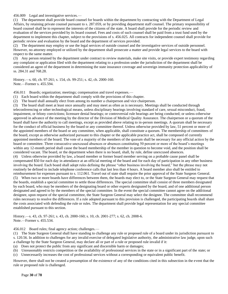456.009 Legal and investigative services.—

(1) The department shall provide board counsel for boards within the department by contracting with the Department of Legal Affairs, by retaining private counsel pursuant to s. 287.059, or by providing department staff counsel. The primary responsibility of board counsel shall be to represent the interests of the citizens of the state. A board shall provide for the periodic review and evaluation of the services provided by its board counsel. Fees and costs of such counsel shall be paid from a trust fund used by the department to implement this chapter, subject to the provisions of s. 456.025. All contracts for independent counsel shall provide for periodic review and evaluation by the board and the department of services provided.

(2) The department may employ or use the legal services of outside counsel and the investigative services of outside personnel. However, no attorney employed or utilized by the department shall prosecute a matter and provide legal services to the board with respect to the same matter.

(3) Any person retained by the department under contract to review materials, make site visits, or provide expert testimony regarding any complaint or application filed with the department relating to a profession under the jurisdiction of the department shall be considered an agent of the department in determining the state insurance coverage and sovereign immunity protection applicability of ss. 284.31 and 768.28.

History.—s. 60, ch. 97-261; s. 154, ch. 99-251; s. 42, ch. 2000-160. Note.—Former s. 455.594.

456.011 Boards; organization; meetings; compensation and travel expenses.—

(1) Each board within the department shall comply with the provisions of this chapter.

(2) The board shall annually elect from among its number a chairperson and vice chairperson.

(3) The board shall meet at least once annually and may meet as often as is necessary. Meetings shall be conducted through teleconferencing or other technological means, unless disciplinary hearings involving standard of care, sexual misconduct, fraud, impairment, or felony convictions; licensure denial hearings; or controversial rule hearings are being conducted; or unless otherwise approved in advance of the meeting by the director of the Division of Medical Quality Assurance. The chairperson or a quorum of the board shall have the authority to call meetings, except as provided above relating to in-person meetings. A quorum shall be necessary for the conduct of official business by the board or any committee thereof. Unless otherwise provided by law, 51 percent or more of the appointed members of the board or any committee, when applicable, shall constitute a quorum. The membership of committees of the board, except as otherwise authorized pursuant to this chapter or the applicable practice act, shall be composed of currently appointed members of the board. The vote of a majority of the members of the quorum shall be necessary for any official action by the board or committee. Three consecutive unexcused absences or absences constituting 50 percent or more of the board's meetings within any 12-month period shall cause the board membership of the member in question to become void, and the position shall be considered vacant. The board, or the department when there is no board, shall, by rule, define unexcused absences. (4) Unless otherwise provided by law, a board member or former board member serving on a probable cause panel shall be compensated \$50 for each day in attendance at an official meeting of the board and for each day of participation in any other business involving the board. Each board shall adopt rules defining the phrase "other business involving the board," but the phrase may not routinely be defined to include telephone conference calls that last less than 4 hours. A board member also shall be entitled to reimbursement for expenses pursuant to s. 112.061. Travel out of state shall require the prior approval of the State Surgeon General. (5) When two or more boards have differences between them, the boards may elect to, or the State Surgeon General may request that the boards, establish a special committee to settle those differences. The special committee shall consist of three members designated by each board, who may be members of the designating board or other experts designated by the board, and of one additional person designated and agreed to by the members of the special committee. In the event the special committee cannot agree on the additional designee, upon request of the special committee, the State Surgeon General may select the designee. The committee shall recommend rules necessary to resolve the differences. If a rule adopted pursuant to this provision is challenged, the participating boards shall share the costs associated with defending the rule or rules. The department shall provide legal representation for any special committee established pursuant to this section.

History.—s. 43, ch. 97-261; s. 43, ch. 2000-160; s. 10, ch. 2001-277; s. 62, ch. 2008-6. Note.—Former s. 455.534.

456.012 Board rules; final agency action; challenges.—

(1) The State Surgeon General shall have standing to challenge any rule or proposed rule of a board under its jurisdiction pursuant to s. 120.56. In addition to challenges for any invalid exercise of delegated legislative authority, the administrative law judge, upon such a challenge by the State Surgeon General, may declare all or part of a rule or proposed rule invalid if it:

(a) Does not protect the public from any significant and discernible harm or damages;

(b) Unreasonably restricts competition or the availability of professional services in the state or in a significant part of the state; or

(c) Unnecessarily increases the cost of professional services without a corresponding or equivalent public benefit.

However, there shall not be created a presumption of the existence of any of the conditions cited in this subsection in the event that the rule or proposed rule is challenged.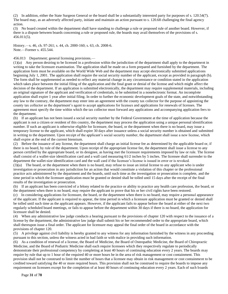(2) In addition, either the State Surgeon General or the board shall be a substantially interested party for purposes of s. 120.54(7). The board may, as an adversely affected party, initiate and maintain an action pursuant to s. 120.68 challenging the final agency action.

(3) No board created within the department shall have standing to challenge a rule or proposed rule of another board. However, if there is a dispute between boards concerning a rule or proposed rule, the boards may avail themselves of the provisions of s. 456.011(5).

History.—s. 46, ch. 97-261; s. 44, ch. 2000-160; s. 63, ch. 2008-6. Note.—Former s. 455.544.

456.013 Department; general licensing provisions.—

(1)(a) Any person desiring to be licensed in a profession within the jurisdiction of the department shall apply to the department in writing to take the licensure examination. The application shall be made on a form prepared and furnished by the department. The application form must be available on the World Wide Web and the department may accept electronically submitted applications beginning July 1, 2001. The application shall require the social security number of the applicant, except as provided in paragraph (b). The form shall be supplemented as needed to reflect any material change in any circumstance or condition stated in the application which takes place between the initial filing of the application and the final grant or denial of the license and which might affect the decision of the department. If an application is submitted electronically, the department may require supplemental materials, including an original signature of the applicant and verification of credentials, to be submitted in a nonelectronic format. An incomplete application shall expire 1 year after initial filing. In order to further the economic development goals of the state, and notwithstanding any law to the contrary, the department may enter into an agreement with the county tax collector for the purpose of appointing the county tax collector as the department's agent to accept applications for licenses and applications for renewals of licenses. The agreement must specify the time within which the tax collector must forward any applications and accompanying application fees to the department.

(b) If an applicant has not been issued a social security number by the Federal Government at the time of application because the applicant is not a citizen or resident of this country, the department may process the application using a unique personal identification number. If such an applicant is otherwise eligible for licensure, the board, or the department when there is no board, may issue a temporary license to the applicant, which shall expire 30 days after issuance unless a social security number is obtained and submitted in writing to the department. Upon receipt of the applicant's social security number, the department shall issue a new license, which shall expire at the end of the current biennium.

(2) Before the issuance of any license, the department shall charge an initial license fee as determined by the applicable board or, if there is no board, by rule of the department. Upon receipt of the appropriate license fee, the department shall issue a license to any person certified by the appropriate board, or its designee, as having met the licensure requirements imposed by law or rule. The license shall consist of a wallet-size identification card and a wall card measuring 61/2 inches by 5 inches. The licensee shall surrender to the department the wallet-size identification card and the wall card if the licensee's license is issued in error or is revoked.

(3)(a) The board, or the department when there is no board, may refuse to issue an initial license to any applicant who is under investigation or prosecution in any jurisdiction for an action that would constitute a violation of this chapter or the professional practice acts administered by the department and the boards, until such time as the investigation or prosecution is complete, and the time period in which the licensure application must be granted or denied shall be tolled until 15 days after the receipt of the final results of the investigation or prosecution.

(b) If an applicant has been convicted of a felony related to the practice or ability to practice any health care profession, the board, or the department when there is no board, may require the applicant to prove that his or her civil rights have been restored.

(c) In considering applications for licensure, the board, or the department when there is no board, may require a personal appearance of the applicant. If the applicant is required to appear, the time period in which a licensure application must be granted or denied shall be tolled until such time as the applicant appears. However, if the applicant fails to appear before the board at either of the next two regularly scheduled board meetings, or fails to appear before the department within 30 days if there is no board, the application for licensure shall be denied.

(4) When any administrative law judge conducts a hearing pursuant to the provisions of chapter 120 with respect to the issuance of a license by the department, the administrative law judge shall submit his or her recommended order to the appropriate board, which shall thereupon issue a final order. The applicant for licensure may appeal the final order of the board in accordance with the provisions of chapter 120.

(5) A privilege against civil liability is hereby granted to any witness for any information furnished by the witness in any proceeding pursuant to this section, unless the witness acted in bad faith or with malice in providing such information.

(6) As a condition of renewal of a license, the Board of Medicine, the Board of Osteopathic Medicine, the Board of Chiropractic Medicine, and the Board of Podiatric Medicine shall each require licensees which they respectively regulate to periodically demonstrate their professional competency by completing at least 40 hours of continuing education every 2 years. The boards may require by rule that up to 1 hour of the required 40 or more hours be in the area of risk management or cost containment. This provision shall not be construed to limit the number of hours that a licensee may obtain in risk management or cost containment to be credited toward satisfying the 40 or more required hours. This provision shall not be construed to require the boards to impose any requirement on licensees except for the completion of at least 40 hours of continuing education every 2 years. Each of such boards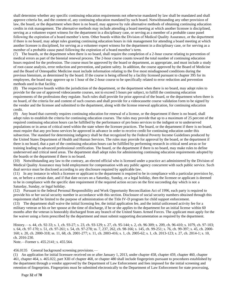shall determine whether any specific continuing education requirements not otherwise mandated by law shall be mandated and shall approve criteria for, and the content of, any continuing education mandated by such board. Notwithstanding any other provision of law, the board, or the department when there is no board, may approve by rule alternative methods of obtaining continuing education credits in risk management. The alternative methods may include attending a board meeting at which another licensee is disciplined, serving as a volunteer expert witness for the department in a disciplinary case, or serving as a member of a probable cause panel following the expiration of a board member's term. Other boards within the Division of Medical Quality Assurance, or the department if there is no board, may adopt rules granting continuing education hours in risk management for attending a board meeting at which another licensee is disciplined, for serving as a volunteer expert witness for the department in a disciplinary case, or for serving as a member of a probable cause panel following the expiration of a board member's term.

(7) The boards, or the department when there is no board, shall require the completion of a 2-hour course relating to prevention of medical errors as part of the biennial renewal process. The 2-hour course counts toward the total number of continuing education hours required for the profession. The course must be approved by the board or department, as appropriate, and must include a study of root-cause analysis, error reduction and prevention, and patient safety. In addition, the course approved by the Board of Medicine and the Board of Osteopathic Medicine must include information relating to the five most misdiagnosed conditions during the previous biennium, as determined by the board. If the course is being offered by a facility licensed pursuant to chapter 395 for its employees, the board may approve up to 1 hour of the 2-hour course to be specifically related to error reduction and prevention methods used in that facility.

(8) The respective boards within the jurisdiction of the department, or the department when there is no board, may adopt rules to provide for the use of approved videocassette courses, not to exceed 5 hours per subject, to fulfill the continuing education requirements of the professions they regulate. Such rules shall provide for prior approval of the board, or the department when there is no board, of the criteria for and content of such courses and shall provide for a videocassette course validation form to be signed by the vendor and the licensee and submitted to the department, along with the license renewal application, for continuing education credit.

(9) Any board that currently requires continuing education for renewal of a license, or the department if there is no board, shall adopt rules to establish the criteria for continuing education courses. The rules may provide that up to a maximum of 25 percent of the required continuing education hours can be fulfilled by the performance of pro bono services to the indigent or to underserved populations or in areas of critical need within the state where the licensee practices. The board, or the department if there is no board, must require that any pro bono services be approved in advance in order to receive credit for continuing education under this subsection. The standard for determining indigency shall be that recognized by the Federal Poverty Income Guidelines produced by the United States Department of Health and Human Services. The rules may provide for approval by the board, or the department if there is no board, that a part of the continuing education hours can be fulfilled by performing research in critical need areas or for training leading to advanced professional certification. The board, or the department if there is no board, may make rules to define underserved and critical need areas. The department shall adopt rules for administering continuing education requirements adopted by the boards or the department if there is no board.

(10) Notwithstanding any law to the contrary, an elected official who is licensed under a practice act administered by the Division of Medical Quality Assurance may hold employment for compensation with any public agency concurrent with such public service. Such dual service must be disclosed according to any disclosure required by applicable law.

(11) In any instance in which a licensee or applicant to the department is required to be in compliance with a particular provision by, on, or before a certain date, and if that date occurs on a Saturday, Sunday, or a legal holiday, then the licensee or applicant is deemed to be in compliance with the specific date requirement if the required action occurs on the first succeeding day which is not a Saturday, Sunday, or legal holiday.

(12) Pursuant to the federal Personal Responsibility and Work Opportunity Reconciliation Act of 1996, each party is required to provide his or her social security number in accordance with this section. Disclosure of social security numbers obtained through this requirement shall be limited to the purpose of administration of the Title IV-D program for child support enforcement.

(13) The department shall waive the initial licensing fee, the initial application fee, and the initial unlicensed activity fee for a military veteran or his or her spouse at the time of discharge, if he or she applies to the department for an initial license within 60 months after the veteran is honorably discharged from any branch of the United States Armed Forces. The applicant must apply for the fee waiver using a form prescribed by the department and must submit supporting documentation as required by the department.

History.—s. 44, ch. 92-33; s. 1, ch. 93-27; s. 23, ch. 93-129; s. 27, ch. 95-144; s. 2, ch. 96-309; s. 209, ch. 96-410; s. 1079, ch. 97-103; s. 64, ch. 97-170; s. 51, ch. 97-261; s. 54, ch. 97-278; ss. 7, 237, 262, ch. 98-166; s. 145, ch. 99-251; s. 76, ch. 99-397; s. 45, ch. 2000- 160; s. 20, ch. 2000-318; ss. 11, 68, ch. 2001-277; s. 11, ch. 2003-416; s. 1, ch. 2005-62; s. 1, ch. 2013-123; s. 27, ch. 2014-1; s. 10, ch. 2016-230.

Note.—Former s. 455.2141; s. 455.564.

#### 456.0135 General background screening provisions.—

(1) An application for initial licensure received on or after January 1, 2013, under chapter 458, chapter 459, chapter 460, chapter 461, chapter 464, s. 465.022, part XIII of chapter 468, or chapter 480 shall include fingerprints pursuant to procedures established by the department through a vendor approved by the Department of Law Enforcement and fees imposed for the initial screening and retention of fingerprints. Fingerprints must be submitted electronically to the Department of Law Enforcement for state processing,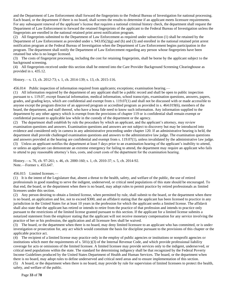and the Department of Law Enforcement shall forward the fingerprints to the Federal Bureau of Investigation for national processing. Each board, or the department if there is no board, shall screen the results to determine if an applicant meets licensure requirements. For any subsequent renewal of the applicant's license that requires a national criminal history check, the department shall request the Department of Law Enforcement to forward the retained fingerprints of the applicant to the Federal Bureau of Investigation unless the fingerprints are enrolled in the national retained print arrest notification program.

(2) All fingerprints submitted to the Department of Law Enforcement as required under subsection (1) shall be retained by the Department of Law Enforcement as provided under s.  $943.05(2)(g)$  and (h) and (3) and enrolled in the national retained print arrest notification program at the Federal Bureau of Investigation when the Department of Law Enforcement begins participation in the program. The department shall notify the Department of Law Enforcement regarding any person whose fingerprints have been retained but who is no longer licensed.

(3) The costs of fingerprint processing, including the cost for retaining fingerprints, shall be borne by the applicant subject to the background screening.

(4) All fingerprints received under this section shall be entered into the Care Provider Background Screening Clearinghouse as provided in s. 435.12.

History.—s. 13, ch. 2012-73; s. 1, ch. 2014-139; s. 13, ch. 2015-116.

456.014 Public inspection of information required from applicants; exceptions; examination hearing.—

(1) All information required by the department of any applicant shall be a public record and shall be open to public inspection pursuant to s. 119.07, except financial information, medical information, school transcripts, examination questions, answers, papers, grades, and grading keys, which are confidential and exempt from s. 119.07(1) and shall not be discussed with or made accessible to anyone except the program director of an approved program or accredited program as provided in s. 464.019(6), members of the board, the department, and staff thereof, who have a bona fide need to know such information. Any information supplied to the department by any other agency which is exempt from the provisions of chapter 119 or is confidential shall remain exempt or confidential pursuant to applicable law while in the custody of the department or the agency.

(2) The department shall establish by rule the procedure by which an applicant, and the applicant's attorney, may review examination questions and answers. Examination questions and answers are not subject to discovery but may be introduced into evidence and considered only in camera in any administrative proceeding under chapter 120. If an administrative hearing is held, the department shall provide challenged examination questions and answers to the administrative law judge. The examination questions and answers provided at the hearing are confidential and exempt from s. 119.07(1), unless invalidated by the administrative law judge. (3) Unless an applicant notifies the department at least 5 days prior to an examination hearing of the applicant's inability to attend, or unless an applicant can demonstrate an extreme emergency for failing to attend, the department may require an applicant who fails to attend to pay reasonable attorney's fees, costs, and court costs of the department for the examination hearing.

History.—s. 76, ch. 97-261; s. 46, ch. 2000-160; s. 1, ch. 2010-37; s. 5, ch. 2014-92. Note.—Former s. 455.647.

456.015 Limited licenses.—

(1) It is the intent of the Legislature that, absent a threat to the health, safety, and welfare of the public, the use of retired professionals in good standing to serve the indigent, underserved, or critical need populations of this state should be encouraged. To that end, the board, or the department when there is no board, may adopt rules to permit practice by retired professionals as limited licensees under this section.

(2) Any person desiring to obtain a limited license, when permitted by rule, shall submit to the board, or the department when there is no board, an application and fee, not to exceed \$300, and an affidavit stating that the applicant has been licensed to practice in any jurisdiction in the United States for at least 10 years in the profession for which the applicant seeks a limited license. The affidavit shall also state that the applicant has retired or intends to retire from the practice of that profession and intends to practice only pursuant to the restrictions of the limited license granted pursuant to this section. If the applicant for a limited license submits a notarized statement from the employer stating that the applicant will not receive monetary compensation for any service involving the practice of her or his profession, the application and all licensure fees shall be waived.

(3) The board, or the department when there is no board, may deny limited licensure to an applicant who has committed, or is under investigation or prosecution for, any act which would constitute the basis for discipline pursuant to the provisions of this chapter or the applicable practice act.

(4) The recipient of a limited license may practice only in the employ of public agencies or institutions or nonprofit agencies or institutions which meet the requirements of s.  $501(c)(3)$  of the Internal Revenue Code, and which provide professional liability coverage for acts or omissions of the limited licensee. A limited licensee may provide services only to the indigent, underserved, or critical need populations within the state. The standard for determining indigency shall be that recognized by the Federal Poverty Income Guidelines produced by the United States Department of Health and Human Services. The board, or the department when there is no board, may adopt rules to define underserved and critical need areas and to ensure implementation of this section. (5) A board, or the department when there is no board, may provide by rule for supervision of limited licensees to protect the health, safety, and welfare of the public.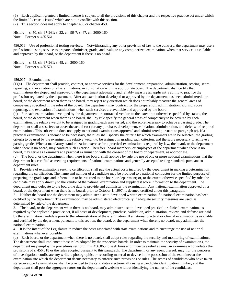(6) Each applicant granted a limited license is subject to all the provisions of this chapter and the respective practice act under which the limited license is issued which are not in conflict with this section.

(7) This section does not apply to chapter 458 or chapter 459.

History.—s. 50, ch. 97-261; s. 22, ch. 99-7; s. 47, ch. 2000-160. Note.—Former s. 455.561.

456.016 Use of professional testing services.—Notwithstanding any other provision of law to the contrary, the department may use a professional testing service to prepare, administer, grade, and evaluate any computerized examination, when that service is available and approved by the board, or the department if there is no board.

History.—s. 53, ch. 97-261; s. 48, ch. 2000-160. Note.—Former s. 455.571.

#### 456.017 Examinations.—

(1)(a) The department shall provide, contract, or approve services for the development, preparation, administration, scoring, score reporting, and evaluation of all examinations, in consultation with the appropriate board. The department shall certify that examinations developed and approved by the department adequately and reliably measure an applicant's ability to practice the profession regulated by the department. After an examination developed or approved by the department has been administered, the board, or the department when there is no board, may reject any question which does not reliably measure the general areas of competency specified in the rules of the board. The department may contract for the preparation, administration, scoring, score reporting, and evaluation of examinations, when such services are available and approved by the board.

(b) For each examination developed by the department or contracted vendor, to the extent not otherwise specified by statute, the board, or the department when there is no board, shall by rule specify the general areas of competency to be covered by each examination, the relative weight to be assigned in grading each area tested, and the score necessary to achieve a passing grade. The department shall assess fees to cover the actual cost for any purchase, development, validation, administration, and defense of required examinations. This subsection does not apply to national examinations approved and administered pursuant to paragraph (c). If a practical examination is deemed to be necessary, the rules shall specify the criteria by which examiners are to be selected, the grading criteria to be used by the examiner, the relative weight to be assigned in grading each criterion, and the score necessary to achieve a passing grade. When a mandatory standardization exercise for a practical examination is required by law, the board, or the department when there is no board, may conduct such exercise. Therefore, board members, or employees of the department when there is no board, may serve as examiners at a practical examination with the consent of the board or department, as appropriate.

(c) The board, or the department when there is no board, shall approve by rule the use of one or more national examinations that the department has certified as meeting requirements of national examinations and generally accepted testing standards pursuant to department rules.

1. Providers of examinations seeking certification shall pay the actual costs incurred by the department in making a determination regarding the certification. The name and number of a candidate may be provided to a national contractor for the limited purpose of preparing the grade tape and information to be returned to the board or department; or, to the extent otherwise specified by rule, the candidate may apply directly to the vendor of the national examination and supply test score information to the department. The department may delegate to the board the duty to provide and administer the examination. Any national examination approved by a board, or the department when there is no board, prior to October 1, 1997, is deemed certified under this paragraph.

2. Neither the board nor the department may administer a state-developed written examination if a national examination has been certified by the department. The examination may be administered electronically if adequate security measures are used, as determined by rule of the department.

3. The board, or the department when there is no board, may administer a state-developed practical or clinical examination, as required by the applicable practice act, if all costs of development, purchase, validation, administration, review, and defense are paid by the examination candidate prior to the administration of the examination. If a national practical or clinical examination is available and certified by the department pursuant to this section, the board, or the department when there is no board, may administer the national examination.

4. It is the intent of the Legislature to reduce the costs associated with state examinations and to encourage the use of national examinations whenever possible.

(d) Each board, or the department when there is no board, shall adopt rules regarding the security and monitoring of examinations. The department shall implement those rules adopted by the respective boards. In order to maintain the security of examinations, the department may employ the procedures set forth in s. 456.065 to seek fines and injunctive relief against an examinee who violates the provisions of s. 456.018 or the rules adopted pursuant to this paragraph. The department, or any agent thereof, may, for the purposes of investigation, confiscate any written, photographic, or recording material or device in the possession of the examinee at the examination site which the department deems necessary to enforce such provisions or rules. The scores of candidates who have taken state-developed examinations shall be provided to the candidates electronically using a candidate identification number, and the department shall post the aggregate scores on the department's website without identifying the names of the candidates.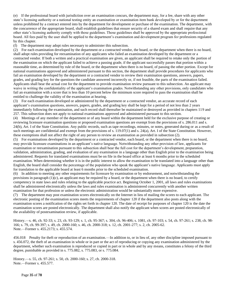(e) If the professional board with jurisdiction over an examination concurs, the department may, for a fee, share with any other state's licensing authority or a national testing entity an examination or examination item bank developed by or for the department unless prohibited by a contract entered into by the department for development or purchase of the examination. The department, with the concurrence of the appropriate board, shall establish guidelines that ensure security of a shared exam and shall require that any other state's licensing authority comply with those guidelines. Those guidelines shall be approved by the appropriate professional board. All fees paid by the user shall be applied to the department's examination and development program for professions regulated by this chapter.

(f) The department may adopt rules necessary to administer this subsection.

(2) For each examination developed by the department or a contracted vendor, the board, or the department when there is no board, shall adopt rules providing for reexamination of any applicants who failed an examination developed by the department or a contracted vendor. If both a written and a practical examination are given, an applicant shall be required to retake only the portion of the examination on which the applicant failed to achieve a passing grade, if the applicant successfully passes that portion within a reasonable time, as determined by rule of the board, or the department when there is no board, of passing the other portion. Except for national examinations approved and administered pursuant to this section, the department shall provide procedures for applicants who fail an examination developed by the department or a contracted vendor to review their examination questions, answers, papers, grades, and grading key for the questions the candidate answered incorrectly or, if not feasible, the parts of the examination failed. Applicants shall bear the actual cost for the department to provide examination review pursuant to this subsection. An applicant may waive in writing the confidentiality of the applicant's examination grades. Notwithstanding any other provisions, only candidates who fail an examination with a score that is less than 10 percent below the minimum score required to pass the examination shall be entitled to challenge the validity of the examination at hearing.

(3) For each examination developed or administered by the department or a contracted vendor, an accurate record of each applicant's examination questions, answers, papers, grades, and grading key shall be kept for a period of not less than 2 years immediately following the examination, and such record shall thereafter be maintained or destroyed as provided in chapters 119 and 257. This subsection does not apply to national examinations approved and administered pursuant to this section.

(4) Meetings of any member of the department or of any board within the department held for the exclusive purpose of creating or reviewing licensure examination questions or proposed examination questions are exempt from the provisions of s. 286.011 and s. 24(b), Art. I of the State Constitution. Any public records, such as tape recordings, minutes, or notes, generated during or as a result of such meetings are confidential and exempt from the provisions of s. 119.07(1) and s. 24(a), Art. I of the State Constitution. However, these exemptions shall not affect the right of any person to review an examination as provided in subsection (2).

(5) For examinations developed by the department or a contracted vendor, each board, or the department when there is no board, may provide licensure examinations in an applicant's native language. Notwithstanding any other provision of law, applicants for examination or reexamination pursuant to this subsection shall bear the full cost for the department's development, preparation, validation, administration, grading, and evaluation of any examination in a language other than English prior to the examination being administered. Requests for translated examinations must be on file in the board office at least 6 months prior to the scheduled examination. When determining whether it is in the public interest to allow the examination to be translated into a language other than English, the board shall consider the percentage of the population who speak the applicant's native language. Applicants must apply for translation to the applicable board at least 6 months prior to the scheduled examination.

(6) In addition to meeting any other requirements for licensure by examination or by endorsement, and notwithstanding the provisions in paragraph  $(1)(c)$ , an applicant may be required by a board, or the department when there is no board, to certify competency in state laws and rules relating to the applicable practice act. Beginning October 1, 2001, all laws and rules examinations shall be administered electronically unless the laws and rules examination is administered concurrently with another written examination for that profession or unless the electronic administration would be substantially more expensive.

(7) The department may post examination scores electronically on the Internet in lieu of mailing the scores to each applicant. The electronic posting of the examination scores meets the requirements of chapter 120 if the department also posts along with the examination scores a notification of the rights set forth in chapter 120. The date of receipt for purposes of chapter 120 is the date the examination scores are posted electronically. The department shall also notify the applicant when scores are posted electronically of the availability of postexamination review, if applicable.

History.—s. 46, ch. 92-33; s. 23, ch. 93-129; s. 1, ch. 95-367; s. 304, ch. 96-406; s. 1081, ch. 97-103; s. 54, ch. 97-261; s. 238, ch. 98- 166; s. 79, ch. 99-397; s. 49, ch. 2000-160; s. 46, ch. 2000-318; s. 12, ch. 2001-277; s. 2, ch. 2005-62. Note.—Former s. 455.2173; s. 455.574.

456.018 Penalty for theft or reproduction of an examination.—In addition to, or in lieu of, any other discipline imposed pursuant to s. 456.072, the theft of an examination in whole or in part or the act of reproducing or copying any examination administered by the department, whether such examination is reproduced or copied in part or in whole and by any means, constitutes a felony of the third degree, punishable as provided in s. 775.082, s. 775.083, or s. 775.084.

History.—s. 55, ch. 97-261; s. 50, ch. 2000-160; s. 27, ch. 2000-318. Note.—Former s. 455.577.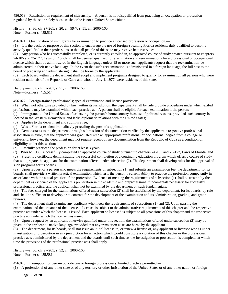456.019 Restriction on requirement of citizenship.—A person is not disqualified from practicing an occupation or profession regulated by the state solely because she or he is not a United States citizen.

History.—s. 36, ch. 97-261; s. 20, ch. 99-7; s. 51, ch. 2000-160. Note.—Former s. 455.511.

456.021 Qualification of immigrants for examination to practice a licensed profession or occupation.—

(1) It is the declared purpose of this section to encourage the use of foreign-speaking Florida residents duly qualified to become actively qualified in their professions so that all people of this state may receive better services.

(2) Any person who has successfully completed, or is currently enrolled in, an approved course of study created pursuant to chapters 74-105 and 75-177, Laws of Florida, shall be deemed qualified for examination and reexaminations for a professional or occupational license which shall be administered in the English language unless 15 or more such applicants request that the reexamination be administered in their native language. In the event that such reexamination is administered in a foreign language, the full cost to the board of preparing and administering it shall be borne by the applicants.

(3) Each board within the department shall adopt and implement programs designed to qualify for examination all persons who were resident nationals of the Republic of Cuba and who, on July 1, 1977, were residents of this state.

History.—s. 37, ch. 97-261; s. 51, ch. 2000-160. Note.—Former s. 455.514.

456.022 Foreign-trained professionals; special examination and license provisions.—

(1) When not otherwise provided by law, within its jurisdiction, the department shall by rule provide procedures under which exiled professionals may be examined within each practice act. A person shall be eligible for such examination if the person:

(a) Immigrated to the United States after leaving the person's home country because of political reasons, provided such country is located in the Western Hemisphere and lacks diplomatic relations with the United States;

(b) Applies to the department and submits a fee;

(c) Was a Florida resident immediately preceding the person's application;

(d) Demonstrates to the department, through submission of documentation verified by the applicant's respective professional association in exile, that the applicant was graduated with an appropriate professional or occupational degree from a college or university; however, the department may not require receipt of any documentation from the Republic of Cuba as a condition of eligibility under this section;

(e) Lawfully practiced the profession for at least 3 years;

(f) Prior to 1980, successfully completed an approved course of study pursuant to chapters 74-105 and 75-177, Laws of Florida; and

(g) Presents a certificate demonstrating the successful completion of a continuing education program which offers a course of study that will prepare the applicant for the examination offered under subsection (2). The department shall develop rules for the approval of such programs for its boards.

(2) Upon request of a person who meets the requirements of subsection (1) and submits an examination fee, the department, for its boards, shall provide a written practical examination which tests the person's current ability to practice the profession competently in accordance with the actual practice of the profession. Evidence of meeting the requirements of subsection (1) shall be treated by the department as evidence of the applicant's preparation in the academic and preprofessional fundamentals necessary for successful professional practice, and the applicant shall not be examined by the department on such fundamentals.

(3) The fees charged for the examinations offered under subsection (2) shall be established by the department, for its boards, by rule and shall be sufficient to develop or to contract for the development of the examination and its administration, grading, and grade reviews.

(4) The department shall examine any applicant who meets the requirements of subsections (1) and (2). Upon passing the examination and the issuance of the license, a licensee is subject to the administrative requirements of this chapter and the respective practice act under which the license is issued. Each applicant so licensed is subject to all provisions of this chapter and the respective practice act under which the license was issued.

(5) Upon a request by an applicant otherwise qualified under this section, the examinations offered under subsection (2) may be given in the applicant's native language, provided that any translation costs are borne by the applicant.

(6) The department, for its boards, shall not issue an initial license to, or renew a license of, any applicant or licensee who is under investigation or prosecution in any jurisdiction for an action which would constitute a violation of this chapter or the professional practice acts administered by the department and the boards until such time as the investigation or prosecution is complete, at which time the provisions of the professional practice acts shall apply.

History.—s. 56, ch. 97-261; s. 52, ch. 2000-160. Note.—Former s. 455.581.

456.023 Exemption for certain out-of-state or foreign professionals; limited practice permitted.—

(1) A professional of any other state or of any territory or other jurisdiction of the United States or of any other nation or foreign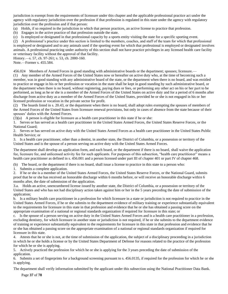jurisdiction is exempt from the requirements of licensure under this chapter and the applicable professional practice act under the agency with regulatory jurisdiction over the profession if that profession is regulated in this state under the agency with regulatory jurisdiction over the profession and if that person:

- (a) Holds, if so required in the jurisdiction in which that person practices, an active license to practice that profession.
- (b) Engages in the active practice of that profession outside the state.
- (c) Is employed or designated in that professional capacity by a sports entity visiting the state for a specific sporting event.

(2) A professional's practice under this section is limited to the members, coaches, and staff of the team for which that professional is employed or designated and to any animals used if the sporting event for which that professional is employed or designated involves animals. A professional practicing under authority of this section shall not have practice privileges in any licensed health care facility or veterinary facility without the approval of that facility.

History.—s. 57, ch. 97-261; s. 53, ch. 2000-160.

Note.—Former s. 455.584.

456.024 Members of Armed Forces in good standing with administrative boards or the department; spouses; licensure.—

(1) Any member of the Armed Forces of the United States now or hereafter on active duty who, at the time of becoming such a member, was in good standing with any administrative board of the state, or the department when there is no board, and was entitled to practice or engage in his or her profession or vocation in the state shall be kept in good standing by such administrative board, or the department when there is no board, without registering, paying dues or fees, or performing any other act on his or her part to be performed, as long as he or she is a member of the Armed Forces of the United States on active duty and for a period of 6 months after discharge from active duty as a member of the Armed Forces of the United States, provided he or she is not engaged in his or her licensed profession or vocation in the private sector for profit.

(2) The boards listed in s. 20.43, or the department when there is no board, shall adopt rules exempting the spouses of members of the Armed Forces of the United States from licensure renewal provisions, but only in cases of absence from the state because of their spouses' duties with the Armed Forces.

(3)(a) A person is eligible for licensure as a health care practitioner in this state if he or she:

1. Serves or has served as a health care practitioner in the United States Armed Forces, the United States Reserve Forces, or the National Guard;

2. Serves or has served on active duty with the United States Armed Forces as a health care practitioner in the United States Public Health Service; or

3. Is a health care practitioner, other than a dentist, in another state, the District of Columbia, or a possession or territory of the United States and is the spouse of a person serving on active duty with the United States Armed Forces.

The department shall develop an application form, and each board, or the department if there is no board, shall waive the application fee, licensure fee, and unlicensed activity fee for such applicants. For purposes of this subsection, "health care practitioner" means a health care practitioner as defined in s. 456.001 and a person licensed under part III of chapter 401 or part IV of chapter 468.

(b) The board, or the department if there is no board, shall issue a license to practice in this state to a person who:

1. Submits a complete application.

2. If he or she is a member of the United States Armed Forces, the United States Reserve Forces, or the National Guard, submits proof that he or she has received an honorable discharge within 6 months before, or will receive an honorable discharge within 6 months after, the date of submission of the application.

3.a. Holds an active, unencumbered license issued by another state, the District of Columbia, or a possession or territory of the United States and who has not had disciplinary action taken against him or her in the 5 years preceding the date of submission of the application;

b. Is a military health care practitioner in a profession for which licensure in a state or jurisdiction is not required to practice in the United States Armed Forces, if he or she submits to the department evidence of military training or experience substantially equivalent to the requirements for licensure in this state in that profession and evidence that he or she has obtained a passing score on the appropriate examination of a national or regional standards organization if required for licensure in this state; or

c. Is the spouse of a person serving on active duty in the United States Armed Forces and is a health care practitioner in a profession, excluding dentistry, for which licensure in another state or jurisdiction is not required, if he or she submits to the department evidence of training or experience substantially equivalent to the requirements for licensure in this state in that profession and evidence that he or she has obtained a passing score on the appropriate examination of a national or regional standards organization if required for licensure in this state.

4. Attests that he or she is not, at the time of submission of the application, the subject of a disciplinary proceeding in a jurisdiction in which he or she holds a license or by the United States Department of Defense for reasons related to the practice of the profession for which he or she is applying.

5. Actively practiced the profession for which he or she is applying for the 3 years preceding the date of submission of the application.

6. Submits a set of fingerprints for a background screening pursuant to s. 456.0135, if required for the profession for which he or she is applying.

The department shall verify information submitted by the applicant under this subsection using the National Practitioner Data Bank.

Page **37** of **78**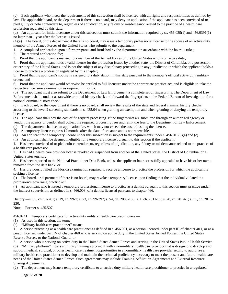(c) Each applicant who meets the requirements of this subsection shall be licensed with all rights and responsibilities as defined by law. The applicable board, or the department if there is no board, may deny an application if the applicant has been convicted of or pled guilty or nolo contendere to, regardless of adjudication, any felony or misdemeanor related to the practice of a health care profession regulated by this state.

(d) An applicant for initial licensure under this subsection must submit the information required by ss. 456.039(1) and 456.0391(1) no later than 1 year after the license is issued.

(4)(a) The board, or the department if there is no board, may issue a temporary professional license to the spouse of an active duty member of the Armed Forces of the United States who submits to the department:

1. A completed application upon a form prepared and furnished by the department in accordance with the board's rules;

2. The required application fee;

3. Proof that the applicant is married to a member of the Armed Forces of the United States who is on active duty;

4. Proof that the applicant holds a valid license for the profession issued by another state, the District of Columbia, or a possession or territory of the United States, and is not the subject of any disciplinary proceeding in any jurisdiction in which the applicant holds a license to practice a profession regulated by this chapter;

5. Proof that the applicant's spouse is assigned to a duty station in this state pursuant to the member's official active duty military orders; and

6. Proof that the applicant would otherwise be entitled to full licensure under the appropriate practice act, and is eligible to take the respective licensure examination as required in Florida.

(b) The applicant must also submit to the Department of Law Enforcement a complete set of fingerprints. The Department of Law Enforcement shall conduct a statewide criminal history check and forward the fingerprints to the Federal Bureau of Investigation for a national criminal history check.

(c) Each board, or the department if there is no board, shall review the results of the state and federal criminal history checks according to the level 2 screening standards in s. 435.04 when granting an exemption and when granting or denying the temporary license.

(d) The applicant shall pay the cost of fingerprint processing. If the fingerprints are submitted through an authorized agency or vendor, the agency or vendor shall collect the required processing fees and remit the fees to the Department of Law Enforcement.

(e) The department shall set an application fee, which may not exceed the cost of issuing the license.

(f) A temporary license expires 12 months after the date of issuance and is not renewable.

(g) An applicant for a temporary license under this subsection is subject to the requirements under s.  $456.013(3)(a)$  and (c).

(h) An applicant shall be deemed ineligible for a temporary license pursuant to this section if the applicant:

1. Has been convicted of or pled nolo contendere to, regardless of adjudication, any felony or misdemeanor related to the practice of a health care profession;

2. Has had a health care provider license revoked or suspended from another of the United States, the District of Columbia, or a United States territory;

3. Has been reported to the National Practitioner Data Bank, unless the applicant has successfully appealed to have his or her name removed from the data bank; or

4. Has previously failed the Florida examination required to receive a license to practice the profession for which the applicant is seeking a license.

(i) The board, or department if there is no board, may revoke a temporary license upon finding that the individual violated the profession's governing practice act.

(j) An applicant who is issued a temporary professional license to practice as a dentist pursuant to this section must practice under the indirect supervision, as defined in s. 466.003, of a dentist licensed pursuant to chapter 466.

History.—s. 35, ch. 97-261; s. 19, ch. 99-7; s. 73, ch. 99-397; s. 54, ch. 2000-160; s. 1, ch. 2011-95; s. 28, ch. 2014-1; s. 11, ch. 2016- 230.

Note.—Former s. 455.507.

456.0241 Temporary certificate for active duty military health care practitioners.—

(1) As used in this section, the term:

(a) "Military health care practitioner" means:

1. A person practicing as a health care practitioner as defined in s. 456.001, as a person licensed under part III of chapter 401, or as a person licensed under part IV of chapter 468 who is serving on active duty in the United States Armed Forces, the United States Reserve Forces, or the National Guard; or

2. A person who is serving on active duty in the United States Armed Forces and serving in the United States Public Health Service. (b) "Military platform" means a military training agreement with a nonmilitary health care provider that is designed to develop and support medical, surgical, or other health care treatment opportunities in a nonmilitary health care provider setting to authorize a military health care practitioner to develop and maintain the technical proficiency necessary to meet the present and future health care needs of the United States Armed Forces. Such agreements may include Training Affiliation Agreements and External Resource Sharing Agreements.

(2) The department may issue a temporary certificate to an active duty military health care practitioner to practice in a regulated

Page **38** of **78**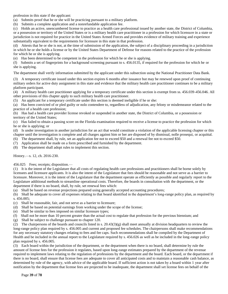profession in this state if the applicant:

- (a) Submits proof that he or she will be practicing pursuant to a military platform.
- (b) Submits a complete application and a nonrefundable application fee.

(c) Holds an active, unencumbered license to practice as a health care professional issued by another state, the District of Columbia, or a possession or territory of the United States or is a military health care practitioner in a profession for which licensure in a state or jurisdiction is not required for practice in the United States Armed Forces and provides evidence of military training and experience substantially equivalent to the requirements for licensure in this state in that profession.

(d) Attests that he or she is not, at the time of submission of the application, the subject of a disciplinary proceeding in a jurisdiction in which he or she holds a license or by the United States Department of Defense for reasons related to the practice of the profession for which he or she is applying.

(e) Has been determined to be competent in the profession for which he or she is applying.

(f) Submits a set of fingerprints for a background screening pursuant to s. 456.0135, if required for the profession for which he or she is applying.

The department shall verify information submitted by the applicant under this subsection using the National Practitioner Data Bank.

(3) A temporary certificate issued under this section expires 6 months after issuance but may be renewed upon proof of continuing military orders for active duty assignment in this state and evidence that the military health care practitioner continues to be a military platform participant.

(4) A military health care practitioner applying for a temporary certificate under this section is exempt from ss. 456.039-456.046. All other provisions of this chapter apply to such military health care practitioner.

(5) An applicant for a temporary certificate under this section is deemed ineligible if he or she:

(a) Has been convicted of or pled guilty or nolo contendere to, regardless of adjudication, any felony or misdemeanor related to the practice of a health care profession;

(b) Has had a health care provider license revoked or suspended in another state, the District of Columbia, or a possession or territory of the United States;

(c) Has failed to obtain a passing score on the Florida examination required to receive a license to practice the profession for which he or she is applying; or

(d) Is under investigation in another jurisdiction for an act that would constitute a violation of the applicable licensing chapter or this chapter until the investigation is complete and all charges against him or her are disposed of by dismissal, nolle prosequi, or acquittal. (6) The department shall, by rule, set an application fee not to exceed \$50 and a renewal fee not to exceed \$50.

- (7) Application shall be made on a form prescribed and furnished by the department.
- (8) The department shall adopt rules to implement this section.

History.—s. 12, ch. 2016-230.

456.025 Fees; receipts; disposition.—

(1) It is the intent of the Legislature that all costs of regulating health care professions and practitioners shall be borne solely by licensees and licensure applicants. It is also the intent of the Legislature that fees should be reasonable and not serve as a barrier to licensure. Moreover, it is the intent of the Legislature that the department operate as efficiently as possible and regularly report to the Legislature additional methods to streamline operational costs. Therefore, the boards in consultation with the department, or the department if there is no board, shall, by rule, set renewal fees which:

(a) Shall be based on revenue projections prepared using generally accepted accounting procedures;

(b) Shall be adequate to cover all expenses relating to that board identified in the department's long-range policy plan, as required by s. 456.005;

- (c) Shall be reasonable, fair, and not serve as a barrier to licensure;
- (d) Shall be based on potential earnings from working under the scope of the license;
- (e) Shall be similar to fees imposed on similar licensure types;
- (f) Shall not be more than 10 percent greater than the actual cost to regulate that profession for the previous biennium; and
- (g) Shall be subject to challenge pursuant to chapter 120.

(2) The chairpersons of the boards and councils listed in s.  $20.43(3)(g)$  shall meet annually at division headquarters to review the long-range policy plan required by s. 456.005 and current and proposed fee schedules. The chairpersons shall make recommendations for any necessary statutory changes relating to fees and fee caps. Such recommendations shall be compiled by the Department of Health and be included in the annual report to the Legislature required by s. 456.026 as well as be included in the long-range policy plan required by s. 456.005.

(3) Each board within the jurisdiction of the department, or the department when there is no board, shall determine by rule the amount of license fees for the profession it regulates, based upon long-range estimates prepared by the department of the revenue required to implement laws relating to the regulation of professions by the department and the board. Each board, or the department if there is no board, shall ensure that license fees are adequate to cover all anticipated costs and to maintain a reasonable cash balance, as determined by rule of the agency, with advice of the applicable board. If sufficient action is not taken by a board within 1 year after notification by the department that license fees are projected to be inadequate, the department shall set license fees on behalf of the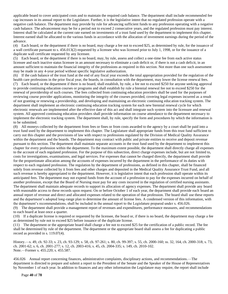applicable board to cover anticipated costs and to maintain the required cash balance. The department shall include recommended fee cap increases in its annual report to the Legislature. Further, it is the legislative intent that no regulated profession operate with a negative cash balance. The department may provide by rule for advancing sufficient funds to any profession operating with a negative cash balance. The advancement may be for a period not to exceed 2 consecutive years, and the regulated profession must pay interest. Interest shall be calculated at the current rate earned on investments of a trust fund used by the department to implement this chapter. Interest earned shall be allocated to the various funds in accordance with the allocation of investment earnings during the period of the advance.

(4) Each board, or the department if there is no board, may charge a fee not to exceed \$25, as determined by rule, for the issuance of a wall certificate pursuant to s. 456.013(2) requested by a licensee who was licensed prior to July 1, 1998, or for the issuance of a duplicate wall certificate requested by any licensee.

(5) Each board, or the department if there is no board, may, by rule, assess and collect a one-time fee from each active status licensee and each inactive status licensee in an amount necessary to eliminate a cash deficit or, if there is not a cash deficit, in an amount sufficient to maintain the financial integrity of the professions as required in this section. Not more than one such assessment may be made in any 4-year period without specific legislative authorization.

(6) If the cash balance of the trust fund at the end of any fiscal year exceeds the total appropriation provided for the regulation of the health care professions in the prior fiscal year, the boards, in consultation with the department, may lower the license renewal fees. (7) Each board, or the department if there is no board, shall establish, by rule, a fee not to exceed \$250 for anyone seeking approval to provide continuing education courses or programs and shall establish by rule a biennial renewal fee not to exceed \$250 for the renewal of providership of such courses. The fees collected from continuing education providers shall be used for the purposes of reviewing course provider applications, monitoring the integrity of the courses provided, covering legal expenses incurred as a result of not granting or renewing a providership, and developing and maintaining an electronic continuing education tracking system. The department shall implement an electronic continuing education tracking system for each new biennial renewal cycle for which electronic renewals are implemented after the effective date of this act and shall integrate such system into the licensure and renewal system. All approved continuing education providers shall provide information on course attendance to the department necessary to implement the electronic tracking system. The department shall, by rule, specify the form and procedures by which the information is to be submitted.

(8) All moneys collected by the department from fees or fines or from costs awarded to the agency by a court shall be paid into a trust fund used by the department to implement this chapter. The Legislature shall appropriate funds from this trust fund sufficient to carry out this chapter and the provisions of law with respect to professions regulated by the Division of Medical Quality Assurance within the department and the boards. The department may contract with public and private entities to receive and deposit revenue pursuant to this section. The department shall maintain separate accounts in the trust fund used by the department to implement this chapter for every profession within the department. To the maximum extent possible, the department shall directly charge all expenses to the account of each regulated profession. For the purpose of this subsection, direct charge expenses include, but are not limited to, costs for investigations, examinations, and legal services. For expenses that cannot be charged directly, the department shall provide for the proportionate allocation among the accounts of expenses incurred by the department in the performance of its duties with respect to each regulated profession. The regulation by the department of professions, as defined in this chapter, shall be financed solely from revenue collected by it from fees and other charges and deposited in the Medical Quality Assurance Trust Fund, and all such revenue is hereby appropriated to the department. However, it is legislative intent that each profession shall operate within its anticipated fees. The department may not expend funds from the account of a profession to pay for the expenses incurred on behalf of another profession, except that the Board of Nursing must pay for any costs incurred in the regulation of certified nursing assistants. The department shall maintain adequate records to support its allocation of agency expenses. The department shall provide any board with reasonable access to these records upon request. On or before October 1 of each year, the department shall provide each board an annual report of revenue and direct and allocated expenses related to the operation of that profession. The board shall use these reports and the department's adopted long-range plan to determine the amount of license fees. A condensed version of this information, with the department's recommendations, shall be included in the annual report to the Legislature prepared under s. 456.026.

(9) The department shall provide a management report of revenues and expenditures, performance measures, and recommendations to each board at least once a quarter.

(10) If a duplicate license is required or requested by the licensee, the board or, if there is no board, the department may charge a fee as determined by rule not to exceed \$25 before issuance of the duplicate license.

(11) The department or the appropriate board shall charge a fee not to exceed \$25 for the certification of a public record. The fee shall be determined by rule of the department. The department or the appropriate board shall assess a fee for duplicating a public record as provided in s. 119.07(4).

History.—s. 49, ch. 92-33; s. 23, ch. 93-129; s. 58, ch. 97-261; s. 80, ch. 99-397; s. 55, ch. 2000-160; ss. 32, 164, ch. 2000-318; s. 73, ch. 2001-62; s. 6, ch. 2001-277; s. 12, ch. 2003-416; s. 45, ch. 2004-335; s. 149, ch. 2010-102. Note.—Former s. 455.220; s. 455.587.

456.026 Annual report concerning finances, administrative complaints, disciplinary actions, and recommendations.—The department is directed to prepare and submit a report to the President of the Senate and the Speaker of the House of Representatives by November 1 of each year. In addition to finances and any other information the Legislature may require, the report shall include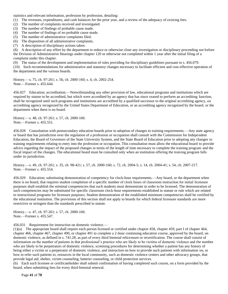statistics and relevant information, profession by profession, detailing:

- (1) The revenues, expenditures, and cash balances for the prior year, and a review of the adequacy of existing fees.
- (2) The number of complaints received and investigated.
- (3) The number of findings of probable cause made.
- (4) The number of findings of no probable cause made.
- (5) The number of administrative complaints filed.
- (6) The disposition of all administrative complaints.
- (7) A description of disciplinary actions taken.

(8) A description of any effort by the department to reduce or otherwise close any investigation or disciplinary proceeding not before the Division of Administrative Hearings under chapter 120 or otherwise not completed within 1 year after the initial filing of a complaint under this chapter.

(9) The status of the development and implementation of rules providing for disciplinary guidelines pursuant to s. 456.079.

(10) Such recommendations for administrative and statutory changes necessary to facilitate efficient and cost-effective operation of the department and the various boards.

History.—s. 75, ch. 97-261; s. 56, ch. 2000-160; s. 4, ch. 2002-254. Note.—Former s. 455.644.

456.027 Education; accreditation.—Notwithstanding any other provision of law, educational programs and institutions which are required by statute to be accredited, but which were accredited by an agency that has since ceased to perform an accrediting function, shall be recognized until such programs and institutions are accredited by a qualified successor to the original accrediting agency, an accrediting agency recognized by the United States Department of Education, or an accrediting agency recognized by the board, or the department when there is no board.

History.—s. 48, ch. 97-261; s. 57, ch. 2000-160. Note.—Former s. 455.551.

456.028 Consultation with postsecondary education boards prior to adoption of changes to training requirements.—Any state agency or board that has jurisdiction over the regulation of a profession or occupation shall consult with the Commission for Independent Education, the Board of Governors of the State University System, and the State Board of Education prior to adopting any changes to training requirements relating to entry into the profession or occupation. This consultation must allow the educational board to provide advice regarding the impact of the proposed changes in terms of the length of time necessary to complete the training program and the fiscal impact of the changes. The educational board must be consulted only when an institution offering the training program falls under its jurisdiction.

History.—s. 49, ch. 97-261; s. 35, ch. 98-421; s. 57, ch. 2000-160; s. 72, ch. 2004-5; s. 14, ch. 2004-41; s. 54, ch. 2007-217. Note.—Former s. 455.554.

456.029 Education; substituting demonstration of competency for clock-hour requirements.—Any board, or the department when there is no board, that requires student completion of a specific number of clock hours of classroom instruction for initial licensure purposes shall establish the minimal competencies that such students must demonstrate in order to be licensed. The demonstration of such competencies may be substituted for specific classroom clock-hour requirements established in statute or rule which are related to instructional programs for licensure purposes. Student demonstration of the established minimum competencies shall be certified by the educational institution. The provisions of this section shall not apply to boards for which federal licensure standards are more restrictive or stringent than the standards prescribed in statute.

History.—s. 47, ch. 97-261; s. 57, ch. 2000-160. Note.—Former s. 455.547.

456.031 Requirement for instruction on domestic violence.—

(1)(a) The appropriate board shall require each person licensed or certified under chapter 458, chapter 459, part I of chapter 464, chapter 466, chapter 467, chapter 490, or chapter 491 to complete a 2-hour continuing education course, approved by the board, on domestic violence, as defined in s. 741.28, as part of every third biennial relicensure or recertification. The course shall consist of information on the number of patients in that professional's practice who are likely to be victims of domestic violence and the number who are likely to be perpetrators of domestic violence, screening procedures for determining whether a patient has any history of being either a victim or a perpetrator of domestic violence, and instruction on how to provide such patients with information on, or how to refer such patients to, resources in the local community, such as domestic violence centers and other advocacy groups, that provide legal aid, shelter, victim counseling, batterer counseling, or child protection services.

(b) Each such licensee or certificateholder shall submit confirmation of having completed such course, on a form provided by the board, when submitting fees for every third biennial renewal.

Page **41** of **78**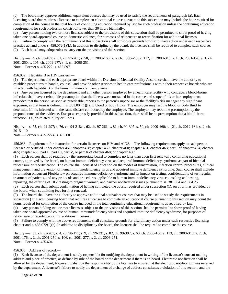(c) The board may approve additional equivalent courses that may be used to satisfy the requirements of paragraph (a). Each licensing board that requires a licensee to complete an educational course pursuant to this subsection may include the hour required for completion of the course in the total hours of continuing education required by law for such profession unless the continuing education requirements for such profession consist of fewer than 30 hours biennially.

(d) Any person holding two or more licenses subject to the provisions of this subsection shall be permitted to show proof of having taken one board-approved course on domestic violence, for purposes of relicensure or recertification for additional licenses.

(e) Failure to comply with the requirements of this subsection shall constitute grounds for disciplinary action under each respective practice act and under s. 456.072(1)(k). In addition to discipline by the board, the licensee shall be required to complete such course. (2) Each board may adopt rules to carry out the provisions of this section.

History.—s. 4, ch. 95-187; s. 61, ch. 97-261; s. 58, ch. 2000-160; s. 6, ch. 2000-295; s. 112, ch. 2000-318; s. 1, ch. 2001-176; s. 1, ch. 2001-250; s. 105, ch. 2001-277; s. 1, ch. 2006-251. Note.—Former s. 455.222; s. 455.597.

## 456.032 Hepatitis B or HIV carriers.—

(1) The department and each appropriate board within the Division of Medical Quality Assurance shall have the authority to establish procedures to handle, counsel, and provide other services to health care professionals within their respective boards who are infected with hepatitis B or the human immunodeficiency virus.

(2) Any person licensed by the department and any other person employed by a health care facility who contracts a blood-borne infection shall have a rebuttable presumption that the illness was contracted in the course and scope of his or her employment, provided that the person, as soon as practicable, reports to the person's supervisor or the facility's risk manager any significant exposure, as that term is defined in s. 381.004(1)(f), to blood or body fluids. The employer may test the blood or body fluid to determine if it is infected with the same disease contracted by the employee. The employer may rebut the presumption by the preponderance of the evidence. Except as expressly provided in this subsection, there shall be no presumption that a blood-borne infection is a job-related injury or illness.

History.—s. 75, ch. 91-297; s. 76, ch. 94-218; s. 62, ch. 97-261; s. 81, ch. 99-397; s. 59, ch. 2000-160; s. 121, ch. 2012-184; s. 2, ch. 2015-110.

Note.—Former s. 455.2224; s. 455.601.

456.033 Requirement for instruction for certain licensees on HIV and AIDS.—The following requirements apply to each person licensed or certified under chapter 457; chapter 458; chapter 459; chapter 460; chapter 461; chapter 463; part I of chapter 464; chapter 465; chapter 466; part II, part III, part V, or part X of chapter 468; or chapter 486:

(1) Each person shall be required by the appropriate board to complete no later than upon first renewal a continuing educational course, approved by the board, on human immunodeficiency virus and acquired immune deficiency syndrome as part of biennial relicensure or recertification. The course shall consist of education on the modes of transmission, infection control procedures, clinical management, and prevention of human immunodeficiency virus and acquired immune deficiency syndrome. Such course shall include information on current Florida law on acquired immune deficiency syndrome and its impact on testing, confidentiality of test results, treatment of patients, and any protocols and procedures applicable to human immunodeficiency virus counseling and testing, reporting, the offering of HIV testing to pregnant women, and partner notification issues pursuant to ss. 381.004 and 384.25. (2) Each person shall submit confirmation of having completed the course required under subsection (1), on a form as provided by the board, when submitting fees for first renewal.

(3) The board shall have the authority to approve additional equivalent courses that may be used to satisfy the requirements in subsection (1). Each licensing board that requires a licensee to complete an educational course pursuant to this section may count the hours required for completion of the course included in the total continuing educational requirements as required by law. (4) Any person holding two or more licenses subject to the provisions of this section shall be permitted to show proof of having taken one board-approved course on human immunodeficiency virus and acquired immune deficiency syndrome, for purposes of relicensure or recertification for additional licenses.

(5) Failure to comply with the above requirements shall constitute grounds for disciplinary action under each respective licensing chapter and s. 456.072(1)(e). In addition to discipline by the board, the licensee shall be required to complete the course.

History.—s. 63, ch. 97-261; s. 4, ch. 98-171; s. 9, ch. 99-331; s. 82, ch. 99-397; s. 60, ch. 2000-160; s. 113, ch. 2000-318; s. 2, ch. 2001-176; s. 2, ch. 2001-250; s. 106, ch. 2001-277; s. 2, ch. 2006-251. Note.—Former s. 455.604.

### 456.035 Address of record.—

(1) Each licensee of the department is solely responsible for notifying the department in writing of the licensee's current mailing address and place of practice, as defined by rule of the board or the department if there is no board. Electronic notification shall be allowed by the department; however, it shall be the responsibility of the licensee to ensure that the electronic notification was received by the department. A licensee's failure to notify the department of a change of address constitutes a violation of this section, and the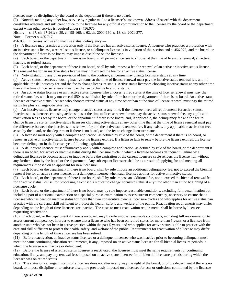licensee may be disciplined by the board or the department if there is no board.

(2) Notwithstanding any other law, service by regular mail to a licensee's last known address of record with the department constitutes adequate and sufficient notice to the licensee for any official communication to the licensee by the board or the department except when other service is required under s. 456.076.

History.—s. 97, ch. 97-261; s. 39, ch. 98-166; s. 62, ch. 2000-160; s. 13, ch. 2001-277.

Note.—Former s. 455.717.

456.036 Licenses; active and inactive status; delinquency.—

(1) A licensee may practice a profession only if the licensee has an active status license. A licensee who practices a profession with an inactive status license, a retired status license, or a delinquent license is in violation of this section and s. 456.072, and the board, or the department if there is no board, may impose discipline on the licensee.

(2) Each board, or the department if there is no board, shall permit a licensee to choose, at the time of licensure renewal, an active, inactive, or retired status.

(3) Each board, or the department if there is no board, shall by rule impose a fee for renewal of an active or inactive status license. The renewal fee for an inactive status license may not exceed the fee for an active status license.

(4) Notwithstanding any other provision of law to the contrary, a licensee may change licensure status at any time.

(a) Active status licensees choosing inactive status at the time of license renewal must pay the inactive status renewal fee, and, if applicable, the delinquency fee and the fee to change licensure status. Active status licensees choosing inactive status at any other time than at the time of license renewal must pay the fee to change licensure status.

(b) An active status licensee or an inactive status licensee who chooses retired status at the time of license renewal must pay the retired status fee, which may not exceed \$50 as established by rule of the board or the department if there is no board. An active status licensee or inactive status licensee who chooses retired status at any time other than at the time of license renewal must pay the retired status fee plus a change-of-status fee.

(c) An inactive status licensee may change to active status at any time, if the licensee meets all requirements for active status. Inactive status licensees choosing active status at the time of license renewal must pay the active status renewal fee, any applicable reactivation fees as set by the board, or the department if there is no board, and, if applicable, the delinquency fee and the fee to change licensure status. Inactive status licensees choosing active status at any other time than at the time of license renewal must pay the difference between the inactive status renewal fee and the active status renewal fee, if any exists, any applicable reactivation fees as set by the board, or the department if there is no board, and the fee to change licensure status.

(5) A licensee must apply with a complete application, as defined by rule of the board, or the department if there is no board, to renew an active or inactive status license before the license expires. If a licensee fails to renew before the license expires, the license becomes delinquent in the license cycle following expiration.

(6) A delinquent licensee must affirmatively apply with a complete application, as defined by rule of the board, or the department if there is no board, for active or inactive status during the licensure cycle in which a licensee becomes delinquent. Failure by a delinquent licensee to become active or inactive before the expiration of the current licensure cycle renders the license null without any further action by the board or the department. Any subsequent licensure shall be as a result of applying for and meeting all requirements imposed on an applicant for new licensure.

(7) Each board, or the department if there is no board, shall by rule impose an additional delinquency fee, not to exceed the biennial renewal fee for an active status license, on a delinquent licensee when such licensee applies for active or inactive status.

(8) Each board, or the department if there is no board, shall by rule impose an additional fee, not to exceed the biennial renewal fee for an active status license, for processing a licensee's request to change licensure status at any time other than at the beginning of a licensure cycle.

(9) Each board, or the department if there is no board, may by rule impose reasonable conditions, excluding full reexamination but including part of a national examination or a special purpose examination to assess current competency, necessary to ensure that a licensee who has been on inactive status for more than two consecutive biennial licensure cycles and who applies for active status can practice with the care and skill sufficient to protect the health, safety, and welfare of the public. Reactivation requirements may differ depending on the length of time licensees are inactive. The costs to meet reactivation requirements shall be borne by licensees requesting reactivation.

(10) Each board, or the department if there is no board, may by rule impose reasonable conditions, including full reexamination to assess current competency, in order to ensure that a licensee who has been on retired status for more than 5 years, or a licensee from another state who has not been in active practice within the past 5 years, and who applies for active status is able to practice with the care and skill sufficient to protect the health, safety, and welfare of the public. Requirements for reactivation of a license may differ depending on the length of time a licensee has been retired.

(11) Before reactivation, an inactive status licensee or a delinquent licensee who was inactive prior to becoming delinquent must meet the same continuing education requirements, if any, imposed on an active status licensee for all biennial licensure periods in which the licensee was inactive or delinquent.

(12) Before the license of a retired status licensee is reactivated, the licensee must meet the same requirements for continuing education, if any, and pay any renewal fees imposed on an active status licensee for all biennial licensure periods during which the licensee was on retired status.

(13) The status or a change in status of a licensee does not alter in any way the right of the board, or of the department if there is no board, to impose discipline or to enforce discipline previously imposed on a licensee for acts or omissions committed by the licensee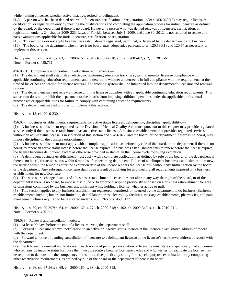while holding a license, whether active, inactive, retired, or delinquent.

(14) A person who has been denied renewal of licensure, certification, or registration under s. 456.0635(3) may regain licensure, certification, or registration only by meeting the qualifications and completing the application process for initial licensure as defined by the board, or the department if there is no board. However, a person who was denied renewal of licensure, certification, or registration under s. 24, chapter 2009-223, Laws of Florida, between July 1, 2009, and June 30, 2012, is not required to retake and pass examinations applicable for initial licensure, certification, or registration.

(15) This section does not apply to a business establishment registered, permitted, or licensed by the department to do business. (16) The board, or the department when there is no board, may adopt rules pursuant to ss. 120.536(1) and 120.54 as necessary to implement this section.

History.—s. 95, ch. 97-261; s. 63, ch. 2000-160; s. 31, ch. 2000-318; s. 3, ch. 2005-62; s. 2, ch. 2012-64. Note.—Former s. 455.711.

456.0361 Compliance with continuing education requirements.—

(1) The department shall establish an electronic continuing education tracking system to monitor licensee compliance with applicable continuing education requirements and to determine whether a licensee is in full compliance with the requirements at the time of his or her application for license renewal. The tracking system shall be integrated into the department's licensure and renewal process.

(2) The department may not renew a license until the licensee complies with all applicable continuing education requirements. This subsection does not prohibit the department or the boards from imposing additional penalties under the applicable professional practice act or applicable rules for failure to comply with continuing education requirements.

(3) The department may adopt rules to implement this section.

History.—s. 13, ch. 2016-230.

456.037 Business establishments; requirements for active status licenses; delinquency; discipline; applicability.—

(1) A business establishment regulated by the Division of Medical Quality Assurance pursuant to this chapter may provide regulated services only if the business establishment has an active status license. A business establishment that provides regulated services without an active status license is in violation of this section and s. 456.072, and the board, or the department if there is no board, may impose discipline on the business establishment.

(2) A business establishment must apply with a complete application, as defined by rule of the board, or the department if there is no board, to renew an active status license before the license expires. If a business establishment fails to renew before the license expires, the license becomes delinquent, except as otherwise provided in statute, in the license cycle following expiration.

(3) A delinquent business establishment must apply with a complete application, as defined by rule of the board, or the department if there is no board, for active status within 6 months after becoming delinquent. Failure of a delinquent business establishment to renew the license within the 6 months after the expiration date of the license renders the license null without any further action by the board or the department. Any subsequent licensure shall be as a result of applying for and meeting all requirements imposed on a business establishment for new licensure.

(4) The status or a change in status of a business establishment license does not alter in any way the right of the board, or of the department if there is no board, to impose discipline or to enforce discipline previously imposed on a business establishment for acts or omissions committed by the business establishment while holding a license, whether active or null.

(5) This section applies to any business establishment registered, permitted, or licensed by the department to do business. Business establishments include, but are not limited to, dental laboratories, electrology facilities, massage establishments, pharmacies, and painmanagement clinics required to be registered under s. 458.3265 or s. 459.0137.

History.—s. 89, ch. 99-397; s. 64, ch. 2000-160; s. 27, ch. 2000-318; s. 102, ch. 2000-349; s. 1, ch. 2010-211. Note.—Former s. 455.712.

456.038 Renewal and cancellation notices.—

(1) At least 90 days before the end of a licensure cycle, the department shall:

(a) Forward a licensure renewal notification to an active or inactive status licensee at the licensee's last known address of record with the department.

(b) Forward a notice of pending cancellation of licensure to a delinquent licensee at the licensee's last known address of record with the department.

(2) Each licensure renewal notification and each notice of pending cancellation of licensure must state conspicuously that a licensee who remains on inactive status for more than two consecutive biennial licensure cycles and who wishes to reactivate the license may be required to demonstrate the competency to resume active practice by sitting for a special purpose examination or by completing other reactivation requirements, as defined by rule of the board or the department if there is no board.

History.—s. 96, ch. 97-261; s. 65, ch. 2000-160; s. 33, ch. 2000-318.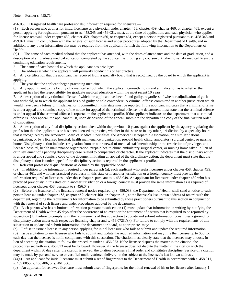Note.—Former s. 455.714.

456.039 Designated health care professionals; information required for licensure.—

(1) Each person who applies for initial licensure as a physician under chapter 458, chapter 459, chapter 460, or chapter 461, except a person applying for registration pursuant to ss. 458.345 and 459.021, must, at the time of application, and each physician who applies for license renewal under chapter 458, chapter 459, chapter 460, or chapter 461, except a person registered pursuant to ss. 458.345 and 459.021, must, in conjunction with the renewal of such license and under procedures adopted by the Department of Health, and in addition to any other information that may be required from the applicant, furnish the following information to the Department of Health:

(a)1. The name of each medical school that the applicant has attended, with the dates of attendance and the date of graduation, and a description of all graduate medical education completed by the applicant, excluding any coursework taken to satisfy medical licensure continuing education requirements.

2. The name of each hospital at which the applicant has privileges.

3. The address at which the applicant will primarily conduct his or her practice.

4. Any certification that the applicant has received from a specialty board that is recognized by the board to which the applicant is applying.

5. The year that the applicant began practicing medicine.

6. Any appointment to the faculty of a medical school which the applicant currently holds and an indication as to whether the applicant has had the responsibility for graduate medical education within the most recent 10 years.

7. A description of any criminal offense of which the applicant has been found guilty, regardless of whether adjudication of guilt was withheld, or to which the applicant has pled guilty or nolo contendere. A criminal offense committed in another jurisdiction which would have been a felony or misdemeanor if committed in this state must be reported. If the applicant indicates that a criminal offense is under appeal and submits a copy of the notice for appeal of that criminal offense, the department must state that the criminal offense is under appeal if the criminal offense is reported in the applicant's profile. If the applicant indicates to the department that a criminal offense is under appeal, the applicant must, upon disposition of the appeal, submit to the department a copy of the final written order of disposition.

8. A description of any final disciplinary action taken within the previous 10 years against the applicant by the agency regulating the profession that the applicant is or has been licensed to practice, whether in this state or in any other jurisdiction, by a specialty board that is recognized by the American Board of Medical Specialties, the American Osteopathic Association, or a similar national organization, or by a licensed hospital, health maintenance organization, prepaid health clinic, ambulatory surgical center, or nursing home. Disciplinary action includes resignation from or nonrenewal of medical staff membership or the restriction of privileges at a licensed hospital, health maintenance organization, prepaid health clinic, ambulatory surgical center, or nursing home taken in lieu of or in settlement of a pending disciplinary case related to competence or character. If the applicant indicates that the disciplinary action is under appeal and submits a copy of the document initiating an appeal of the disciplinary action, the department must state that the disciplinary action is under appeal if the disciplinary action is reported in the applicant's profile.

9. Relevant professional qualifications as defined by the applicable board.

(b) In addition to the information required under paragraph (a), each applicant who seeks licensure under chapter 458, chapter 459, or chapter 461, and who has practiced previously in this state or in another jurisdiction or a foreign country must provide the information required of licensees under those chapters pursuant to s. 456.049. An applicant for licensure under chapter 460 who has practiced previously in this state or in another jurisdiction or a foreign country must provide the same information as is required of licensees under chapter 458, pursuant to s. 456.049.

(2) Before the issuance of the licensure renewal notice required by s. 456.038, the Department of Health shall send a notice to each person licensed under chapter 458, chapter 459, chapter 460, or chapter 461, at the licensee's last known address of record with the department, regarding the requirements for information to be submitted by those practitioners pursuant to this section in conjunction with the renewal of such license and under procedures adopted by the department.

(3) Each person who has submitted information pursuant to subsection (1) must update that information in writing by notifying the Department of Health within 45 days after the occurrence of an event or the attainment of a status that is required to be reported by subsection (1). Failure to comply with the requirements of this subsection to update and submit information constitutes a ground for disciplinary action under each respective licensing chapter and s. 456.072(1)(k). For failure to comply with the requirements of this subsection to update and submit information, the department or board, as appropriate, may:

(a) Refuse to issue a license to any person applying for initial licensure who fails to submit and update the required information.

(b) Issue a citation to any licensee who fails to submit and update the required information and may fine the licensee up to \$50 for each day that the licensee is not in compliance with this subsection. The citation must clearly state that the licensee may choose, in lieu of accepting the citation, to follow the procedure under s. 456.073. If the licensee disputes the matter in the citation, the procedures set forth in s. 456.073 must be followed. However, if the licensee does not dispute the matter in the citation with the department within 30 days after the citation is served, the citation becomes a final order and constitutes discipline. Service of a citation may be made by personal service or certified mail, restricted delivery, to the subject at the licensee's last known address.

(4)(a) An applicant for initial licensure must submit a set of fingerprints to the Department of Health in accordance with s. 458.311, s. 459.0055, s. 460.406, or s. 461.006.

(b) An applicant for renewed licensure must submit a set of fingerprints for the initial renewal of his or her license after January 1,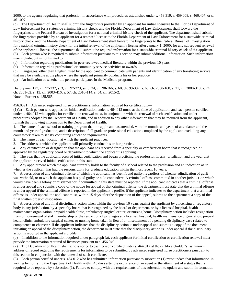2000, to the agency regulating that profession in accordance with procedures established under s. 458.319, s. 459.008, s. 460.407, or s. 461.007.

(c) The Department of Health shall submit the fingerprints provided by an applicant for initial licensure to the Florida Department of Law Enforcement for a statewide criminal history check, and the Florida Department of Law Enforcement shall forward the

fingerprints to the Federal Bureau of Investigation for a national criminal history check of the applicant. The department shall submit the fingerprints provided by an applicant for a renewed license to the Florida Department of Law Enforcement for a statewide criminal history check, and the Florida Department of Law Enforcement shall forward the fingerprints to the Federal Bureau of Investigation for a national criminal history check for the initial renewal of the applicant's license after January 1, 2000; for any subsequent renewal of the applicant's license, the department shall submit the required information for a statewide criminal history check of the applicant. (5) Each person who is required to submit information pursuant to this section may submit additional information. Such information

may include, but is not limited to:

(a) Information regarding publications in peer-reviewed medical literature within the previous 10 years.

- (b) Information regarding professional or community service activities or awards.
- (c) Languages, other than English, used by the applicant to communicate with patients and identification of any translating service that may be available at the place where the applicant primarily conducts his or her practice.

(d) An indication of whether the person participates in the Medicaid program.

History.—s. 127, ch. 97-237; s. 3, ch. 97-273; ss. 8, 34, ch. 98-166; s. 60, ch. 99-397; s. 66, ch. 2000-160; s. 21, ch. 2000-318; s. 74, ch. 2001-62; s. 13, ch. 2003-416; s. 57, ch. 2010-114; s. 54, ch. 2015-2. Note.—Former s. 455.565.

456.0391 Advanced registered nurse practitioners; information required for certification.—

(1)(a) Each person who applies for initial certification under s. 464.012 must, at the time of application, and each person certified under s. 464.012 who applies for certification renewal must, in conjunction with the renewal of such certification and under procedures adopted by the Department of Health, and in addition to any other information that may be required from the applicant, furnish the following information to the Department of Health:

1. The name of each school or training program that the applicant has attended, with the months and years of attendance and the month and year of graduation, and a description of all graduate professional education completed by the applicant, excluding any coursework taken to satisfy continuing education requirements.

2. The name of each location at which the applicant practices.

3. The address at which the applicant will primarily conduct his or her practice.

4. Any certification or designation that the applicant has received from a specialty or certification board that is recognized or approved by the regulatory board or department to which the applicant is applying.

5. The year that the applicant received initial certification and began practicing the profession in any jurisdiction and the year that the applicant received initial certification in this state.

6. Any appointment which the applicant currently holds to the faculty of a school related to the profession and an indication as to whether the applicant has had the responsibility for graduate education within the most recent 10 years.

7. A description of any criminal offense of which the applicant has been found guilty, regardless of whether adjudication of guilt was withheld, or to which the applicant has pled guilty or nolo contendere. A criminal offense committed in another jurisdiction which would have been a felony or misdemeanor if committed in this state must be reported. If the applicant indicates that a criminal offense is under appeal and submits a copy of the notice for appeal of that criminal offense, the department must state that the criminal offense is under appeal if the criminal offense is reported in the applicant's profile. If the applicant indicates to the department that a criminal offense is under appeal, the applicant must, within 15 days after the disposition of the appeal, submit to the department a copy of the final written order of disposition.

8. A description of any final disciplinary action taken within the previous 10 years against the applicant by a licensing or regulatory body in any jurisdiction, by a specialty board that is recognized by the board or department, or by a licensed hospital, health maintenance organization, prepaid health clinic, ambulatory surgical center, or nursing home. Disciplinary action includes resignation from or nonrenewal of staff membership or the restriction of privileges at a licensed hospital, health maintenance organization, prepaid health clinic, ambulatory surgical center, or nursing home taken in lieu of or in settlement of a pending disciplinary case related to competence or character. If the applicant indicates that the disciplinary action is under appeal and submits a copy of the document initiating an appeal of the disciplinary action, the department must state that the disciplinary action is under appeal if the disciplinary action is reported in the applicant's profile.

(b) In addition to the information required under paragraph (a), each applicant for initial certification or certification renewal must provide the information required of licensees pursuant to s. 456.049.

(2) The Department of Health shall send a notice to each person certified under s. 464.012 at the certificateholder's last known address of record regarding the requirements for information to be submitted by advanced registered nurse practitioners pursuant to this section in conjunction with the renewal of such certificate.

(3) Each person certified under s. 464.012 who has submitted information pursuant to subsection (1) must update that information in writing by notifying the Department of Health within 45 days after the occurrence of an event or the attainment of a status that is required to be reported by subsection (1). Failure to comply with the requirements of this subsection to update and submit information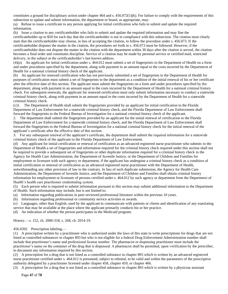constitutes a ground for disciplinary action under chapter  $464$  and s.  $456.072(1)$ (k). For failure to comply with the requirements of this subsection to update and submit information, the department or board, as appropriate, may:

(a) Refuse to issue a certificate to any person applying for initial certification who fails to submit and update the required information.

(b) Issue a citation to any certificateholder who fails to submit and update the required information and may fine the certificateholder up to \$50 for each day that the certificateholder is not in compliance with this subsection. The citation must clearly state that the certificateholder may choose, in lieu of accepting the citation, to follow the procedure under s. 456.073. If the certificateholder disputes the matter in the citation, the procedures set forth in s. 456.073 must be followed. However, if the certificateholder does not dispute the matter in the citation with the department within 30 days after the citation is served, the citation becomes a final order and constitutes discipline. Service of a citation may be made by personal service or certified mail, restricted delivery, to the subject at the certificateholder's last known address.

(4)(a) An applicant for initial certification under s. 464.012 must submit a set of fingerprints to the Department of Health on a form and under procedures specified by the department, along with payment in an amount equal to the costs incurred by the Department of Health for a national criminal history check of the applicant.

(b) An applicant for renewed certification who has not previously submitted a set of fingerprints to the Department of Health for purposes of certification must submit a set of fingerprints to the department as a condition of the initial renewal of his or her certificate after the effective date of this section. The applicant must submit the fingerprints on a form and under procedures specified by the department, along with payment in an amount equal to the costs incurred by the Department of Health for a national criminal history check. For subsequent renewals, the applicant for renewed certification must only submit information necessary to conduct a statewide criminal history check, along with payment in an amount equal to the costs incurred by the Department of Health for a statewide criminal history check.

(c)1. The Department of Health shall submit the fingerprints provided by an applicant for initial certification to the Florida Department of Law Enforcement for a statewide criminal history check, and the Florida Department of Law Enforcement shall forward the fingerprints to the Federal Bureau of Investigation for a national criminal history check of the applicant.

2. The department shall submit the fingerprints provided by an applicant for the initial renewal of certification to the Florida Department of Law Enforcement for a statewide criminal history check, and the Florida Department of Law Enforcement shall forward the fingerprints to the Federal Bureau of Investigation for a national criminal history check for the initial renewal of the applicant's certificate after the effective date of this section.

3. For any subsequent renewal of the applicant's certificate, the department shall submit the required information for a statewide criminal history check of the applicant to the Florida Department of Law Enforcement.

(d) Any applicant for initial certification or renewal of certification as an advanced registered nurse practitioner who submits to the Department of Health a set of fingerprints and information required for the criminal history check required under this section shall not be required to provide a subsequent set of fingerprints or other duplicate information required for a criminal history check to the Agency for Health Care Administration, the Department of Juvenile Justice, or the Department of Children and Families for employment or licensure with such agency or department, if the applicant has undergone a criminal history check as a condition of initial certification or renewal of certification as an advanced registered nurse practitioner with the Department of Health, notwithstanding any other provision of law to the contrary. In lieu of such duplicate submission, the Agency for Health Care Administration, the Department of Juvenile Justice, and the Department of Children and Families shall obtain criminal history information for employment or licensure of persons certified under s. 464.012 by such agency or department from the Department of Health's health care practitioner credentialing system.

(5) Each person who is required to submit information pursuant to this section may submit additional information to the Department of Health. Such information may include, but is not limited to:

(a) Information regarding publications in peer-reviewed professional literature within the previous 10 years.

(b) Information regarding professional or community service activities or awards.

(c) Languages, other than English, used by the applicant to communicate with patients or clients and identification of any translating service that may be available at the place where the applicant primarily conducts his or her practice.

(d) An indication of whether the person participates in the Medicaid program.

History.—s. 152, ch. 2000-318; s. 268, ch. 2014-19.

### 456.0392 Prescription labeling.—

(1) A prescription written by a practitioner who is authorized under the laws of this state to write prescriptions for drugs that are not listed as controlled substances in chapter 893 but who is not eligible for a federal Drug Enforcement Administration number shall include that practitioner's name and professional license number. The pharmacist or dispensing practitioner must include the practitioner's name on the container of the drug that is dispensed. A pharmacist shall be permitted, upon verification by the prescriber, to document any information required by this section.

(2) A prescription for a drug that is not listed as a controlled substance in chapter 893 which is written by an advanced registered nurse practitioner certified under s. 464.012 is presumed, subject to rebuttal, to be valid and within the parameters of the prescriptive authority delegated by a practitioner licensed under chapter 458, chapter 459, or chapter 466.

(3) A prescription for a drug that is not listed as a controlled substance in chapter 893 which is written by a physician assistant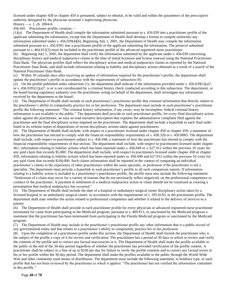licensed under chapter 458 or chapter 459 is presumed, subject to rebuttal, to be valid and within the parameters of the prescriptive authority delegated by the physician assistant's supervising physician.

History.—s. 1, ch. 2004-8.

456.041 Practitioner profile; creation.—

(1)(a) The Department of Health shall compile the information submitted pursuant to s. 456.039 into a practitioner profile of the applicant submitting the information, except that the Department of Health shall develop a format to compile uniformly any information submitted under s. 456.039(4)(b). Beginning July 1, 2001, the Department of Health may compile the information submitted pursuant to s. 456.0391 into a practitioner profile of the applicant submitting the information. The protocol submitted pursuant to s. 464.012(3) must be included in the practitioner profile of the advanced registered nurse practitioner.

(b) Beginning July 1, 2005, the department shall verify the information submitted by the applicant under s. 456.039 concerning disciplinary history and medical malpractice claims at the time of initial licensure and license renewal using the National Practitioner Data Bank. The physician profiles shall reflect the disciplinary action and medical malpractice claims as reported by the National Practitioner Data Bank, and shall include information relating to liability and disciplinary actions obtained as a result of a search of the National Practitioner Data Bank.

(c) Within 30 calendar days after receiving an update of information required for the practitioner's profile, the department shall update the practitioner's profile in accordance with the requirements of subsection (8).

(2) On the profile published under subsection (1), the department shall indicate if the information provided under s. 456.039(1)(a)7. or s. 456.0391(1)(a)7. is or is not corroborated by a criminal history check conducted according to this subsection. The department, or the board having regulatory authority over the practitioner acting on behalf of the department, shall investigate any information received by the department or the board.

(3) The Department of Health shall include in each practitioner's practitioner profile that criminal information that directly relates to the practitioner's ability to competently practice his or her profession. The department must include in each practitioner's practitioner profile the following statement: "The criminal history information, if any exists, may be incomplete; federal criminal history information is not available to the public." The department shall provide in each practitioner profile, for every final disciplinary action taken against the practitioner, an easy-to-read narrative description that explains the administrative complaint filed against the practitioner and the final disciplinary action imposed on the practitioner. The department shall include a hyperlink to each final order listed in its website report of dispositions of recent disciplinary actions taken against practitioners.

(4) The Department of Health shall include, with respect to a practitioner licensed under chapter 458 or chapter 459, a statement of how the practitioner has elected to comply with the financial responsibility requirements of s. 458.320 or s. 459.0085. The department shall include, with respect to practitioners subject to s. 456.048, a statement of how the practitioner has elected to comply with the financial responsibility requirements of that section. The department shall include, with respect to practitioners licensed under chapter 461, information relating to liability actions which has been reported under s. 456.049 or s. 627.912 within the previous 10 years for any paid claim that exceeds \$5,000. The department shall include, with respect to practitioners licensed under chapter 458 or chapter 459, information relating to liability actions which has been reported under ss. 456.049 and 627.912 within the previous 10 years for any paid claim that exceeds \$100,000. Such claims information shall be reported in the context of comparing an individual practitioner's claims to the experience of other practitioners within the same specialty, or profession if the practitioner is not a specialist. The department must provide a hyperlink in such practitioner's profile to all such comparison reports. If information relating to a liability action is included in a practitioner's practitioner profile, the profile must also include the following statement: "Settlement of a claim may occur for a variety of reasons that do not necessarily reflect negatively on the professional competence or conduct of the practitioner. A payment in settlement of a medical malpractice action or claim should not be construed as creating a presumption that medical malpractice has occurred."

(5) The Department of Health shall include the date of a hospital or ambulatory surgical center disciplinary action taken by a licensed hospital or an ambulatory surgical center, in accordance with the requirements of s. 395.0193, in the practitioner profile. The department shall state whether the action related to professional competence and whether it related to the delivery of services to a patient.

(6) The Department of Health shall provide in each practitioner profile for every physician or advanced registered nurse practitioner terminated for cause from participating in the Medicaid program, pursuant to s. 409.913, or sanctioned by the Medicaid program a statement that the practitioner has been terminated from participating in the Florida Medicaid program or sanctioned by the Medicaid program.

(7) The Department of Health may include in the practitioner's practitioner profile any other information that is a public record of any governmental entity and that relates to a practitioner's ability to competently practice his or her profession.

(8) Upon the completion of a practitioner profile under this section, the Department of Health shall furnish the practitioner who is the subject of the profile a copy of it for review and verification. The practitioner has a period of 30 days in which to review and verify the contents of the profile and to correct any factual inaccuracies in it. The Department of Health shall make the profile available to the public at the end of the 30-day period regardless of whether the practitioner has provided verification of the profile content. A practitioner shall be subject to a fine of up to \$100 per day for failure to verify the profile contents and to correct any factual errors in his or her profile within the 30-day period. The department shall make the profiles available to the public through the World Wide Web and other commonly used means of distribution. The department must include the following statement, in boldface type, in each profile that has not been reviewed by the practitioner to which it applies: "The practitioner has not verified the information contained in this profile."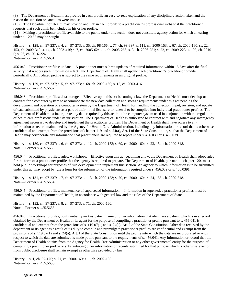(9) The Department of Health must provide in each profile an easy-to-read explanation of any disciplinary action taken and the reason the sanction or sanctions were imposed.

(10) The Department of Health may provide one link in each profile to a practitioner's professional website if the practitioner requests that such a link be included in his or her profile.

(11) Making a practitioner profile available to the public under this section does not constitute agency action for which a hearing under s. 120.57 may be sought.

History.—s. 128, ch. 97-237; s. 4, ch. 97-273; s. 35, ch. 98-166; s. 77, ch. 99-397; s. 111, ch. 2000-153; s. 67, ch. 2000-160; ss. 22, 153, ch. 2000-318; s. 14, ch. 2003-416; s. 7, ch. 2005-62; s. 1, ch. 2005-266; s. 3, ch. 2006-251; s. 22, ch. 2009-223; s. 103, ch. 2010- 5; s. 26, ch. 2016-224. Note.—Former s. 455.5651.

456.042 Practitioner profiles; update.—A practitioner must submit updates of required information within 15 days after the final activity that renders such information a fact. The Department of Health shall update each practitioner's practitioner profile periodically. An updated profile is subject to the same requirements as an original profile.

History.—s. 129, ch. 97-237; s. 5, ch. 97-273; s. 68, ch. 2000-160; s. 15, ch. 2003-416. Note.—Former s. 455.5652.

456.043 Practitioner profiles; data storage.—Effective upon this act becoming a law, the Department of Health must develop or contract for a computer system to accommodate the new data collection and storage requirements under this act pending the development and operation of a computer system by the Department of Health for handling the collection, input, revision, and update of data submitted by physicians as a part of their initial licensure or renewal to be compiled into individual practitioner profiles. The Department of Health must incorporate any data required by this act into the computer system used in conjunction with the regulation of health care professions under its jurisdiction. The Department of Health is authorized to contract with and negotiate any interagency agreement necessary to develop and implement the practitioner profiles. The Department of Health shall have access to any information or record maintained by the Agency for Health Care Administration, including any information or record that is otherwise confidential and exempt from the provisions of chapter 119 and s. 24(a), Art. I of the State Constitution, so that the Department of Health may corroborate any information that practitioners are required to report under s. 456.039 or s. 456.0391.

History.—s. 130, ch. 97-237; s. 6, ch. 97-273; s. 112, ch. 2000-153; s. 69, ch. 2000-160; ss. 23, 154, ch. 2000-318. Note.—Former s. 455.5653.

456.044 Practitioner profiles; rules; workshops.—Effective upon this act becoming a law, the Department of Health shall adopt rules for the form of a practitioner profile that the agency is required to prepare. The Department of Health, pursuant to chapter 120, must hold public workshops for purposes of rule development to implement this section. An agency to which information is to be submitted under this act may adopt by rule a form for the submission of the information required under s. 456.039 or s. 456.0391.

History.—s. 131, ch. 97-237; s. 7, ch. 97-273; s. 113, ch. 2000-153; s. 70, ch. 2000-160; ss. 24, 155, ch. 2000-318. Note.—Former s. 455.5654.

456.045 Practitioner profiles; maintenance of superseded information.—Information in superseded practitioner profiles must be maintained by the Department of Health, in accordance with general law and the rules of the Department of State.

History.—s. 132, ch. 97-237; s. 8, ch. 97-273; s. 71, ch. 2000-160. Note.—Former s. 455.5655.

456.046 Practitioner profiles; confidentiality.—Any patient name or other information that identifies a patient which is in a record obtained by the Department of Health or its agent for the purpose of compiling a practitioner profile pursuant to s. 456.041 is confidential and exempt from the provisions of s. 119.07(1) and s. 24(a), Art. I of the State Constitution. Other data received by the department or its agent as a result of its duty to compile and promulgate practitioner profiles are confidential and exempt from the provisions of s. 119.07(1) and s. 24(a), Art. I of the State Constitution until the profile into which the data are incorporated or with respect to which the data are submitted is made public pursuant to the requirements of s. 456.041. Any information or record that the Department of Health obtains from the Agency for Health Care Administration or any other governmental entity for the purpose of compiling a practitioner profile or substantiating other information or records submitted for that purpose which is otherwise exempt from public disclosure shall remain exempt as otherwise provided by law.

History.—s. 1, ch. 97-175; s. 71, ch. 2000-160; s. 1, ch. 2002-198. Note.—Former s. 455.5656.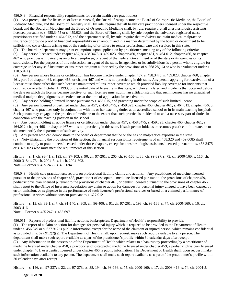456.048 Financial responsibility requirements for certain health care practitioners.—

(1) As a prerequisite for licensure or license renewal, the Board of Acupuncture, the Board of Chiropractic Medicine, the Board of Podiatric Medicine, and the Board of Dentistry shall, by rule, require that all health care practitioners licensed under the respective board, and the Board of Medicine and the Board of Osteopathic Medicine shall, by rule, require that all anesthesiologist assistants licensed pursuant to s. 458.3475 or s. 459.023, and the Board of Nursing shall, by rule, require that advanced registered nurse practitioners certified under s. 464.012, and the department shall, by rule, require that midwives maintain medical malpractice insurance or provide proof of financial responsibility in an amount and in a manner determined by the board or department to be sufficient to cover claims arising out of the rendering of or failure to render professional care and services in this state.

(2) The board or department may grant exemptions upon application by practitioners meeting any of the following criteria: (a) Any person licensed under chapter 457, s. 458.3475, s. 459.023, chapter 460, chapter 461, s. 464.012, chapter 466, or chapter 467 who practices exclusively as an officer, employee, or agent of the Federal Government or of the state or its agencies or its subdivisions. For the purposes of this subsection, an agent of the state, its agencies, or its subdivisions is a person who is eligible for coverage under any self-insurance or insurance program authorized by the provisions of s. 768.28(16) or who is a volunteer under s. 110.501(1).

(b) Any person whose license or certification has become inactive under chapter 457, s. 458.3475, s. 459.023, chapter 460, chapter 461, part I of chapter 464, chapter 466, or chapter 467 and who is not practicing in this state. Any person applying for reactivation of a license must show either that such licensee maintained tail insurance coverage which provided liability coverage for incidents that occurred on or after October 1, 1993, or the initial date of licensure in this state, whichever is later, and incidents that occurred before the date on which the license became inactive; or such licensee must submit an affidavit stating that such licensee has no unsatisfied medical malpractice judgments or settlements at the time of application for reactivation.

(c) Any person holding a limited license pursuant to s. 456.015, and practicing under the scope of such limited license.

(d) Any person licensed or certified under chapter 457, s. 458.3475, s. 459.023, chapter 460, chapter 461, s. 464.012, chapter 466, or chapter 467 who practices only in conjunction with his or her teaching duties at an accredited school or in its main teaching hospitals. Such person may engage in the practice of medicine to the extent that such practice is incidental to and a necessary part of duties in connection with the teaching position in the school.

(e) Any person holding an active license or certification under chapter 457, s. 458.3475, s. 459.023, chapter 460, chapter 461, s. 464.012, chapter 466, or chapter 467 who is not practicing in this state. If such person initiates or resumes practice in this state, he or she must notify the department of such activity.

(f) Any person who can demonstrate to the board or department that he or she has no malpractice exposure in the state.

(3) Notwithstanding the provisions of this section, the financial responsibility requirements of ss. 458.320 and 459.0085 shall continue to apply to practitioners licensed under those chapters, except for anesthesiologist assistants licensed pursuant to s. 458.3475 or s. 459.023 who must meet the requirements of this section.

History.—s. 1, ch. 93-41; s. 193, ch. 97-103; s. 90, ch. 97-261; s. 266, ch. 98-166; s. 88, ch. 99-397; s. 73, ch. 2000-160; s. 116, ch. 2000-318; s. 73, ch. 2004-5; s. 1, ch. 2004-303. Note.—Former s. 455.2456; s. 455.694.

456.049 Health care practitioners; reports on professional liability claims and actions.—Any practitioner of medicine licensed pursuant to the provisions of chapter 458, practitioner of osteopathic medicine licensed pursuant to the provisions of chapter 459, podiatric physician licensed pursuant to the provisions of chapter 461, or dentist licensed pursuant to the provisions of chapter 466 shall report to the Office of Insurance Regulation any claim or action for damages for personal injury alleged to have been caused by error, omission, or negligence in the performance of such licensee's professional services or based on a claimed performance of professional services without consent pursuant to s. 627.912.

History.—s. 13, ch. 88-1; s. 7, ch. 91-140; s. 309, ch. 96-406; s. 91, ch. 97-261; s. 193, ch. 98-166; s. 74, ch. 2000-160; s. 16, ch. 2003-416. Note.—Former s. 455.247; s. 455.697.

456.051 Reports of professional liability actions; bankruptcies; Department of Health's responsibility to provide.—

(1) The report of a claim or action for damages for personal injury which is required to be provided to the Department of Health under s. 456.049 or s. 627.912 is public information except for the name of the claimant or injured person, which remains confidential as provided in s. 627.912(2)(e). The Department of Health shall, upon request, make such report available to any person. The department shall make such report available as a part of the practitioner's profile within 30 calendar days after receipt. (2) Any information in the possession of the Department of Health which relates to a bankruptcy proceeding by a practitioner of medicine licensed under chapter 458, a practitioner of osteopathic medicine licensed under chapter 459, a podiatric physician licensed under chapter 461, or a dentist licensed under chapter 466 is public information. The Department of Health shall, upon request, make such information available to any person. The department shall make such report available as a part of the practitioner's profile within 30 calendar days after receipt.

History.—s. 146, ch. 97-237; s. 22, ch. 97-273; ss. 38, 194, ch. 98-166; s. 75, ch. 2000-160; s. 17, ch. 2003-416; s. 74, ch. 2004-5.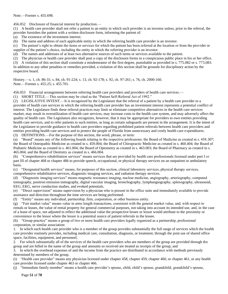Note.—Former s. 455.698.

456.052 Disclosure of financial interest by production.—

(1) A health care provider shall not refer a patient to an entity in which such provider is an investor unless, prior to the referral, the provider furnishes the patient with a written disclosure form, informing the patient of:

(a) The existence of the investment interest.

(b) The name and address of each applicable entity in which the referring health care provider is an investor.

(c) The patient's right to obtain the items or services for which the patient has been referred at the location or from the provider or supplier of the patient's choice, including the entity in which the referring provider is an investor.

(d) The names and addresses of at least two alternative sources of such items or services available to the patient.

(2) The physician or health care provider shall post a copy of the disclosure forms in a conspicuous public place in his or her office.

(3) A violation of this section shall constitute a misdemeanor of the first degree, punishable as provided in s. 775.082 or s. 775.083. In addition to any other penalties or remedies provided, a violation of this section shall be grounds for disciplinary action by the respective board.

History.—s. 1, ch. 86-31; s. 84, ch. 91-224; s. 13, ch. 92-178; s. 92, ch. 97-261; s. 76, ch. 2000-160. Note.—Former s. 455.25; s. 455.701.

456.053 Financial arrangements between referring health care providers and providers of health care services.—

(1) SHORT TITLE.—This section may be cited as the "Patient Self-Referral Act of 1992."

(2) LEGISLATIVE INTENT.—It is recognized by the Legislature that the referral of a patient by a health care provider to a provider of health care services in which the referring health care provider has an investment interest represents a potential conflict of interest. The Legislature finds these referral practices may limit or eliminate competitive alternatives in the health care services market, may result in overutilization of health care services, may increase costs to the health care system, and may adversely affect the quality of health care. The Legislature also recognizes, however, that it may be appropriate for providers to own entities providing health care services, and to refer patients to such entities, as long as certain safeguards are present in the arrangement. It is the intent of the Legislature to provide guidance to health care providers regarding prohibited patient referrals between health care providers and entities providing health care services and to protect the people of Florida from unnecessary and costly health care expenditures.

(3) DEFINITIONS.—For the purpose of this section, the word, phrase, or term:

(a) "Board" means any of the following boards relating to the respective professions: the Board of Medicine as created in s. 458.307; the Board of Osteopathic Medicine as created in s. 459.004; the Board of Chiropractic Medicine as created in s. 460.404; the Board of Podiatric Medicine as created in s. 461.004; the Board of Optometry as created in s. 463.003; the Board of Pharmacy as created in s. 465.004; and the Board of Dentistry as created in s. 466.004.

(b) "Comprehensive rehabilitation services" means services that are provided by health care professionals licensed under part I or part III of chapter 468 or chapter 486 to provide speech, occupational, or physical therapy services on an outpatient or ambulatory basis.

(c) "Designated health services" means, for purposes of this section, clinical laboratory services, physical therapy services, comprehensive rehabilitative services, diagnostic-imaging services, and radiation therapy services.

(d) "Diagnostic imaging services" means magnetic resonance imaging, nuclear medicine, angiography, arteriography, computed tomography, positron emission tomography, digital vascular imaging, bronchography, lymphangiography, splenography, ultrasound, EEG, EKG, nerve conduction studies, and evoked potentials.

(e) "Direct supervision" means supervision by a physician who is present in the office suite and immediately available to provide assistance and direction throughout the time services are being performed.

(f) "Entity" means any individual, partnership, firm, corporation, or other business entity.

(g) "Fair market value" means value in arms length transactions, consistent with the general market value, and, with respect to rentals or leases, the value of rental property for general commercial purposes, not taking into account its intended use, and, in the case of a lease of space, not adjusted to reflect the additional value the prospective lessee or lessor would attribute to the proximity or convenience to the lessor where the lessor is a potential source of patient referrals to the lessee.

(h) "Group practice" means a group of two or more health care providers legally organized as a partnership, professional corporation, or similar association:

1. In which each health care provider who is a member of the group provides substantially the full range of services which the health care provider routinely provides, including medical care, consultation, diagnosis, or treatment, through the joint use of shared office space, facilities, equipment, and personnel;

2. For which substantially all of the services of the health care providers who are members of the group are provided through the group and are billed in the name of the group and amounts so received are treated as receipts of the group; and

3. In which the overhead expenses of and the income from the practice are distributed in accordance with methods previously determined by members of the group.

(i) "Health care provider" means any physician licensed under chapter 458, chapter 459, chapter 460, or chapter 461, or any health care provider licensed under chapter 463 or chapter 466.

(j) "Immediate family member" means a health care provider's spouse, child, child's spouse, grandchild, grandchild's spouse,

Page **51** of **78**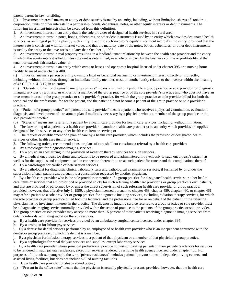parent, parent-in-law, or sibling.

(k) "Investment interest" means an equity or debt security issued by an entity, including, without limitation, shares of stock in a corporation, units or other interests in a partnership, bonds, debentures, notes, or other equity interests or debt instruments. The following investment interests shall be excepted from this definition:

1. An investment interest in an entity that is the sole provider of designated health services in a rural area;

2. An investment interest in notes, bonds, debentures, or other debt instruments issued by an entity which provides designated health services, as an integral part of a plan by such entity to acquire such investor's equity investment interest in the entity, provided that the interest rate is consistent with fair market value, and that the maturity date of the notes, bonds, debentures, or other debt instruments issued by the entity to the investor is not later than October 1, 1996.

3. An investment interest in real property resulting in a landlord-tenant relationship between the health care provider and the entity in which the equity interest is held, unless the rent is determined, in whole or in part, by the business volume or profitability of the tenant or exceeds fair market value; or

4. An investment interest in an entity which owns or leases and operates a hospital licensed under chapter 395 or a nursing home facility licensed under chapter 400.

"Investor" means a person or entity owning a legal or beneficial ownership or investment interest, directly or indirectly, including, without limitation, through an immediate family member, trust, or another entity related to the investor within the meaning of 42 C.F.R. s. 413.17, in an entity.

(m) "Outside referral for diagnostic imaging services" means a referral of a patient to a group practice or sole provider for diagnostic imaging services by a physician who is not a member of the group practice or of the sole provider's practice and who does not have an investment interest in the group practice or sole provider's practice, for which the group practice or sole provider billed for both the technical and the professional fee for the patient, and the patient did not become a patient of the group practice or sole provider's practice.

(n) "Patient of a group practice" or "patient of a sole provider" means a patient who receives a physical examination, evaluation, diagnosis, and development of a treatment plan if medically necessary by a physician who is a member of the group practice or the sole provider's practice.

(o) "Referral" means any referral of a patient by a health care provider for health care services, including, without limitation:

1. The forwarding of a patient by a health care provider to another health care provider or to an entity which provides or supplies designated health services or any other health care item or service; or

2. The request or establishment of a plan of care by a health care provider, which includes the provision of designated health services or other health care item or service.

3. The following orders, recommendations, or plans of care shall not constitute a referral by a health care provider:

a. By a radiologist for diagnostic-imaging services.

b. By a physician specializing in the provision of radiation therapy services for such services.

c. By a medical oncologist for drugs and solutions to be prepared and administered intravenously to such oncologist's patient, as well as for the supplies and equipment used in connection therewith to treat such patient for cancer and the complications thereof.

d. By a cardiologist for cardiac catheterization services.

e. By a pathologist for diagnostic clinical laboratory tests and pathological examination services, if furnished by or under the supervision of such pathologist pursuant to a consultation requested by another physician.

f. By a health care provider who is the sole provider or member of a group practice for designated health services or other health care items or services that are prescribed or provided solely for such referring health care provider's or group practice's own patients, and that are provided or performed by or under the direct supervision of such referring health care provider or group practice; provided, however, that effective July 1, 1999, a physician licensed pursuant to chapter 458, chapter 459, chapter 460, or chapter 461 may refer a patient to a sole provider or group practice for diagnostic imaging services, excluding radiation therapy services, for which the sole provider or group practice billed both the technical and the professional fee for or on behalf of the patient, if the referring physician has no investment interest in the practice. The diagnostic imaging service referred to a group practice or sole provider must be a diagnostic imaging service normally provided within the scope of practice to the patients of the group practice or sole provider. The group practice or sole provider may accept no more than 15 percent of their patients receiving diagnostic imaging services from outside referrals, excluding radiation therapy services.

g. By a health care provider for services provided by an ambulatory surgical center licensed under chapter 395.

h. By a urologist for lithotripsy services.

i. By a dentist for dental services performed by an employee of or health care provider who is an independent contractor with the dentist or group practice of which the dentist is a member.

j. By a physician for infusion therapy services to a patient of that physician or a member of that physician's group practice.

k. By a nephrologist for renal dialysis services and supplies, except laboratory services.

l. By a health care provider whose principal professional practice consists of treating patients in their private residences for services to be rendered in such private residences, except for services rendered by a home health agency licensed under chapter 400. For purposes of this sub-subparagraph, the term "private residences" includes patients' private homes, independent living centers, and assisted living facilities, but does not include skilled nursing facilities.

By a health care provider for sleep-related testing.

(p) "Present in the office suite" means that the physician is actually physically present; provided, however, that the health care

Page **52** of **78**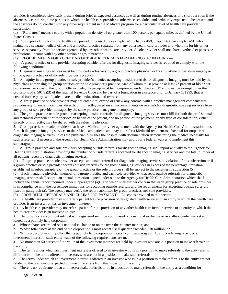provider is considered physically present during brief unexpected absences as well as during routine absences of a short duration if the absences occur during time periods in which the health care provider is otherwise scheduled and ordinarily expected to be present and the absences do not conflict with any other requirement in the Medicare program for a particular level of health care provider supervision.

(q) "Rural area" means a county with a population density of no greater than 100 persons per square mile, as defined by the United States Census.

(r) "Sole provider" means one health care provider licensed under chapter 458, chapter 459, chapter 460, or chapter 461, who maintains a separate medical office and a medical practice separate from any other health care provider and who bills for his or her services separately from the services provided by any other health care provider. A sole provider shall not share overhead expenses or professional income with any other person or group practice.

(4) REQUIREMENTS FOR ACCEPTING OUTSIDE REFERRALS FOR DIAGNOSTIC IMAGING.—

(a) A group practice or sole provider accepting outside referrals for diagnostic imaging services is required to comply with the following conditions:

1. Diagnostic imaging services must be provided exclusively by a group practice physician or by a full-time or part-time employee of the group practice or of the sole provider's practice.

2. All equity in the group practice or sole provider's practice accepting outside referrals for diagnostic imaging must be held by the physicians comprising the group practice or the sole provider's practice, each of whom must provide at least 75 percent of his or her professional services to the group. Alternatively, the group must be incorporated under chapter 617 and must be exempt under the provisions of s.  $501(c)(3)$  of the Internal Revenue Code and be part of a foundation in existence prior to January 1, 1999, that is created for the purpose of patient care, medical education, and research.

3. A group practice or sole provider may not enter into, extend or renew any contract with a practice management company that provides any financial incentives, directly or indirectly, based on an increase in outside referrals for diagnostic imaging services from any group or sole provider managed by the same practice management company.

4. The group practice or sole provider accepting outside referrals for diagnostic imaging services must bill for both the professional and technical component of the service on behalf of the patient, and no portion of the payment, or any type of consideration, either directly or indirectly, may be shared with the referring physician.

5. Group practices or sole providers that have a Medicaid provider agreement with the Agency for Health Care Administration must furnish diagnostic imaging services to their Medicaid patients and may not refer a Medicaid recipient to a hospital for outpatient diagnostic imaging services unless the physician furnishes the hospital with documentation demonstrating the medical necessity for such a referral. If necessary, the Agency for Health Care Administration may apply for a federal waiver to implement this subparagraph.

6. All group practices and sole providers accepting outside referrals for diagnostic imaging shall report annually to the Agency for Health Care Administration providing the number of outside referrals accepted for diagnostic imaging services and the total number of all patients receiving diagnostic imaging services.

(b) If a group practice or sole provider accepts an outside referral for diagnostic imaging services in violation of this subsection or if a group practice or sole provider accepts outside referrals for diagnostic imaging services in excess of the percentage limitation established in subparagraph (a)2., the group practice or the sole provider shall be subject to the penalties in subsection (5).

(c) Each managing physician member of a group practice and each sole provider who accepts outside referrals for diagnostic imaging services shall submit an annual attestation signed under oath to the Agency for Health Care Administration which shall include the annual report required under subparagraph (a)6. and which shall further confirm that each group practice or sole provider is in compliance with the percentage limitations for accepting outside referrals and the requirements for accepting outside referrals listed in paragraph (a). The agency may verify the report submitted by group practices and sole providers.

(5) PROHIBITED REFERRALS AND CLAIMS FOR PAYMENT.—Except as provided in this section:

(a) A health care provider may not refer a patient for the provision of designated health services to an entity in which the health care provider is an investor or has an investment interest.

(b) A health care provider may not refer a patient for the provision of any other health care item or service to an entity in which the health care provider is an investor unless:

1. The provider's investment interest is in registered securities purchased on a national exchange or over-the-counter market and issued by a publicly held corporation:

- a. Whose shares are traded on a national exchange or on the over-the-counter market; and
- b. Whose total assets at the end of the corporation's most recent fiscal quarter exceeded \$50 million; or

2. With respect to an entity other than a publicly held corporation described in subparagraph 1., and a referring provider's

investment interest in such entity, each of the following requirements are met:

a. No more than 50 percent of the value of the investment interests are held by investors who are in a position to make referrals to the entity.

b. The terms under which an investment interest is offered to an investor who is in a position to make referrals to the entity are no different from the terms offered to investors who are not in a position to make such referrals.

c. The terms under which an investment interest is offered to an investor who is in a position to make referrals to the entity are not related to the previous or expected volume of referrals from that investor to the entity.

d. There is no requirement that an investor make referrals or be in a position to make referrals to the entity as a condition for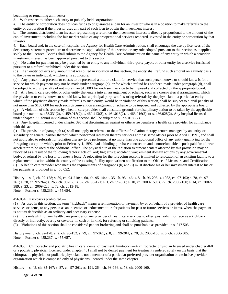becoming or remaining an investor.

3. With respect to either such entity or publicly held corporation:

a. The entity or corporation does not loan funds to or guarantee a loan for an investor who is in a position to make referrals to the entity or corporation if the investor uses any part of such loan to obtain the investment interest.

b. The amount distributed to an investor representing a return on the investment interest is directly proportional to the amount of the capital investment, including the fair market value of any preoperational services rendered, invested in the entity or corporation by that investor.

4. Each board and, in the case of hospitals, the Agency for Health Care Administration, shall encourage the use by licensees of the declaratory statement procedure to determine the applicability of this section or any rule adopted pursuant to this section as it applies solely to the licensee. Boards shall submit to the Agency for Health Care Administration the name of any entity in which a provider investment interest has been approved pursuant to this section.

(c) No claim for payment may be presented by an entity to any individual, third-party payor, or other entity for a service furnished pursuant to a referral prohibited under this section.

(d) If an entity collects any amount that was billed in violation of this section, the entity shall refund such amount on a timely basis to the payor or individual, whichever is applicable.

(e) Any person that presents or causes to be presented a bill or a claim for service that such person knows or should know is for a service for which payment may not be made under paragraph (c), or for which a refund has not been made under paragraph (d), shall be subject to a civil penalty of not more than \$15,000 for each such service to be imposed and collected by the appropriate board.

(f) Any health care provider or other entity that enters into an arrangement or scheme, such as a cross-referral arrangement, which the physician or entity knows or should know has a principal purpose of assuring referrals by the physician to a particular entity which, if the physician directly made referrals to such entity, would be in violation of this section, shall be subject to a civil penalty of not more than \$100,000 for each such circumvention arrangement or scheme to be imposed and collected by the appropriate board. (g) A violation of this section by a health care provider shall constitute grounds for disciplinary action to be taken by the applicable board pursuant to s. 458.331(2), s. 459.015(2), s. 460.413(2), s. 461.013(2), s. 463.016(2), or s. 466.028(2). Any hospital licensed under chapter 395 found in violation of this section shall be subject to s. 395.0185(2).

(h) Any hospital licensed under chapter 395 that discriminates against or otherwise penalizes a health care provider for compliance with this act.

(i) The provision of paragraph (a) shall not apply to referrals to the offices of radiation therapy centers managed by an entity or subsidiary or general partner thereof, which performed radiation therapy services at those same offices prior to April 1, 1991, and shall not apply also to referrals for radiation therapy to be performed at no more than one additional office of any entity qualifying for the foregoing exception which, prior to February 1, 1992, had a binding purchase contract on and a nonrefundable deposit paid for a linear accelerator to be used at the additional office. The physical site of the radiation treatment centers affected by this provision may be relocated as a result of the following factors: acts of God; fire; strike; accident; war; eminent domain actions by any governmental body; or refusal by the lessor to renew a lease. A relocation for the foregoing reasons is limited to relocation of an existing facility to a replacement location within the county of the existing facility upon written notification to the Office of Licensure and Certification. (j) A health care provider who meets the requirements of paragraphs (b) and (i) must disclose his or her investment interest to his or her patients as provided in s. 456.052.

History.—s. 7, ch. 92-178; s. 89, ch. 94-218; s. 60, ch. 95-144; s. 35, ch. 95-146; s. 8, ch. 96-296; s. 1083, ch. 97-103; s. 78, ch. 97- 261; s. 70, ch. 97-264; s. 263, ch. 98-166; s. 62, ch. 98-171; s. 1, ch. 99-356; s. 10, ch. 2000-159; s. 77, ch. 2000-160; s. 14, ch. 2002- 389; s. 23, ch. 2009-223; s. 72, ch. 2013-18. Note.—Former s. 455.236; s. 455.654.

456.054 Kickbacks prohibited.—

(1) As used in this section, the term "kickback" means a remuneration or payment, by or on behalf of a provider of health care services or items, to any person as an incentive or inducement to refer patients for past or future services or items, when the payment is not tax deductible as an ordinary and necessary expense.

(2) It is unlawful for any health care provider or any provider of health care services to offer, pay, solicit, or receive a kickback, directly or indirectly, overtly or covertly, in cash or in kind, for referring or soliciting patients.

(3) Violations of this section shall be considered patient brokering and shall be punishable as provided in s. 817.505.

History.—s. 8, ch. 92-178; s. 2, ch. 96-152; s. 79, ch. 97-261; s. 8, ch. 99-204; s. 78, ch. 2000-160; s. 6, ch. 2006-305. Note.—Former s. 455.237; s. 455.657.

456.055 Chiropractic and podiatric health care; denial of payment; limitation.—A chiropractic physician licensed under chapter 460 or a podiatric physician licensed under chapter 461 shall not be denied payment for treatment rendered solely on the basis that the chiropractic physician or podiatric physician is not a member of a particular preferred provider organization or exclusive provider organization which is composed only of physicians licensed under the same chapter.

History.—s. 43, ch. 85-167; s. 87, ch. 97-261; ss. 191, 264, ch. 98-166; s. 78, ch. 2000-160.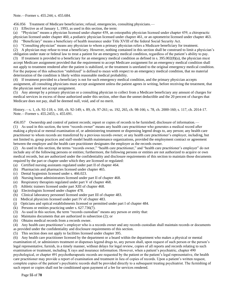Note.—Former s. 455.244; s. 455.684.

456.056 Treatment of Medicare beneficiaries; refusal, emergencies, consulting physicians.—

(1) Effective as of January 1, 1993, as used in this section, the term:

(a) "Physician" means a physician licensed under chapter 458, an osteopathic physician licensed under chapter 459, a chiropractic physician licensed under chapter 460, a podiatric physician licensed under chapter 461, or an optometrist licensed under chapter 463. (b) "Beneficiary" means a beneficiary of health insurance under Title XVIII of the federal Social Security Act.

(c) "Consulting physician" means any physician to whom a primary physician refers a Medicare beneficiary for treatment.

(2) A physician may refuse to treat a beneficiary. However, nothing contained in this section shall be construed to limit a physician's obligation under state or federal law to treat a patient for an emergency medical condition, regardless of the patient's ability to pay. (3) If treatment is provided to a beneficiary for an emergency medical condition as defined in s.  $395.002(8)(a)$ , the physician must

accept Medicare assignment provided that the requirement to accept Medicare assignment for an emergency medical condition shall not apply to treatment rendered after the patient is stabilized, or the treatment is unrelated to the original emergency medical condition. For the purpose of this subsection "stabilized" is defined to mean with respect to an emergency medical condition, that no material deterioration of the condition is likely within reasonable medical probability.

(4) If treatment provided to a beneficiary is not for such emergency medical condition, and the primary physician accepts assignment, all consulting physicians must accept assignment unless the patient agrees in writing, before receiving the treatment, that the physician need not accept assignment.

(5) Any attempt by a primary physician or a consulting physician to collect from a Medicare beneficiary any amount of charges for medical services in excess of those authorized under this section, other than the unmet deductible and the 20 percent of charges that Medicare does not pay, shall be deemed null, void, and of no merit.

History.—s. 1, ch. 92-118; s. 160, ch. 92-149; s. 89, ch. 97-261; ss. 192, 265, ch. 98-166; s. 78, ch. 2000-160; s. 117, ch. 2014-17. Note.—Former s. 455.2455; s. 455.691.

456.057 Ownership and control of patient records; report or copies of records to be furnished; disclosure of information.— (1) As used in this section, the term "records owner" means any health care practitioner who generates a medical record after making a physical or mental examination of, or administering treatment or dispensing legend drugs to, any person; any health care practitioner to whom records are transferred by a previous records owner; or any health care practitioner's employer, including, but not limited to, group practices and staff-model health maintenance organizations, provided the employment contract or agreement between the employer and the health care practitioner designates the employer as the records owner.

(2) As used in this section, the terms "records owner," "health care practitioner," and "health care practitioner's employer" do not include any of the following persons or entities; furthermore, the following persons or entities are not authorized to acquire or own medical records, but are authorized under the confidentiality and disclosure requirements of this section to maintain those documents required by the part or chapter under which they are licensed or regulated:

- (a) Certified nursing assistants regulated under part II of chapter 464.
- (b) Pharmacists and pharmacies licensed under chapter 465.
- (c) Dental hygienists licensed under s. 466.023.
- (d) Nursing home administrators licensed under part II of chapter 468.
- (e) Respiratory therapists regulated under part V of chapter 468.
- (f) Athletic trainers licensed under part XIII of chapter 468.
- (g) Electrologists licensed under chapter 478.
- (h) Clinical laboratory personnel licensed under part III of chapter 483.
- (i) Medical physicists licensed under part IV of chapter 483.
- (j) Opticians and optical establishments licensed or permitted under part I of chapter 484.
- (k) Persons or entities practicing under s. 627.736(7).
- (3) As used in this section, the term "records custodian" means any person or entity that:
- (a) Maintains documents that are authorized in subsection (2); or
- (b) Obtains medical records from a records owner.
- (4) Any health care practitioner's employer who is a records owner and any records custodian shall maintain records or documents as provided under the confidentiality and disclosure requirements of this section.
- (5) This section does not apply to facilities licensed under chapter 395.

(6) Any health care practitioner licensed by the department or a board within the department who makes a physical or mental examination of, or administers treatment or dispenses legend drugs to, any person shall, upon request of such person or the person's legal representative, furnish, in a timely manner, without delays for legal review, copies of all reports and records relating to such examination or treatment, including X rays and insurance information. However, when a patient's psychiatric, chapter 490 psychological, or chapter 491 psychotherapeutic records are requested by the patient or the patient's legal representative, the health care practitioner may provide a report of examination and treatment in lieu of copies of records. Upon a patient's written request, complete copies of the patient's psychiatric records shall be provided directly to a subsequent treating psychiatrist. The furnishing of such report or copies shall not be conditioned upon payment of a fee for services rendered.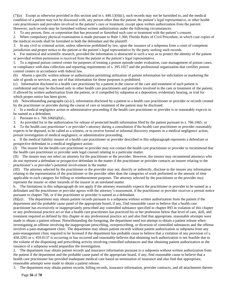$(7)(a)$  Except as otherwise provided in this section and in s.  $440.13(4)(c)$ , such records may not be furnished to, and the medical condition of a patient may not be discussed with, any person other than the patient, the patient's legal representative, or other health care practitioners and providers involved in the patient's care or treatment, except upon written authorization from the patient. However, such records may be furnished without written authorization under the following circumstances:

1. To any person, firm, or corporation that has procured or furnished such care or treatment with the patient's consent.

2. When compulsory physical examination is made pursuant to Rule 1.360, Florida Rules of Civil Procedure, in which case copies of the medical records shall be furnished to both the defendant and the plaintiff.

3. In any civil or criminal action, unless otherwise prohibited by law, upon the issuance of a subpoena from a court of competent jurisdiction and proper notice to the patient or the patient's legal representative by the party seeking such records.

4. For statistical and scientific research, provided the information is abstracted in such a way as to protect the identity of the patient or provided written permission is received from the patient or the patient's legal representative.

5. To a regional poison control center for purposes of treating a poison episode under evaluation, case management of poison cases, or compliance with data collection and reporting requirements of s. 395.1027 and the professional organization that certifies poison control centers in accordance with federal law.

(b) Absent a specific written release or authorization permitting utilization of patient information for solicitation or marketing the sale of goods or services, any use of that information for those purposes is prohibited.

(c) Information disclosed to a health care practitioner by a patient in the course of the care and treatment of such patient is confidential and may be disclosed only to other health care practitioners and providers involved in the care or treatment of the patient, if allowed by written authorization from the patient, or if compelled by subpoena at a deposition, evidentiary hearing, or trial for which proper notice has been given.

(d) Notwithstanding paragraphs (a)-(c), information disclosed by a patient to a health care practitioner or provider or records created by the practitioner or provider during the course of care or treatment of the patient may be disclosed:

1. In a medical negligence action or administrative proceeding if the health care practitioner or provider is or reasonably expects to be named as a defendant;

2. Pursuant to s. 766.106(6)(b)5.;

3. As provided for in the authorization for release of protected health information filed by the patient pursuant to s. 766.1065; or

4. To the health care practitioner's or provider's attorney during a consultation if the health care practitioner or provider reasonably expects to be deposed, to be called as a witness, or to receive formal or informal discovery requests in a medical negligence action, presuit investigation of medical negligence, or administrative proceeding.

a. If the medical liability insurer of a health care practitioner or provider described in this subparagraph represents a defendant or prospective defendant in a medical negligence action:

(I) The insurer for the health care practitioner or provider may not contact the health care practitioner or provider to recommend that the health care practitioner or provider seek legal counsel relating to a particular matter.

(II) The insurer may not select an attorney for the practitioner or the provider. However, the insurer may recommend attorneys who do not represent a defendant or prospective defendant in the matter if the practitioner or provider contacts an insurer relating to the practitioner's or provider's potential involvement in the matter.

(III) The attorney selected by the practitioner or the provider may not, directly or indirectly, disclose to the insurer any information relating to the representation of the practitioner or the provider other than the categories of work performed or the amount of time applicable to each category for billing or reimbursement purposes. The attorney selected by the practitioner or the provider may represent the insurer or other insureds of the insurer in an unrelated matter.

b. The limitations in this subparagraph do not apply if the attorney reasonably expects the practitioner or provider to be named as a defendant and the practitioner or provider agrees with the attorney's assessment, if the practitioner or provider receives a presuit notice pursuant to chapter 766, or if the practitioner or provider is named as a defendant.

(8)(a)1. The department may obtain patient records pursuant to a subpoena without written authorization from the patient if the department and the probable cause panel of the appropriate board, if any, find reasonable cause to believe that a health care practitioner has excessively or inappropriately prescribed any controlled substance specified in chapter 893 in violation of this chapter or any professional practice act or that a health care practitioner has practiced his or her profession below that level of care, skill, and treatment required as defined by this chapter or any professional practice act and also find that appropriate, reasonable attempts were made to obtain a patient release. Notwithstanding the foregoing, the department need not attempt to obtain a patient release when investigating an offense involving the inappropriate prescribing, overprescribing, or diversion of controlled substances and the offense involves a pain-management clinic. The department may obtain patient records without patient authorization or subpoena from any pain-management clinic required to be licensed if the department has probable cause to believe that a violation of any provision of s. 458.3265 or s. 459.0137 is occurring or has occurred and reasonably believes that obtaining such authorization is not feasible due to the volume of the dispensing and prescribing activity involving controlled substances and that obtaining patient authorization or the issuance of a subpoena would jeopardize the investigation.

2. The department may obtain patient records and insurance information pursuant to a subpoena without written authorization from the patient if the department and the probable cause panel of the appropriate board, if any, find reasonable cause to believe that a health care practitioner has provided inadequate medical care based on termination of insurance and also find that appropriate, reasonable attempts were made to obtain a patient release.

3. The department may obtain patient records, billing records, insurance information, provider contracts, and all attachments thereto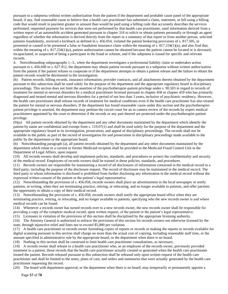pursuant to a subpoena without written authorization from the patient if the department and probable cause panel of the appropriate board, if any, find reasonable cause to believe that a health care practitioner has submitted a claim, statement, or bill using a billing code that would result in payment greater in amount than would be paid using a billing code that accurately describes the services performed, requested payment for services that were not performed by that health care practitioner, used information derived from a written report of an automobile accident generated pursuant to chapter 316 to solicit or obtain patients personally or through an agent regardless of whether the information is derived directly from the report or a summary of that report or from another person, solicited patients fraudulently, received a kickback as defined in s. 456.054, violated the patient brokering provisions of s. 817.505, or presented or caused to be presented a false or fraudulent insurance claim within the meaning of s. 817.234(1)(a), and also find that, within the meaning of s. 817.234(1)(a), patient authorization cannot be obtained because the patient cannot be located or is deceased, incapacitated, or suspected of being a participant in the fraud or scheme, and if the subpoena is issued for specific and relevant records.

4. Notwithstanding subparagraphs 1.-3., when the department investigates a professional liability claim or undertakes action pursuant to s. 456.049 or s. 627.912, the department may obtain patient records pursuant to a subpoena without written authorization from the patient if the patient refuses to cooperate or if the department attempts to obtain a patient release and the failure to obtain the patient records would be detrimental to the investigation.

(b) Patient records, billing records, insurance information, provider contracts, and all attachments thereto obtained by the department pursuant to this subsection shall be used solely for the purpose of the department and the appropriate regulatory board in disciplinary proceedings. This section does not limit the assertion of the psychotherapist-patient privilege under s. 90.503 in regard to records of treatment for mental or nervous disorders by a medical practitioner licensed pursuant to chapter 458 or chapter 459 who has primarily diagnosed and treated mental and nervous disorders for a period of not less than 3 years, inclusive of psychiatric residency. However, the health care practitioner shall release records of treatment for medical conditions even if the health care practitioner has also treated the patient for mental or nervous disorders. If the department has found reasonable cause under this section and the psychotherapistpatient privilege is asserted, the department may petition the circuit court for an in camera review of the records by expert medical practitioners appointed by the court to determine if the records or any part thereof are protected under the psychotherapist-patient privilege.

(9)(a) All patient records obtained by the department and any other documents maintained by the department which identify the patient by name are confidential and exempt from s. 119.07(1) and shall be used solely for the purpose of the department and the appropriate regulatory board in its investigation, prosecution, and appeal of disciplinary proceedings. The records shall not be available to the public as part of the record of investigation for and prosecution in disciplinary proceedings made available to the public by the department or the appropriate board.

(b) Notwithstanding paragraph (a), all patient records obtained by the department and any other documents maintained by the department which relate to a current or former Medicaid recipient shall be provided to the Medicaid Fraud Control Unit in the Department of Legal Affairs, upon request.

(10) All records owners shall develop and implement policies, standards, and procedures to protect the confidentiality and security of the medical record. Employees of records owners shall be trained in these policies, standards, and procedures.

(11) Records owners are responsible for maintaining a record of all disclosures of information contained in the medical record to a third party, including the purpose of the disclosure request. The record of disclosure may be maintained in the medical record. The third party to whom information is disclosed is prohibited from further disclosing any information in the medical record without the expressed written consent of the patient or the patient's legal representative.

(12) Notwithstanding the provisions of s. 456.058, records owners shall place an advertisement in the local newspaper or notify patients, in writing, when they are terminating practice, retiring, or relocating, and no longer available to patients, and offer patients the opportunity to obtain a copy of their medical record.

(13) Notwithstanding the provisions of s. 456.058, records owners shall notify the appropriate board office when they are terminating practice, retiring, or relocating, and no longer available to patients, specifying who the new records owner is and where medical records can be found.

(14) Whenever a records owner has turned records over to a new records owner, the new records owner shall be responsible for providing a copy of the complete medical record, upon written request, of the patient or the patient's legal representative.

(15) Licensees in violation of the provisions of this section shall be disciplined by the appropriate licensing authority.

(16) The Attorney General is authorized to enforce the provisions of this section for records owners not otherwise licensed by the state, through injunctive relief and fines not to exceed \$5,000 per violation.

(17) A health care practitioner or records owner furnishing copies of reports or records or making the reports or records available for digital scanning pursuant to this section shall charge no more than the actual cost of copying, including reasonable staff time, or the amount specified in administrative rule by the appropriate board, or the department when there is no board.

(18) Nothing in this section shall be construed to limit health care practitioner consultations, as necessary.

(19) A records owner shall release to a health care practitioner who, as an employee of the records owner, previously provided treatment to a patient, those records that the health care practitioner actually created or generated when the health care practitioner treated the patient. Records released pursuant to this subsection shall be released only upon written request of the health care practitioner and shall be limited to the notes, plans of care, and orders and summaries that were actually generated by the health care practitioner requesting the record.

(20) The board with department approval, or the department when there is no board, may temporarily or permanently appoint a

Page **57** of **78**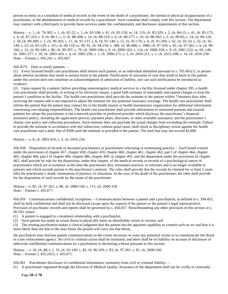person or entity as a custodian of medical records in the event of the death of a practitioner, the mental or physical incapacitation of a practitioner, or the abandonment of medical records by a practitioner. Such custodian shall comply with this section. The department may contract with a third party to provide these services under the confidentiality and disclosure requirements of this section.

History.—s. 1, ch. 79-302; s. 1, ch. 82-22; s. 1, ch. 83-108; s. 81, ch. 83-218; ss. 14, 119, ch. 83-329; s. 2, ch. 84-15; s. 41, ch. 85-175; s. 4, ch. 87-333; s. 9, ch. 88-1; s. 2, ch. 88-208; s. 14, ch. 88-219; s. 6, ch. 88-277; s. 10, ch. 88-392; s. 2, ch. 89-85; s. 14, ch. 89-124; s. 28, ch. 89-289; s. 1, ch. 90-263; s. 11, ch. 91-137; s. 6, ch. 91-140; s. 12, ch. 91-176; s. 4, ch. 91-269; s. 62, ch. 92-33; s. 32, ch. 92- 149; s. 23, ch. 93-129; s. 315, ch. 94-119; ss. 90, 91, ch. 94-218; s. 308, ch. 96-406; s. 1084, ch. 97-103; s. 82, ch. 97-261; s. 6, ch. 98- 166; s. 12, ch. 99-349; s. 86, ch. 99-397; s. 79, ch. 2000-160; s. 9, ch. 2000-163; s. 114, ch. 2000-318; s. 9, ch. 2001-222; ss. 69, 140, ch. 2001-277; s. 18, ch. 2003-416; s. 4, ch. 2005-256; s. 1, ch. 2006-271; s. 2, ch. 2010-211; s. 1, ch. 2013-108; s. 14, ch. 2016-230. Note.—Former s. 455.241; s. 455.667.

# 456.0575 Duty to notify patients.—

(1) Every licensed health care practitioner shall inform each patient, or an individual identified pursuant to s. 765.401(1), in person about adverse incidents that result in serious harm to the patient. Notification of outcomes of care that result in harm to the patient under this section does not constitute an acknowledgment of admission of liability, nor can such notifications be introduced as evidence.

(2) Upon request by a patient, before providing nonemergency medical services in a facility licensed under chapter 395, a health care practitioner shall provide, in writing or by electronic means, a good faith estimate of reasonably anticipated charges to treat the patient's condition at the facility. The health care practitioner shall provide the estimate to the patient within 7 business days after receiving the request and is not required to adjust the estimate for any potential insurance coverage. The health care practitioner shall inform the patient that the patient may contact his or her health insurer or health maintenance organization for additional information concerning cost-sharing responsibilities. The health care practitioner shall provide information to uninsured patients and insured patients for whom the practitioner is not a network provider or preferred provider which discloses the practitioner's financial assistance policy, including the application process, payment plans, discounts, or other available assistance, and the practitioner's charity care policy and collection procedures. Such estimate does not preclude the actual charges from exceeding the estimate. Failure to provide the estimate in accordance with this subsection, without good cause, shall result in disciplinary action against the health care practitioner and a daily fine of \$500 until the estimate is provided to the patient. The total fine may not exceed \$5,000.

History.—s. 8, ch. 2003-416; s. 5, ch. 2016-234.

456.058 Disposition of records of deceased practitioners or practitioners relocating or terminating practice.—Each board created under the provisions of chapter 457, chapter 458, chapter 459, chapter 460, chapter 461, chapter 463, part I of chapter 464, chapter 465, chapter 466, part I of chapter 484, chapter 486, chapter 490, or chapter 491, and the department under the provisions of chapter 462, shall provide by rule for the disposition, under that chapter, of the medical records or records of a psychological nature of practitioners which are in existence at the time the practitioner dies, terminates practice, or relocates and is no longer available to patients and which records pertain to the practitioner's patients. The rules shall provide that the records be retained for at least 2 years after the practitioner's death, termination of practice, or relocation. In the case of the death of the practitioner, the rules shall provide for the disposition of such records by the estate of the practitioner.

History.—s. 85, ch. 97-261; s. 80, ch. 2000-160; s. 115, ch. 2000-318. Note.—Former s. 455.677.

456.059 Communications confidential; exceptions.—Communications between a patient and a psychiatrist, as defined in s. 394.455, shall be held confidential and shall not be disclosed except upon the request of the patient or the patient's legal representative. Provision of psychiatric records and reports shall be governed by s. 456.057. Notwithstanding any other provision of this section or s. 90.503, where:

(1) A patient is engaged in a treatment relationship with a psychiatrist;

(2) Such patient has made an actual threat to physically harm an identifiable victim or victims; and

(3) The treating psychiatrist makes a clinical judgment that the patient has the apparent capability to commit such an act and that it is more likely than not that in the near future the patient will carry out that threat,

the psychiatrist may disclose patient communications to the extent necessary to warn any potential victim or to communicate the threat to a law enforcement agency. No civil or criminal action shall be instituted, and there shall be no liability on account of disclosure of otherwise confidential communications by a psychiatrist in disclosing a threat pursuant to this section.

History.—s. 10, ch. 88-1; s. 33, ch. 92-149; s. 43, ch. 96-169; s. 83, ch. 97-261; s. 81, ch. 2000-160. Note.—Former s. 455.2415; s. 455.671.

456.061 Practitioner disclosure of confidential information; immunity from civil or criminal liability.—

(1) A practitioner regulated through the Division of Medical Quality Assurance of the department shall not be civilly or criminally

Page **58** of **78**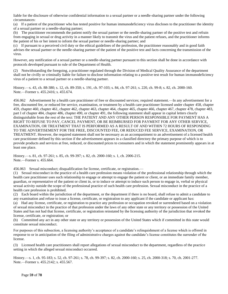liable for the disclosure of otherwise confidential information to a sexual partner or a needle-sharing partner under the following circumstances:

(a) If a patient of the practitioner who has tested positive for human immunodeficiency virus discloses to the practitioner the identity of a sexual partner or a needle-sharing partner;

(b) The practitioner recommends the patient notify the sexual partner or the needle-sharing partner of the positive test and refrain from engaging in sexual or drug activity in a manner likely to transmit the virus and the patient refuses, and the practitioner informs the patient of his or her intent to inform the sexual partner or needle-sharing partner; and

(c) If pursuant to a perceived civil duty or the ethical guidelines of the profession, the practitioner reasonably and in good faith advises the sexual partner or the needle-sharing partner of the patient of the positive test and facts concerning the transmission of the virus.

However, any notification of a sexual partner or a needle-sharing partner pursuant to this section shall be done in accordance with protocols developed pursuant to rule of the Department of Health.

(2) Notwithstanding the foregoing, a practitioner regulated through the Division of Medical Quality Assurance of the department shall not be civilly or criminally liable for failure to disclose information relating to a positive test result for human immunodeficiency virus of a patient to a sexual partner or a needle-sharing partner.

History.—s. 43, ch. 88-380; s. 12, ch. 89-350; s. 191, ch. 97-103; s. 84, ch. 97-261; s. 220, ch. 99-8; s. 82, ch. 2000-160. Note.—Former s. 455.2416; s. 455.674.

456.062 Advertisement by a health care practitioner of free or discounted services; required statement.—In any advertisement for a free, discounted fee, or reduced fee service, examination, or treatment by a health care practitioner licensed under chapter 458, chapter 459, chapter 460, chapter 461, chapter 462, chapter 463, chapter 464, chapter 465, chapter 466, chapter 467, chapter 478, chapter 483, part I of chapter 484, chapter 486, chapter 490, or chapter 491, the following statement shall appear in capital letters clearly distinguishable from the rest of the text: THE PATIENT AND ANY OTHER PERSON RESPONSIBLE FOR PAYMENT HAS A RIGHT TO REFUSE TO PAY, CANCEL PAYMENT, OR BE REIMBURSED FOR PAYMENT FOR ANY OTHER SERVICE, EXAMINATION, OR TREATMENT THAT IS PERFORMED AS A RESULT OF AND WITHIN 72 HOURS OF RESPONDING TO THE ADVERTISEMENT FOR THE FREE, DISCOUNTED FEE, OR REDUCED FEE SERVICE, EXAMINATION, OR TREATMENT. However, the required statement shall not be necessary as an accompaniment to an advertisement of a licensed health care practitioner defined by this section if the advertisement appears in a classified directory the primary purpose of which is to provide products and services at free, reduced, or discounted prices to consumers and in which the statement prominently appears in at least one place.

History.—s. 81, ch. 97-261; s. 85, ch. 99-397; s. 82, ch. 2000-160; s. 1, ch. 2006-215. Note.—Former s. 455.664.

456.063 Sexual misconduct; disqualification for license, certificate, or registration.—

(1) Sexual misconduct in the practice of a health care profession means violation of the professional relationship through which the health care practitioner uses such relationship to engage or attempt to engage the patient or client, or an immediate family member, guardian, or representative of the patient or client in, or to induce or attempt to induce such person to engage in, verbal or physical sexual activity outside the scope of the professional practice of such health care profession. Sexual misconduct in the practice of a health care profession is prohibited.

(2) Each board within the jurisdiction of the department, or the department if there is no board, shall refuse to admit a candidate to any examination and refuse to issue a license, certificate, or registration to any applicant if the candidate or applicant has:

(a) Had any license, certificate, or registration to practice any profession or occupation revoked or surrendered based on a violation of sexual misconduct in the practice of that profession under the laws of any other state or any territory or possession of the United States and has not had that license, certificate, or registration reinstated by the licensing authority of the jurisdiction that revoked the license, certificate, or registration; or

(b) Committed any act in any other state or any territory or possession of the United States which if committed in this state would constitute sexual misconduct.

For purposes of this subsection, a licensing authority's acceptance of a candidate's relinquishment of a license which is offered in response to or in anticipation of the filing of administrative charges against the candidate's license constitutes the surrender of the license.

(3) Licensed health care practitioners shall report allegations of sexual misconduct to the department, regardless of the practice setting in which the alleged sexual misconduct occurred.

History.—s. 1, ch. 95-183; s. 52, ch. 97-261; s. 78, ch. 99-397; s. 82, ch. 2000-160; s. 25, ch. 2000-318; s. 70, ch. 2001-277. Note.—Former s. 455.2142; s. 455.567.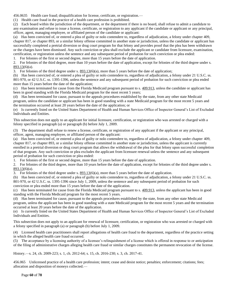456.0635 Health care fraud; disqualification for license, certificate, or registration.—

(1) Health care fraud in the practice of a health care profession is prohibited.

(2) Each board within the jurisdiction of the department, or the department if there is no board, shall refuse to admit a candidate to any examination and refuse to issue a license, certificate, or registration to any applicant if the candidate or applicant or any principal, officer, agent, managing employee, or affiliated person of the candidate or applicant:

(a) Has been convicted of, or entered a plea of guilty or nolo contendere to, regardless of adjudication, a felony under chapter 409, chapter 817, or chapter 893, or a similar felony offense committed in another state or jurisdiction, unless the candidate or applicant has successfully completed a pretrial diversion or drug court program for that felony and provides proof that the plea has been withdrawn or the charges have been dismissed. Any such conviction or plea shall exclude the applicant or candidate from licensure, examination, certification, or registration unless the sentence and any subsequent period of probation for such conviction or plea ended:

1. For felonies of the first or second degree, more than 15 years before the date of application.

2. For felonies of the third degree, more than 10 years before the date of application, except for felonies of the third degree under s. [893.13\(](http://www.leg.state.fl.us/statutes/index.cfm?App_mode=Display_Statute&Search_String=&URL=0800-0899/0893/Sections/0893.13.html)6)(a).

3. For felonies of the third degree under s.  $893.13(6)(a)$ , more than 5 years before the date of application;

(b) Has been convicted of, or entered a plea of guilty or nolo contendere to, regardless of adjudication, a felony under 21 U.S.C. ss. 801-970, or 42 U.S.C. ss. 1395-1396, unless the sentence and any subsequent period of probation for such conviction or plea ended more than 15 years before the date of the application;

(c) Has been terminated for cause from the Florida Medicaid program pursuant to s. [409.913,](http://www.leg.state.fl.us/statutes/index.cfm?App_mode=Display_Statute&Search_String=&URL=0400-0499/0409/Sections/0409.913.html) unless the candidate or applicant has been in good standing with the Florida Medicaid program for the most recent 5 years;

(d) Has been terminated for cause, pursuant to the appeals procedures established by the state, from any other state Medicaid program, unless the candidate or applicant has been in good standing with a state Medicaid program for the most recent 5 years and the termination occurred at least 20 years before the date of the application; or

(e) Is currently listed on the United States Department of Health and Human Services Office of Inspector General's List of Excluded Individuals and Entities.

This subsection does not apply to an applicant for initial licensure, certification, or registration who was arrested or charged with a felony specified in paragraph (a) or paragraph (b) before July 1, 2009.

(3) The department shall refuse to renew a license, certificate, or registration of any applicant if the applicant or any principal, officer, agent, managing employee, or affiliated person of the applicant:

(a) Has been convicted of, or entered a plea of guilty or nolo contendere to, regardless of adjudication, a felony under chapter 409, chapter 817, or chapter 893, or a similar felony offense committed in another state or jurisdiction, unless the applicant is currently enrolled in a pretrial diversion or drug court program that allows the withdrawal of the plea for that felony upon successful completion of that program. Any such conviction or plea excludes the applicant from licensure renewal unless the sentence and any subsequent period of probation for such conviction or plea ended:

1. For felonies of the first or second degree, more than 15 years before the date of application.

2. For felonies of the third degree, more than 10 years before the date of application, except for felonies of the third degree under s. [893.13\(](http://www.leg.state.fl.us/statutes/index.cfm?App_mode=Display_Statute&Search_String=&URL=0800-0899/0893/Sections/0893.13.html)6)(a).

3. For felonies of the third degree under s.  $893.13(6)(a)$ , more than 5 years before the date of application.

(b) Has been convicted of, or entered a plea of guilty or nolo contendere to, regardless of adjudication, a felony under 21 U.S.C. ss. 801-970, or 42 U.S.C. ss. 1395-1396 since July 1, 2009, unless the sentence and any subsequent period of probation for such conviction or plea ended more than 15 years before the date of the application.

(c) Has been terminated for cause from the Florida Medicaid program pursuant to s. [409.913,](http://www.leg.state.fl.us/statutes/index.cfm?App_mode=Display_Statute&Search_String=&URL=0400-0499/0409/Sections/0409.913.html) unless the applicant has been in good standing with the Florida Medicaid program for the most recent 5 years.

(d) Has been terminated for cause, pursuant to the appeals procedures established by the state, from any other state Medicaid program, unless the applicant has been in good standing with a state Medicaid program for the most recent 5 years and the termination occurred at least 20 years before the date of the application.

(e) Is currently listed on the United States Department of Health and Human Services Office of Inspector General's List of Excluded Individuals and Entities.

This subsection does not apply to an applicant for renewal of licensure, certification, or registration who was arrested or charged with a felony specified in paragraph (a) or paragraph (b) before July 1, 2009.

(4) Licensed health care practitioners shall report allegations of health care fraud to the department, regardless of the practice setting in which the alleged health care fraud occurred.

(5) The acceptance by a licensing authority of a licensee's relinquishment of a license which is offered in response to or anticipation of the filing of administrative charges alleging health care fraud or similar charges constitutes the permanent revocation of the license.

History.—s. 24, ch. 2009-223; s. 1, ch. 2012-64; s. 15, ch. 2016-230; s. 3, ch. 2017-41.

456.065 Unlicensed practice of a health care profession; intent; cease and desist notice; penalties; enforcement; citations; fees; allocation and disposition of moneys collected.—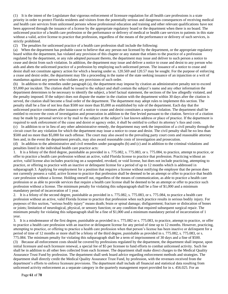(1) It is the intent of the Legislature that vigorous enforcement of licensure regulation for all health care professions is a state priority in order to protect Florida residents and visitors from the potentially serious and dangerous consequences of receiving medical and health care services from unlicensed persons whose professional education and training and other relevant qualifications have not been approved through the issuance of a license by the appropriate regulatory board or the department when there is no board. The unlicensed practice of a health care profession or the performance or delivery of medical or health care services to patients in this state without a valid, active license to practice that profession, regardless of the means of the performance or delivery of such services, is strictly prohibited.

(2) The penalties for unlicensed practice of a health care profession shall include the following:

(a) When the department has probable cause to believe that any person not licensed by the department, or the appropriate regulatory board within the department, has violated any provision of this chapter or any statute that relates to the practice of a profession regulated by the department, or any rule adopted pursuant thereto, the department may issue and deliver to such person a notice to cease and desist from such violation. In addition, the department may issue and deliver a notice to cease and desist to any person who aids and abets the unlicensed practice of a profession by employing such unlicensed person. The issuance of a notice to cease and desist shall not constitute agency action for which a hearing under ss. 120.569 and 120.57 may be sought. For the purpose of enforcing a cease and desist order, the department may file a proceeding in the name of the state seeking issuance of an injunction or a writ of mandamus against any person who violates any provisions of such order.

(b) In addition to the remedies under paragraph (a), the department may impose by citation an administrative penalty not to exceed \$5,000 per incident. The citation shall be issued to the subject and shall contain the subject's name and any other information the department determines to be necessary to identify the subject, a brief factual statement, the sections of the law allegedly violated, and the penalty imposed. If the subject does not dispute the matter in the citation with the department within 30 days after the citation is served, the citation shall become a final order of the department. The department may adopt rules to implement this section. The penalty shall be a fine of not less than \$500 nor more than \$5,000 as established by rule of the department. Each day that the unlicensed practice continues after issuance of a notice to cease and desist constitutes a separate violation. The department shall be entitled to recover the costs of investigation and prosecution in addition to the fine levied pursuant to the citation. Service of a citation may be made by personal service or by mail to the subject at the subject's last known address or place of practice. If the department is required to seek enforcement of the cease and desist or agency order, it shall be entitled to collect its attorney's fees and costs. (c) In addition to or in lieu of any other administrative remedy, the department may seek the imposition of a civil penalty through the circuit court for any violation for which the department may issue a notice to cease and desist. The civil penalty shall be no less than \$500 and no more than \$5,000 for each offense. The court may also award to the prevailing party court costs and reasonable attorney fees and, in the event the department prevails, may also award reasonable costs of investigation and prosecution.

(d) In addition to the administrative and civil remedies under paragraphs (b) and (c) and in addition to the criminal violations and penalties listed in the individual health care practice acts:

1. It is a felony of the third degree, punishable as provided in s. 775.082, s. 775.083, or s. 775.084, to practice, attempt to practice, or offer to practice a health care profession without an active, valid Florida license to practice that profession. Practicing without an active, valid license also includes practicing on a suspended, revoked, or void license, but does not include practicing, attempting to practice, or offering to practice with an inactive or delinquent license for a period of up to 12 months which is addressed in subparagraph 3. Applying for employment for a position that requires a license without notifying the employer that the person does not currently possess a valid, active license to practice that profession shall be deemed to be an attempt or offer to practice that health care profession without a license. Holding oneself out, regardless of the means of communication, as able to practice a health care profession or as able to provide services that require a health care license shall be deemed to be an attempt or offer to practice such profession without a license. The minimum penalty for violating this subparagraph shall be a fine of \$1,000 and a minimum mandatory period of incarceration of 1 year.

2. It is a felony of the second degree, punishable as provided in s. 775.082, s. 775.083, or s. 775.084, to practice a health care profession without an active, valid Florida license to practice that profession when such practice results in serious bodily injury. For purposes of this section, "serious bodily injury" means death; brain or spinal damage; disfigurement; fracture or dislocation of bones or joints; limitation of neurological, physical, or sensory function; or any condition that required subsequent surgical repair. The minimum penalty for violating this subparagraph shall be a fine of \$1,000 and a minimum mandatory period of incarceration of 1 year.

3. It is a misdemeanor of the first degree, punishable as provided in s. 775.082 or s. 775.083, to practice, attempt to practice, or offer to practice a health care profession with an inactive or delinquent license for any period of time up to 12 months. However, practicing, attempting to practice, or offering to practice a health care profession when that person's license has been inactive or delinquent for a period of time of 12 months or more shall be a felony of the third degree, punishable as provided in s. 775.082, s. 775.083, or s. 775.084. The minimum penalty for violating this subparagraph shall be a term of imprisonment of 30 days and a fine of \$500. (3) Because all enforcement costs should be covered by professions regulated by the department, the department shall impose, upon initial licensure and each licensure renewal, a special fee of \$5 per licensee to fund efforts to combat unlicensed activity. Such fee shall be in addition to all other fees collected from each licensee. The department shall make direct charges to the Medical Quality Assurance Trust Fund by profession. The department shall seek board advice regarding enforcement methods and strategies. The department shall directly credit the Medical Quality Assurance Trust Fund, by profession, with the revenues received from the department's efforts to enforce licensure provisions. The department shall include all financial and statistical data resulting from unlicensed activity enforcement as a separate category in the quarterly management report provided for in s. 456.025. For an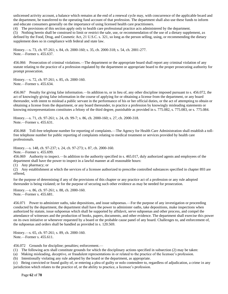unlicensed activity account, a balance which remains at the end of a renewal cycle may, with concurrence of the applicable board and the department, be transferred to the operating fund account of that profession. The department shall also use these funds to inform and educate consumers generally on the importance of using licensed health care practitioners.

(4) The provisions of this section apply only to health care professional practice acts administered by the department.

(5) Nothing herein shall be construed to limit or restrict the sale, use, or recommendation of the use of a dietary supplement, as defined by the Food, Drug, and Cosmetic Act, 21 U.S.C. s. 321, so long as the person selling, using, or recommending the dietary supplement does so in compliance with federal and state law.

History.—s. 73, ch. 97-261; s. 84, ch. 2000-160; s. 35, ch. 2000-318; s. 54, ch. 2001-277. Note.—Former s. 455.637.

456.066 Prosecution of criminal violations.—The department or the appropriate board shall report any criminal violation of any statute relating to the practice of a profession regulated by the department or appropriate board to the proper prosecuting authority for prompt prosecution.

History.—s. 72, ch. 97-261; s. 85, ch. 2000-160. Note.—Former s. 455.634.

456.067 Penalty for giving false information.—In addition to, or in lieu of, any other discipline imposed pursuant to s. 456.072, the act of knowingly giving false information in the course of applying for or obtaining a license from the department, or any board thereunder, with intent to mislead a public servant in the performance of his or her official duties, or the act of attempting to obtain or obtaining a license from the department, or any board thereunder, to practice a profession by knowingly misleading statements or knowing misrepresentations constitutes a felony of the third degree, punishable as provided in s. 775.082, s. 775.083, or s. 775.084.

History.—s. 71, ch. 97-261; s. 24, ch. 99-7; s. 86, ch. 2000-160; s. 27, ch. 2000-318. Note.—Former s. 455.631.

456.068 Toll-free telephone number for reporting of complaints.—The Agency for Health Care Administration shall establish a tollfree telephone number for public reporting of complaints relating to medical treatment or services provided by health care professionals.

History.—s. 148, ch. 97-237; s. 24, ch. 97-273; s. 87, ch. 2000-160.

Note.—Former s. 455.699.

456.069 Authority to inspect.—In addition to the authority specified in s. 465.017, duly authorized agents and employees of the department shall have the power to inspect in a lawful manner at all reasonable hours:

(1) Any pharmacy; or

(2) Any establishment at which the services of a licensee authorized to prescribe controlled substances specified in chapter 893 are offered,

for the purpose of determining if any of the provisions of this chapter or any practice act of a profession or any rule adopted thereunder is being violated; or for the purpose of securing such other evidence as may be needed for prosecution.

History.—s. 86, ch. 97-261; s. 88, ch. 2000-160. Note.—Former s. 455.681.

456.071 Power to administer oaths, take depositions, and issue subpoenas.—For the purpose of any investigation or proceeding conducted by the department, the department shall have the power to administer oaths, take depositions, make inspections when authorized by statute, issue subpoenas which shall be supported by affidavit, serve subpoenas and other process, and compel the attendance of witnesses and the production of books, papers, documents, and other evidence. The department shall exercise this power on its own initiative or whenever requested by a board or the probable cause panel of any board. Challenges to, and enforcement of, the subpoenas and orders shall be handled as provided in s. 120.569.

History.—s. 65, ch. 97-261; s. 89, ch. 2000-160. Note.—Former s. 455.611.

456.072 Grounds for discipline; penalties; enforcement.—

(1) The following acts shall constitute grounds for which the disciplinary actions specified in subsection (2) may be taken:

(a) Making misleading, deceptive, or fraudulent representations in or related to the practice of the licensee's profession.

(b) Intentionally violating any rule adopted by the board or the department, as appropriate.

(c) Being convicted or found guilty of, or entering a plea of guilty or nolo contendere to, regardless of adjudication, a crime in any jurisdiction which relates to the practice of, or the ability to practice, a licensee's profession.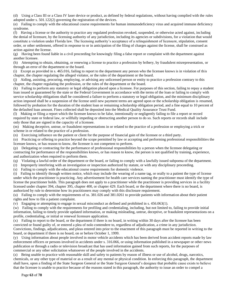(d) Using a Class III or a Class IV laser device or product, as defined by federal regulations, without having complied with the rules adopted under s. 501.122(2) governing the registration of the devices.

(e) Failing to comply with the educational course requirements for human immunodeficiency virus and acquired immune deficiency syndrome.

(f) Having a license or the authority to practice any regulated profession revoked, suspended, or otherwise acted against, including the denial of licensure, by the licensing authority of any jurisdiction, including its agencies or subdivisions, for a violation that would constitute a violation under Florida law. The licensing authority's acceptance of a relinquishment of licensure, stipulation, consent order, or other settlement, offered in response to or in anticipation of the filing of charges against the license, shall be construed as action against the license.

(g) Having been found liable in a civil proceeding for knowingly filing a false report or complaint with the department against another licensee.

(h) Attempting to obtain, obtaining, or renewing a license to practice a profession by bribery, by fraudulent misrepresentation, or through an error of the department or the board.

(i) Except as provided in s. 465.016, failing to report to the department any person who the licensee knows is in violation of this chapter, the chapter regulating the alleged violator, or the rules of the department or the board.

(j) Aiding, assisting, procuring, employing, or advising any unlicensed person or entity to practice a profession contrary to this chapter, the chapter regulating the profession, or the rules of the department or the board.

(k) Failing to perform any statutory or legal obligation placed upon a licensee. For purposes of this section, failing to repay a student loan issued or guaranteed by the state or the Federal Government in accordance with the terms of the loan or failing to comply with service scholarship obligations shall be considered a failure to perform a statutory or legal obligation, and the minimum disciplinary action imposed shall be a suspension of the license until new payment terms are agreed upon or the scholarship obligation is resumed, followed by probation for the duration of the student loan or remaining scholarship obligation period, and a fine equal to 10 percent of the defaulted loan amount. Fines collected shall be deposited into the Medical Quality Assurance Trust Fund.

(l) Making or filing a report which the licensee knows to be false, intentionally or negligently failing to file a report or record required by state or federal law, or willfully impeding or obstructing another person to do so. Such reports or records shall include only those that are signed in the capacity of a licensee.

(m) Making deceptive, untrue, or fraudulent representations in or related to the practice of a profession or employing a trick or scheme in or related to the practice of a profession.

(n) Exercising influence on the patient or client for the purpose of financial gain of the licensee or a third party.

(o) Practicing or offering to practice beyond the scope permitted by law or accepting and performing professional responsibilities the licensee knows, or has reason to know, the licensee is not competent to perform.

(p) Delegating or contracting for the performance of professional responsibilities by a person when the licensee delegating or contracting for performance of the responsibilities knows, or has reason to know, the person is not qualified by training, experience, and authorization when required to perform them.

(q) Violating a lawful order of the department or the board, or failing to comply with a lawfully issued subpoena of the department.

(r) Improperly interfering with an investigation or inspection authorized by statute, or with any disciplinary proceeding.

(s) Failing to comply with the educational course requirements for domestic violence.

(t) Failing to identify through written notice, which may include the wearing of a name tag, or orally to a patient the type of license under which the practitioner is practicing. Any advertisement for health care services naming the practitioner must identify the type of license the practitioner holds. This paragraph does not apply to a practitioner while the practitioner is providing services in a facility licensed under chapter 394, chapter 395, chapter 400, or chapter 429. Each board, or the department where there is no board, is authorized by rule to determine how its practitioners may comply with this disclosure requirement.

(u) Failing to comply with the requirements of ss. 381.026 and 381.0261 to provide patients with information about their patient rights and how to file a patient complaint.

(v) Engaging or attempting to engage in sexual misconduct as defined and prohibited in s. 456.063(1).

(w) Failing to comply with the requirements for profiling and credentialing, including, but not limited to, failing to provide initial information, failing to timely provide updated information, or making misleading, untrue, deceptive, or fraudulent representations on a profile, credentialing, or initial or renewal licensure application.

(x) Failing to report to the board, or the department if there is no board, in writing within 30 days after the licensee has been convicted or found guilty of, or entered a plea of nolo contendere to, regardless of adjudication, a crime in any jurisdiction. Convictions, findings, adjudications, and pleas entered into prior to the enactment of this paragraph must be reported in writing to the board, or department if there is no board, on or before October 1, 1999.

(y) Using information about people involved in motor vehicle accidents which has been derived from accident reports made by law enforcement officers or persons involved in accidents under s. 316.066, or using information published in a newspaper or other news publication or through a radio or television broadcast that has used information gained from such reports, for the purposes of commercial or any other solicitation whatsoever of the people involved in the accidents.

(z) Being unable to practice with reasonable skill and safety to patients by reason of illness or use of alcohol, drugs, narcotics, chemicals, or any other type of material or as a result of any mental or physical condition. In enforcing this paragraph, the department shall have, upon a finding of the State Surgeon General or the State Surgeon General's designee that probable cause exists to believe that the licensee is unable to practice because of the reasons stated in this paragraph, the authority to issue an order to compel a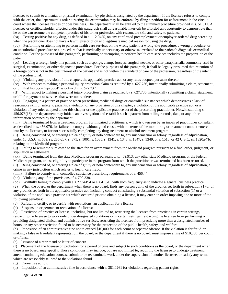licensee to submit to a mental or physical examination by physicians designated by the department. If the licensee refuses to comply with the order, the department's order directing the examination may be enforced by filing a petition for enforcement in the circuit court where the licensee resides or does business. The department shall be entitled to the summary procedure provided in s. 51.011. A licensee or certificateholder affected under this paragraph shall at reasonable intervals be afforded an opportunity to demonstrate that he or she can resume the competent practice of his or her profession with reasonable skill and safety to patients.

(aa) Testing positive for any drug, as defined in s. 112.0455, on any confirmed preemployment or employer-ordered drug screening when the practitioner does not have a lawful prescription and legitimate medical reason for using the drug.

(bb) Performing or attempting to perform health care services on the wrong patient, a wrong-site procedure, a wrong procedure, or an unauthorized procedure or a procedure that is medically unnecessary or otherwise unrelated to the patient's diagnosis or medical condition. For the purposes of this paragraph, performing or attempting to perform health care services includes the preparation of the patient.

(cc) Leaving a foreign body in a patient, such as a sponge, clamp, forceps, surgical needle, or other paraphernalia commonly used in surgical, examination, or other diagnostic procedures. For the purposes of this paragraph, it shall be legally presumed that retention of a foreign body is not in the best interest of the patient and is not within the standard of care of the profession, regardless of the intent of the professional.

(dd) Violating any provision of this chapter, the applicable practice act, or any rules adopted pursuant thereto.

(ee) With respect to making a personal injury protection claim as required by s. 627.736, intentionally submitting a claim, statement, or bill that has been "upcoded" as defined in s. 627.732.

(ff) With respect to making a personal injury protection claim as required by s. 627.736, intentionally submitting a claim, statement, or bill for payment of services that were not rendered.

(gg) Engaging in a pattern of practice when prescribing medicinal drugs or controlled substances which demonstrates a lack of reasonable skill or safety to patients, a violation of any provision of this chapter, a violation of the applicable practice act, or a violation of any rules adopted under this chapter or the applicable practice act of the prescribing practitioner. Notwithstanding s. 456.073(13), the department may initiate an investigation and establish such a pattern from billing records, data, or any other information obtained by the department.

(hh) Being terminated from a treatment program for impaired practitioners, which is overseen by an impaired practitioner consultant as described in s. 456.076, for failure to comply, without good cause, with the terms of the monitoring or treatment contract entered into by the licensee, or for not successfully completing any drug treatment or alcohol treatment program.

(ii) Being convicted of, or entering a plea of guilty or nolo contendere to, any misdemeanor or felony, regardless of adjudication, under 18 U.S.C. s. 669, ss. 285-287, s. 371, s. 1001, s. 1035, s. 1341, s. 1343, s. 1347, s. 1349, or s. 1518, or 42 U.S.C. ss. 1320a-7b, relating to the Medicaid program.

(jj) Failing to remit the sum owed to the state for an overpayment from the Medicaid program pursuant to a final order, judgment, or stipulation or settlement.

(kk) Being terminated from the state Medicaid program pursuant to s. 409.913, any other state Medicaid program, or the federal Medicare program, unless eligibility to participate in the program from which the practitioner was terminated has been restored. (ll) Being convicted of, or entering a plea of guilty or nolo contendere to, any misdemeanor or felony, regardless of adjudication, a crime in any jurisdiction which relates to health care fraud.

(mm) Failure to comply with controlled substance prescribing requirements of s. 456.44.

(nn) Violating any of the provisions of s. 790.338.

(oo) Willfully failing to comply with s. 627.64194 or s. 641.513 with such frequency as to indicate a general business practice.

(2) When the board, or the department when there is no board, finds any person guilty of the grounds set forth in subsection (1) or of any grounds set forth in the applicable practice act, including conduct constituting a substantial violation of subsection (1) or a violation of the applicable practice act which occurred prior to obtaining a license, it may enter an order imposing one or more of the following penalties:

(a) Refusal to certify, or to certify with restrictions, an application for a license.

(b) Suspension or permanent revocation of a license.

(c) Restriction of practice or license, including, but not limited to, restricting the licensee from practicing in certain settings, restricting the licensee to work only under designated conditions or in certain settings, restricting the licensee from performing or providing designated clinical and administrative services, restricting the licensee from practicing more than a designated number of hours, or any other restriction found to be necessary for the protection of the public health, safety, and welfare.

(d) Imposition of an administrative fine not to exceed \$10,000 for each count or separate offense. If the violation is for fraud or making a false or fraudulent representation, the board, or the department if there is no board, must impose a fine of \$10,000 per count or offense.

(e) Issuance of a reprimand or letter of concern.

(f) Placement of the licensee on probation for a period of time and subject to such conditions as the board, or the department when there is no board, may specify. Those conditions may include, but are not limited to, requiring the licensee to undergo treatment, attend continuing education courses, submit to be reexamined, work under the supervision of another licensee, or satisfy any terms which are reasonably tailored to the violations found.

(g) Corrective action.

(h) Imposition of an administrative fine in accordance with s. 381.0261 for violations regarding patient rights.

Page **64** of **78**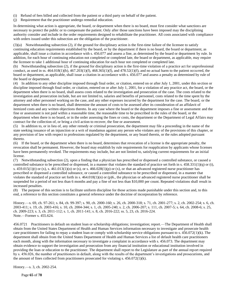- (i) Refund of fees billed and collected from the patient or a third party on behalf of the patient.
- (j) Requirement that the practitioner undergo remedial education.

In determining what action is appropriate, the board, or department when there is no board, must first consider what sanctions are necessary to protect the public or to compensate the patient. Only after those sanctions have been imposed may the disciplining authority consider and include in the order requirements designed to rehabilitate the practitioner. All costs associated with compliance with orders issued under this subsection are the obligation of the practitioner.

(3)(a) Notwithstanding subsection (2), if the ground for disciplinary action is the first-time failure of the licensee to satisfy continuing education requirements established by the board, or by the department if there is no board, the board or department, as applicable, shall issue a citation in accordance with s. 456.077 and assess a fine, as determined by the board or department by rule. In addition, for each hour of continuing education not completed or completed late, the board or department, as applicable, may require the licensee to take 1 additional hour of continuing education for each hour not completed or completed late.

(b) Notwithstanding subsection (2), if the ground for disciplinary action is the first-time violation of a practice act for unprofessional conduct, as used in ss.  $464.018(1)$ (h),  $467.203(1)$ (f),  $468.365(1)$ (f), and  $478.52(1)$ (f), and no actual harm to the patient occurred, the board or department, as applicable, shall issue a citation in accordance with s. 456.077 and assess a penalty as determined by rule of the board or department.

(4) In addition to any other discipline imposed through final order, or citation, entered on or after July 1, 2001, under this section or discipline imposed through final order, or citation, entered on or after July 1, 2001, for a violation of any practice act, the board, or the department when there is no board, shall assess costs related to the investigation and prosecution of the case. The costs related to the investigation and prosecution include, but are not limited to, salaries and benefits of personnel, costs related to the time spent by the attorney and other personnel working on the case, and any other expenses incurred by the department for the case. The board, or the department when there is no board, shall determine the amount of costs to be assessed after its consideration of an affidavit of itemized costs and any written objections thereto. In any case where the board or the department imposes a fine or assessment and the fine or assessment is not paid within a reasonable time, the reasonable time to be prescribed in the rules of the board, or the department when there is no board, or in the order assessing the fines or costs, the department or the Department of Legal Affairs may contract for the collection of, or bring a civil action to recover, the fine or assessment.

(5) In addition to, or in lieu of, any other remedy or criminal prosecution, the department may file a proceeding in the name of the state seeking issuance of an injunction or a writ of mandamus against any person who violates any of the provisions of this chapter, or any provision of law with respect to professions regulated by the department, or any board therein, or the rules adopted pursuant thereto.

(6) If the board, or the department when there is no board, determines that revocation of a license is the appropriate penalty, the revocation shall be permanent. However, the board may establish by rule requirements for reapplication by applicants whose licenses have been permanently revoked. The requirements may include, but are not limited to, satisfying current requirements for an initial license.

(7) Notwithstanding subsection (2), upon a finding that a physician has prescribed or dispensed a controlled substance, or caused a controlled substance to be prescribed or dispensed, in a manner that violates the standard of practice set forth in s.  $458.331(1)(q)$  or (t), s.  $459.015(1)(t)$  or (x), s.  $461.013(1)(o)$  or (s), or s.  $466.028(1)(p)$  or (x), or that an advanced registered nurse practitioner has prescribed or dispensed a controlled substance, or caused a controlled substance to be prescribed or dispensed, in a manner that violates the standard of practice set forth in s. 464.018(1)(n) or (p)6., the physician or advanced registered nurse practitioner shall be suspended for a period of not less than 6 months and pay a fine of not less than \$10,000 per count. Repeated violations shall result in increased penalties.

(8) The purpose of this section is to facilitate uniform discipline for those actions made punishable under this section and, to this end, a reference to this section constitutes a general reference under the doctrine of incorporation by reference.

History.—s. 69, ch. 97-261; s. 84, ch. 99-397; s. 90, ch. 2000-160; s. 26, ch. 2000-318; s. 71, ch. 2001-277; s. 2, ch. 2002-254; s. 6, ch. 2003-411; s. 19, ch. 2003-416; s. 10, ch. 2004-344; s. 1, ch. 2005-240; s. 2, ch. 2006-207; s. 111, ch. 2007-5; s. 64, ch. 2008-6; s. 25, ch. 2009-223; s. 3, ch. 2011-112; s. 1, ch. 2011-141; s. 8, ch. 2016-222; ss. 5, 23, ch. 2016-224. Note.—Former s. 455.624.

456.0721 Practitioners in default on student loan or scholarship obligations; investigation; report.—The Department of Health shall obtain from the United States Department of Health and Human Services information necessary to investigate and prosecute health care practitioners for failing to repay a student loan or comply with scholarship service obligations pursuant to s. 456.072(1)(k). The department shall obtain from the United States Department of Health and Human Services a list of default health care practitioners each month, along with the information necessary to investigate a complaint in accordance with s. 456.073. The department may obtain evidence to support the investigation and prosecution from any financial institution or educational institution involved in providing the loan or education to the practitioner. The department shall report to the Legislature as part of the annual report required by s. 456.026, the number of practitioners in default, along with the results of the department's investigations and prosecutions, and the amount of fines collected from practitioners prosecuted for violating s.  $456.072(1)(k)$ .

History.—s. 3, ch. 2002-254.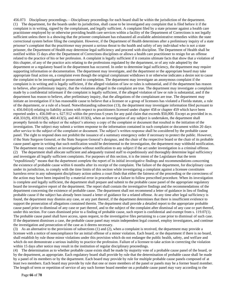456.073 Disciplinary proceedings.—Disciplinary proceedings for each board shall be within the jurisdiction of the department. (1) The department, for the boards under its jurisdiction, shall cause to be investigated any complaint that is filed before it if the complaint is in writing, signed by the complainant, and legally sufficient. A complaint filed by a state prisoner against a health care practitioner employed by or otherwise providing health care services within a facility of the Department of Corrections is not legally sufficient unless there is a showing that the prisoner complainant has exhausted all available administrative remedies within the state correctional system before filing the complaint. However, if the Department of Health determines after a preliminary inquiry of a state prisoner's complaint that the practitioner may present a serious threat to the health and safety of any individual who is not a state prisoner, the Department of Health may determine legal sufficiency and proceed with discipline. The Department of Health shall be notified within 15 days after the Department of Corrections disciplines or allows a health care practitioner to resign for an offense related to the practice of his or her profession. A complaint is legally sufficient if it contains ultimate facts that show that a violation of this chapter, of any of the practice acts relating to the professions regulated by the department, or of any rule adopted by the department or a regulatory board in the department has occurred. In order to determine legal sufficiency, the department may require supporting information or documentation. The department may investigate, and the department or the appropriate board may take appropriate final action on, a complaint even though the original complainant withdraws it or otherwise indicates a desire not to cause the complaint to be investigated or prosecuted to completion. The department may investigate an anonymous complaint if the complaint is in writing and is legally sufficient, if the alleged violation of law or rules is substantial, and if the department has reason to believe, after preliminary inquiry, that the violations alleged in the complaint are true. The department may investigate a complaint made by a confidential informant if the complaint is legally sufficient, if the alleged violation of law or rule is substantial, and if the department has reason to believe, after preliminary inquiry, that the allegations of the complainant are true. The department may initiate an investigation if it has reasonable cause to believe that a licensee or a group of licensees has violated a Florida statute, a rule of the department, or a rule of a board. Notwithstanding subsection (13), the department may investigate information filed pursuant to s. 456.041(4) relating to liability actions with respect to practitioners licensed under chapter 458 or chapter 459 which have been reported under s. 456.049 or s. 627.912 within the previous 6 years for any paid claim that exceeds \$50,000. Except as provided in ss. 458.331(9), 459.015(9), 460.413(5), and 461.013(6), when an investigation of any subject is undertaken, the department shall promptly furnish to the subject or the subject's attorney a copy of the complaint or document that resulted in the initiation of the investigation. The subject may submit a written response to the information contained in such complaint or document within 20 days after service to the subject of the complaint or document. The subject's written response shall be considered by the probable cause panel. The right to respond does not prohibit the issuance of a summary emergency order if necessary to protect the public. However, if the State Surgeon General, or the State Surgeon General's designee, and the chair of the respective board or the chair of its probable cause panel agree in writing that such notification would be detrimental to the investigation, the department may withhold notification. The department may conduct an investigation without notification to any subject if the act under investigation is a criminal offense. (2) The department shall allocate sufficient and adequately trained staff to expeditiously and thoroughly determine legal sufficiency and investigate all legally sufficient complaints. For purposes of this section, it is the intent of the Legislature that the term "expeditiously" means that the department complete the report of its initial investigative findings and recommendations concerning the existence of probable cause within 6 months after its receipt of the complaint. The failure of the department, for disciplinary cases under its jurisdiction, to comply with the time limits of this section while investigating a complaint against a licensee constitutes harmless error in any subsequent disciplinary action unless a court finds that either the fairness of the proceeding or the correctness of the action may have been impaired by a material error in procedure or a failure to follow prescribed procedure. When its investigation is complete and legally sufficient, the department shall prepare and submit to the probable cause panel of the appropriate regulatory board the investigative report of the department. The report shall contain the investigative findings and the recommendations of the department concerning the existence of probable cause. The department shall not recommend a letter of guidance in lieu of finding probable cause if the subject has already been issued a letter of guidance for a related offense. At any time after legal sufficiency is found, the department may dismiss any case, or any part thereof, if the department determines that there is insufficient evidence to support the prosecution of allegations contained therein. The department shall provide a detailed report to the appropriate probable cause panel prior to dismissal of any case or part thereof, and to the subject of the complaint after dismissal of any case or part thereof, under this section. For cases dismissed prior to a finding of probable cause, such report is confidential and exempt from s. 119.07(1). The probable cause panel shall have access, upon request, to the investigative files pertaining to a case prior to dismissal of such case. If the department dismisses a case, the probable cause panel may retain independent legal counsel, employ investigators, and continue the investigation and prosecution of the case as it deems necessary.

(3) As an alternative to the provisions of subsections (1) and (2), when a complaint is received, the department may provide a licensee with a notice of noncompliance for an initial offense of a minor violation. Each board, or the department if there is no board, shall establish by rule those minor violations under this provision which do not endanger the public health, safety, and welfare and which do not demonstrate a serious inability to practice the profession. Failure of a licensee to take action in correcting the violation within 15 days after notice may result in the institution of regular disciplinary proceedings.

(4) The determination as to whether probable cause exists shall be made by majority vote of a probable cause panel of the board, or by the department, as appropriate. Each regulatory board shall provide by rule that the determination of probable cause shall be made by a panel of its members or by the department. Each board may provide by rule for multiple probable cause panels composed of at least two members. Each board may provide by rule that one or more members of the panel or panels may be a former board member. The length of term or repetition of service of any such former board member on a probable cause panel may vary according to the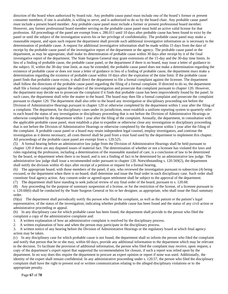direction of the board when authorized by board rule. Any probable cause panel must include one of the board's former or present consumer members, if one is available, is willing to serve, and is authorized to do so by the board chair. Any probable cause panel must include a present board member. Any probable cause panel must include a former or present professional board member. However, any former professional board member serving on the probable cause panel must hold an active valid license for that profession. All proceedings of the panel are exempt from s. 286.011 until 10 days after probable cause has been found to exist by the panel or until the subject of the investigation waives his or her privilege of confidentiality. The probable cause panel may make a reasonable request, and upon such request the department shall provide such additional investigative information as is necessary to the determination of probable cause. A request for additional investigative information shall be made within 15 days from the date of receipt by the probable cause panel of the investigative report of the department or the agency. The probable cause panel or the department, as may be appropriate, shall make its determination of probable cause within 30 days after receipt by it of the final investigative report of the department. The State Surgeon General may grant extensions of the 15-day and the 30-day time limits. In lieu of a finding of probable cause, the probable cause panel, or the department if there is no board, may issue a letter of guidance to the subject. If, within the 30-day time limit, as may be extended, the probable cause panel does not make a determination regarding the existence of probable cause or does not issue a letter of guidance in lieu of a finding of probable cause, the department must make a determination regarding the existence of probable cause within 10 days after the expiration of the time limit. If the probable cause panel finds that probable cause exists, it shall direct the department to file a formal complaint against the licensee. The department shall follow the directions of the probable cause panel regarding the filing of a formal complaint. If directed to do so, the department shall file a formal complaint against the subject of the investigation and prosecute that complaint pursuant to chapter 120. However, the department may decide not to prosecute the complaint if it finds that probable cause has been improvidently found by the panel. In such cases, the department shall refer the matter to the board. The board may then file a formal complaint and prosecute the complaint pursuant to chapter 120. The department shall also refer to the board any investigation or disciplinary proceeding not before the Division of Administrative Hearings pursuant to chapter 120 or otherwise completed by the department within 1 year after the filing of a complaint. The department, for disciplinary cases under its jurisdiction, must establish a uniform reporting system to quarterly refer to each board the status of any investigation or disciplinary proceeding that is not before the Division of Administrative Hearings or otherwise completed by the department within 1 year after the filing of the complaint. Annually, the department, in consultation with the applicable probable cause panel, must establish a plan to expedite or otherwise close any investigation or disciplinary proceeding that is not before the Division of Administrative Hearings or otherwise completed by the department within 1 year after the filing of the complaint. A probable cause panel or a board may retain independent legal counsel, employ investigators, and continue the investigation as it deems necessary; all costs thereof shall be paid from a trust fund used by the department to implement this chapter. All proceedings of the probable cause panel are exempt from s. 120.525.

(5) A formal hearing before an administrative law judge from the Division of Administrative Hearings shall be held pursuant to chapter 120 if there are any disputed issues of material fact. The determination of whether or not a licensee has violated the laws and rules regulating the profession, including a determination of the reasonable standard of care, is a conclusion of law to be determined by the board, or department when there is no board, and is not a finding of fact to be determined by an administrative law judge. The administrative law judge shall issue a recommended order pursuant to chapter 120. Notwithstanding s. 120.569(2), the department shall notify the division within 45 days after receipt of a petition or request for a formal hearing.

(6) The appropriate board, with those members of the panel, if any, who reviewed the investigation pursuant to subsection (4) being excused, or the department when there is no board, shall determine and issue the final order in each disciplinary case. Such order shall constitute final agency action. Any consent order or agreed-upon settlement shall be subject to the approval of the department. (7) The department shall have standing to seek judicial review of any final order of the board, pursuant to s. 120.68.

(8) Any proceeding for the purpose of summary suspension of a license, or for the restriction of the license, of a licensee pursuant to s. 120.60(6) shall be conducted by the State Surgeon General or his or her designee, as appropriate, who shall issue the final summary order.

(9)(a) The department shall periodically notify the person who filed the complaint, as well as the patient or the patient's legal representative, of the status of the investigation, indicating whether probable cause has been found and the status of any civil action or administrative proceeding or appeal.

(b) In any disciplinary case for which probable cause has been found, the department shall provide to the person who filed the complaint a copy of the administrative complaint and:

- 1. A written explanation of how an administrative complaint is resolved by the disciplinary process.
- 2. A written explanation of how and when the person may participate in the disciplinary process.

3. A written notice of any hearing before the Division of Administrative Hearings or the regulatory board at which final agency action may be taken.

(c) In any disciplinary case for which probable cause is not found, the department shall so inform the person who filed the complaint and notify that person that he or she may, within 60 days, provide any additional information to the department which may be relevant to the decision. To facilitate the provision of additional information, the person who filed the complaint may receive, upon request, a copy of the department's expert report that supported the recommendation for closure, if such a report was relied upon by the department. In no way does this require the department to procure an expert opinion or report if none was used. Additionally, the identity of the expert shall remain confidential. In any administrative proceeding under s. 120.57, the person who filed the disciplinary complaint shall have the right to present oral or written communication relating to the alleged disciplinary violations or to the appropriate penalty.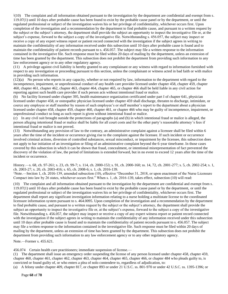$\frac{1}{10}$  The complaint and all information obtained pursuant to the investigation by the department are confidential and exempt from s. 119.07(1) until 10 days after probable cause has been found to exist by the probable cause panel or by the department, or until the regulated professional or subject of the investigation waives his or her privilege of confidentiality, whichever occurs first. Upon completion of the investigation and a recommendation by the department to find probable cause, and pursuant to a written request by the subject or the subject's attorney, the department shall provide the subject an opportunity to inspect the investigative file or, at the subject's expense, forward to the subject a copy of the investigative file. Notwithstanding s. 456.057, the subject may inspect or receive a copy of any expert witness report or patient record connected with the investigation if the subject agrees in writing to maintain the confidentiality of any information received under this subsection until 10 days after probable cause is found and to maintain the confidentiality of patient records pursuant to s. 456.057. The subject may file a written response to the information contained in the investigative file. Such response must be filed within 20 days of mailing by the department, unless an extension of time has been granted by the department. This subsection does not prohibit the department from providing such information to any law enforcement agency or to any other regulatory agency.

(11) A privilege against civil liability is hereby granted to any complainant or any witness with regard to information furnished with respect to any investigation or proceeding pursuant to this section, unless the complainant or witness acted in bad faith or with malice in providing such information.

(12)(a) No person who reports in any capacity, whether or not required by law, information to the department with regard to the incompetence, impairment, or unprofessional conduct of any health care provider licensed under chapter 458, chapter 459, chapter 460, chapter 461, chapter 462, chapter 463, chapter 464, chapter 465, or chapter 466 shall be held liable in any civil action for reporting against such health care provider if such person acts without intentional fraud or malice.

(b) No facility licensed under chapter 395, health maintenance organization certificated under part I of chapter 641, physician licensed under chapter 458, or osteopathic physician licensed under chapter 459 shall discharge, threaten to discharge, intimidate, or coerce any employee or staff member by reason of such employee's or staff member's report to the department about a physician licensed under chapter 458, chapter 459, chapter 460, chapter 461, or chapter 466 who may be guilty of incompetence, impairment, or unprofessional conduct so long as such report is given without intentional fraud or malice.

(c) In any civil suit brought outside the protections of paragraphs (a) and (b) in which intentional fraud or malice is alleged, the person alleging intentional fraud or malice shall be liable for all court costs and for the other party's reasonable attorney's fees if intentional fraud or malice is not proved.

(13) Notwithstanding any provision of law to the contrary, an administrative complaint against a licensee shall be filed within 6 years after the time of the incident or occurrence giving rise to the complaint against the licensee. If such incident or occurrence involved criminal actions, diversion of controlled substances, sexual misconduct, or impairment by the licensee, this subsection does not apply to bar initiation of an investigation or filing of an administrative complaint beyond the 6-year timeframe. In those cases covered by this subsection in which it can be shown that fraud, concealment, or intentional misrepresentation of fact prevented the discovery of the violation of law, the period of limitations is extended forward, but in no event to exceed 12 years after the time of the incident or occurrence.

History.—s. 68, ch. 97-261; s. 23, ch. 99-7; s. 114, ch. 2000-153; s. 91, ch. 2000-160; ss. 14, 72, ch. 2001-277; s. 5, ch. 2002-254; s. 1, ch. 2003-27; s. 20, ch. 2003-416; s. 65, ch. 2008-6; s. 1, ch. 2016-139.

<sup>1</sup>Note.—Section 1, ch. 2016-139, amended subsection (10), effective "December 31, 2018, or upon enactment of the Nurse Licensure Compact into law by 26 states, whichever occurs first." When s. 1, ch. 2016-139, takes effect, subsection (10) will read:

(10) The complaint and all information obtained pursuant to the investigation by the department are confidential and exempt from s. 119.07(1) until 10 days after probable cause has been found to exist by the probable cause panel or by the department, or until the regulated professional or subject of the investigation waives his or her privilege of confidentiality, whichever occurs first. The department shall report any significant investigation information relating to a nurse holding a multistate license to the coordinated licensure information system pursuant to s. 464.0095. Upon completion of the investigation and a recommendation by the department to find probable cause, and pursuant to a written request by the subject or the subject's attorney, the department shall provide the subject an opportunity to inspect the investigative file or, at the subject's expense, forward to the subject a copy of the investigative file. Notwithstanding s. 456.057, the subject may inspect or receive a copy of any expert witness report or patient record connected with the investigation if the subject agrees in writing to maintain the confidentiality of any information received under this subsection until 10 days after probable cause is found and to maintain the confidentiality of patient records pursuant to s. 456.057. The subject may file a written response to the information contained in the investigative file. Such response must be filed within 20 days of mailing by the department, unless an extension of time has been granted by the department. This subsection does not prohibit the department from providing such information to any law enforcement agency or to any other regulatory agency.

Note.—Former s. 455.621.

456.074 Certain health care practitioners; immediate suspension of license.—

(1) The department shall issue an emergency order suspending the license of any person licensed under chapter 458, chapter 459, chapter 460, chapter 461, chapter 462, chapter 463, chapter 464, chapter 465, chapter 466, or chapter 484 who pleads guilty to, is convicted or found guilty of, or who enters a plea of nolo contendere to, regardless of adjudication, to:

(a) A felony under chapter 409, chapter 817, or chapter 893 or under 21 U.S.C. ss. 801-970 or under 42 U.S.C. ss. 1395-1396; or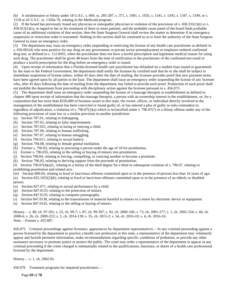(b) A misdemeanor or felony under 18 U.S.C. s. 669, ss. 285-287, s. 371, s. 1001, s. 1035, s. 1341, s. 1343, s. 1347, s. 1349, or s. 1518 or 42 U.S.C. ss. 1320a-7b, relating to the Medicaid program.

(2) If the board has previously found any physician or osteopathic physician in violation of the provisions of s. 458.331(1)(t) or s.  $459.015(1)(x)$ , in regard to her or his treatment of three or more patients, and the probable cause panel of the board finds probable cause of an additional violation of that section, then the State Surgeon General shall review the matter to determine if an emergency suspension or restriction order is warranted. Nothing in this section shall be construed so as to limit the authority of the State Surgeon General to issue an emergency order.

(3) The department may issue an emergency order suspending or restricting the license of any health care practitioner as defined in s. 456.001(4) who tests positive for any drug on any government or private sector preemployment or employer-ordered confirmed drug test, as defined in s. 112.0455, when the practitioner does not have a lawful prescription and legitimate medical reason for using such drug. The practitioner shall be given 48 hours from the time of notification to the practitioner of the confirmed test result to produce a lawful prescription for the drug before an emergency order is issued.

(4) Upon receipt of information that a Florida-licensed health care practitioner has defaulted on a student loan issued or guaranteed by the state or the Federal Government, the department shall notify the licensee by certified mail that he or she shall be subject to immediate suspension of license unless, within 45 days after the date of mailing, the licensee provides proof that new payment terms have been agreed upon by all parties to the loan. The department shall issue an emergency order suspending the license of any licensee who, after 45 days following the date of mailing from the department, has failed to provide such proof. Production of such proof shall not prohibit the department from proceeding with disciplinary action against the licensee pursuant to s. 456.073.

(5) The department shall issue an emergency order suspending the license of a massage therapist or establishment as defined in chapter 480 upon receipt of information that the massage therapist, a person with an ownership interest in the establishment, or, for a corporation that has more than \$250,000 of business assets in this state, the owner, officer, or individual directly involved in the management of the establishment has been convicted or found guilty of, or has entered a plea of guilty or nolo contendere to, regardless of adjudication, a violation of s. 796.07(2)(a) which is reclassified under s. 796.07(7) or a felony offense under any of the following provisions of state law or a similar provision in another jurisdiction:

- (a) Section 787.01, relating to kidnapping.
- (b) Section 787.02, relating to false imprisonment.
- (c) Section 787.025, relating to luring or enticing a child.
- (d) Section 787.06, relating to human trafficking.
- (e) Section 787.07, relating to human smuggling.
- (f) Section 794.011, relating to sexual battery.
- (g) Section 794.08, relating to female genital mutilation.
- (h) Former s. 796.03, relating to procuring a person under the age of 18 for prostitution.
- (i) Former s. 796.035, relating to the selling or buying of minors into prostitution.
- (j) Section 796.04, relating to forcing, compelling, or coercing another to become a prostitute.
- (k) Section 796.05, relating to deriving support from the proceeds of prostitution.

(l) Section 796.07(4)(a)3., relating to a felony of the third degree for a third or subsequent violation of s. 796.07, relating to prohibiting prostitution and related acts.

(m) Section 800.04, relating to lewd or lascivious offenses committed upon or in the presence of persons less than 16 years of age. (n) Section 825.1025(2)(b), relating to lewd or lascivious offenses committed upon or in the presence of an elderly or disabled person.

- (o) Section 827.071, relating to sexual performance by a child.
- (p) Section 847.0133, relating to the protection of minors.
- (q) Section 847.0135, relating to computer pornography.
- (r) Section 847.0138, relating to the transmission of material harmful to minors to a minor by electronic device or equipment.
- (s) Section 847.0145, relating to the selling or buying of minors.

History.—s. 88, ch. 97-261; s. 25, ch. 99-7; s. 87, ch. 99-397; s. 92, ch. 2000-160; s. 73, ch. 2001-277; s. 1, ch. 2002-254; s. 66, ch. 2008-6; s. 26, ch. 2009-223; s. 2, ch. 2014-139; s. 55, ch. 2015-2; s. 54, ch. 2016-10; s. 4, ch. 2016-24. Note.—Former s. 455.687.

456.075 Criminal proceedings against licensees; appearances by department representatives.—In any criminal proceeding against a person licensed by the department to practice a health care profession in this state, a representative of the department may voluntarily appear and furnish pertinent information, make recommendations regarding specific conditions of probation, or provide any other assistance necessary to promote justice or protect the public. The court may order a representative of the department to appear in any criminal proceeding if the crime charged is substantially related to the qualifications, functions, or duties of a health care professional licensed by the department.

History.—s. 1, ch. 2002-81.

456.076 Treatment programs for impaired practitioners.—

Page **69** of **78**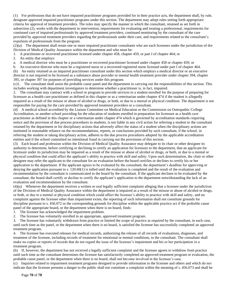(1) For professions that do not have impaired practitioner programs provided for in their practice acts, the department shall, by rule, designate approved impaired practitioner programs under this section. The department may adopt rules setting forth appropriate criteria for approval of treatment providers. The rules may specify the manner in which the consultant, retained as set forth in subsection (2), works with the department in intervention, requirements for evaluating and treating a professional, requirements for continued care of impaired professionals by approved treatment providers, continued monitoring by the consultant of the care provided by approved treatment providers regarding the professionals under their care, and requirements related to the consultant's expulsion of professionals from the program.

(2)(a) The department shall retain one or more impaired practitioner consultants who are each licensees under the jurisdiction of the Division of Medical Quality Assurance within the department and who must be:

1. A practitioner or recovered practitioner licensed under chapter 458, chapter 459, or part I of chapter 464; or

2. An entity that employs:

a. A medical director who must be a practitioner or recovered practitioner licensed under chapter 458 or chapter 459; or

b. An executive director who must be a registered nurse or a recovered registered nurse licensed under part I of chapter 464. (b) An entity retained as an impaired practitioner consultant under this section which employs a medical director or an executive director is not required to be licensed as a substance abuse provider or mental health treatment provider under chapter 394, chapter 395, or chapter 397 for purposes of providing services under this program.

(c)1. The consultant shall assist the probable cause panel and the department in carrying out the responsibilities of this section. This includes working with department investigators to determine whether a practitioner is, in fact, impaired.

2. The consultant may contract with a school or program to provide services to a student enrolled for the purpose of preparing for licensure as a health care practitioner as defined in this chapter or as a veterinarian under chapter 474 if the student is allegedly impaired as a result of the misuse or abuse of alcohol or drugs, or both, or due to a mental or physical condition. The department is not responsible for paying for the care provided by approved treatment providers or a consultant.

(d) A medical school accredited by the Liaison Committee on Medical Education or the Commission on Osteopathic College Accreditation, or another school providing for the education of students enrolled in preparation for licensure as a health care practitioner as defined in this chapter or a veterinarian under chapter 474 which is governed by accreditation standards requiring notice and the provision of due process procedures to students, is not liable in any civil action for referring a student to the consultant retained by the department or for disciplinary actions that adversely affect the status of a student when the disciplinary actions are instituted in reasonable reliance on the recommendations, reports, or conclusions provided by such consultant, if the school, in referring the student or taking disciplinary action, adheres to the due process procedures adopted by the applicable accreditation entities and if the school committed no intentional fraud in carrying out the provisions of this section.

(3) Each board and profession within the Division of Medical Quality Assurance may delegate to its chair or other designee its authority to determine, before certifying or declining to certify an application for licensure to the department, that an applicant for licensure under its jurisdiction may be impaired as a result of the misuse or abuse of alcohol or drugs, or both, or due to a mental or physical condition that could affect the applicant's ability to practice with skill and safety. Upon such determination, the chair or other designee may refer the applicant to the consultant for an evaluation before the board certifies or declines to certify his or her application to the department. If the applicant agrees to be evaluated by the consultant, the department's deadline for approving or denying the application pursuant to s. 120.60(1) is tolled until the evaluation is completed and the result of the evaluation and recommendation by the consultant is communicated to the board by the consultant. If the applicant declines to be evaluated by the consultant, the board shall certify or decline to certify the applicant's application to the department notwithstanding the lack of an evaluation and recommendation by the consultant.

(4)(a) Whenever the department receives a written or oral legally sufficient complaint alleging that a licensee under the jurisdiction of the Division of Medical Quality Assurance within the department is impaired as a result of the misuse or abuse of alcohol or drugs, or both, or due to a mental or physical condition which could affect the licensee's ability to practice with skill and safety, and no complaint against the licensee other than impairment exists, the reporting of such information shall not constitute grounds for discipline pursuant to s. 456.072 or the corresponding grounds for discipline within the applicable practice act if the probable cause panel of the appropriate board, or the department when there is no board, finds:

- 1. The licensee has acknowledged the impairment problem.
- 2. The licensee has voluntarily enrolled in an appropriate, approved treatment program.

3. The licensee has voluntarily withdrawn from practice or limited the scope of practice as required by the consultant, in each case, until such time as the panel, or the department when there is no board, is satisfied the licensee has successfully completed an approved treatment program.

4. The licensee has executed releases for medical records, authorizing the release of all records of evaluations, diagnoses, and treatment of the licensee, including records of treatment for emotional or mental conditions, to the consultant. The consultant shall make no copies or reports of records that do not regard the issue of the licensee's impairment and his or her participation in a treatment program.

(b) If, however, the department has not received a legally sufficient complaint and the licensee agrees to withdraw from practice until such time as the consultant determines the licensee has satisfactorily completed an approved treatment program or evaluation, the probable cause panel, or the department when there is no board, shall not become involved in the licensee's case.

(c) Inquiries related to impairment treatment programs designed to provide information to the licensee and others and which do not indicate that the licensee presents a danger to the public shall not constitute a complaint within the meaning of s. 456.073 and shall be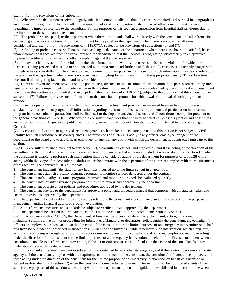exempt from the provisions of this subsection.

(d) Whenever the department receives a legally sufficient complaint alleging that a licensee is impaired as described in paragraph (a) and no complaint against the licensee other than impairment exists, the department shall forward all information in its possession regarding the impaired licensee to the consultant. For the purposes of this section, a suspension from hospital staff privileges due to the impairment does not constitute a complaint.

(e) The probable cause panel, or the department when there is no board, shall work directly with the consultant, and all information concerning a practitioner obtained from the consultant by the panel, or the department when there is no board, shall remain confidential and exempt from the provisions of s. 119.07(1), subject to the provisions of subsections (6) and (7).

(f) A finding of probable cause shall not be made as long as the panel, or the department when there is no board, is satisfied, based upon information it receives from the consultant and the department, that the licensee is progressing satisfactorily in an approved impaired practitioner program and no other complaint against the licensee exists.

(5) In any disciplinary action for a violation other than impairment in which a licensee establishes the violation for which the licensee is being prosecuted was due to or connected with impairment and further establishes the licensee is satisfactorily progressing through or has successfully completed an approved treatment program pursuant to this section, such information may be considered by the board, or the department when there is no board, as a mitigating factor in determining the appropriate penalty. This subsection does not limit mitigating factors the board may consider.

(6)(a) An approved treatment provider shall, upon request, disclose to the consultant all information in its possession regarding the issue of a licensee's impairment and participation in the treatment program. All information obtained by the consultant and department pursuant to this section is confidential and exempt from the provisions of s. 119.07(1), subject to the provisions of this subsection and subsection (7). Failure to provide such information to the consultant is grounds for withdrawal of approval of such program or provider.

(b) If in the opinion of the consultant, after consultation with the treatment provider, an impaired licensee has not progressed satisfactorily in a treatment program, all information regarding the issue of a licensee's impairment and participation in a treatment program in the consultant's possession shall be disclosed to the department. Such disclosure shall constitute a complaint pursuant to the general provisions of s. 456.073. Whenever the consultant concludes that impairment affects a licensee's practice and constitutes an immediate, serious danger to the public health, safety, or welfare, that conclusion shall be communicated to the State Surgeon General.

(7) A consultant, licensee, or approved treatment provider who makes a disclosure pursuant to this section is not subject to civil liability for such disclosure or its consequences. The provisions of s. 766.101 apply to any officer, employee, or agent of the department or the board and to any officer, employee, or agent of any entity with which the department has contracted pursuant to this section.

(8)(a) A consultant retained pursuant to subsection (2), a consultant's officers and employees, and those acting at the direction of the consultant for the limited purpose of an emergency intervention on behalf of a licensee or student as described in subsection (2) when the consultant is unable to perform such intervention shall be considered agents of the department for purposes of s. 768.28 while acting within the scope of the consultant's duties under the contract with the department if the contract complies with the requirements of this section. The contract must require that:

- 1. The consultant indemnify the state for any liabilities incurred up to the limits set out in chapter 768.
- 2. The consultant establish a quality assurance program to monitor services delivered under the contract.
- 3. The consultant's quality assurance program, treatment, and monitoring records be evaluated quarterly.
- 4. The consultant's quality assurance program be subject to review and approval by the department.
- 5. The consultant operate under policies and procedures approved by the department.

6. The consultant provide to the department for approval a policy and procedure manual that comports with all statutes, rules, and contract provisions approved by the department.

7. The department be entitled to review the records relating to the consultant's performance under the contract for the purpose of management audits, financial audits, or program evaluation.

- 8. All performance measures and standards be subject to verification and approval by the department.
- 9. The department be entitled to terminate the contract with the consultant for noncompliance with the contract.

(b) In accordance with s. 284.385, the Department of Financial Services shall defend any claim, suit, action, or proceeding, including a claim, suit, action, or proceeding for injunctive, affirmative, or declaratory relief, against the consultant, the consultant's officers or employees, or those acting at the direction of the consultant for the limited purpose of an emergency intervention on behalf of a licensee or student as described in subsection (2) when the consultant is unable to perform such intervention, which claim, suit, action, or proceeding is brought as a result of an act or omission by any of the consultant's officers and employees and those acting under the direction of the consultant for the limited purpose of an emergency intervention on behalf of the licensee or student when the consultant is unable to perform such intervention, if the act or omission arises out of and is in the scope of the consultant's duties under its contract with the department.

(c) If the consultant retained pursuant to subsection (2) is retained by any other state agency, and if the contract between such state agency and the consultant complies with the requirements of this section, the consultant, the consultant's officers and employees, and those acting under the direction of the consultant for the limited purpose of an emergency intervention on behalf of a licensee or student as described in subsection (2) when the consultant is unable to perform such intervention shall be considered agents of the state for the purposes of this section while acting within the scope of and pursuant to guidelines established in the contract between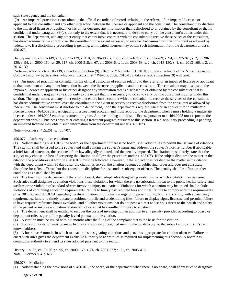such state agency and the consultant.

 $\frac{1}{2}(9)$  $\frac{1}{2}(9)$  $\frac{1}{2}(9)$  An impaired practitioner consultant is the official custodian of records relating to the referral of an impaired licensee or applicant to that consultant and any other interaction between the licensee or applicant and the consultant. The consultant may disclose to the impaired licensee or applicant or his or her designee any information that is disclosed to or obtained by the consultant or that is confidential under paragraph (6)(a), but only to the extent that it is necessary to do so to carry out the consultant's duties under this section. The department, and any other entity that enters into a contract with the consultant to receive the services of the consultant, has direct administrative control over the consultant to the extent necessary to receive disclosures from the consultant as allowed by federal law. If a disciplinary proceeding is pending, an impaired licensee may obtain such information from the department under s. 456.073.

History.—s. 38, ch. 92-149; s. 1, ch. 95-139; s. 310, ch. 96-406; s. 1085, ch. 97-103; s. 3, ch. 97-209; s. 94, ch. 97-261; s. 2, ch. 98- 130; s. 94, ch. 2000-160; ss. 29, 117, ch. 2000-318; s. 67, ch. 2008-6; s. 1, ch. 2008-63; s. 2, ch. 2013-130; s. 1, ch. 2013-166; s. 2, ch. 2016-139.

<sup>1</sup>Note.—Section 2, ch. 2016-139, amended subsection (9), effective "December 31, 2018, or upon enactment of the Nurse Licensure Compact into law by 26 states, whichever occurs first." When s. 2, ch. 2016-139, takes effect, subsection (9) will read:

(9) An impaired practitioner consultant is the official custodian of records relating to the referral of an impaired licensee or applicant to that consultant and any other interaction between the licensee or applicant and the consultant. The consultant may disclose to the impaired licensee or applicant or his or her designee any information that is disclosed to or obtained by the consultant or that is confidential under paragraph (6)(a), but only to the extent that it is necessary to do so to carry out the consultant's duties under this section. The department, and any other entity that enters into a contract with the consultant to receive the services of the consultant, has direct administrative control over the consultant to the extent necessary to receive disclosures from the consultant as allowed by federal law. The consultant must disclose to the department, upon the department's request, whether an applicant for a multistate license under s. 464.0095 is participating in a treatment program and must report to the department when a nurse holding a multistate license under s. 464.0095 enters a treatment program. A nurse holding a multistate license pursuant to s. 464.0095 must report to the department within 2 business days after entering a treatment program pursuant to this section. If a disciplinary proceeding is pending, an impaired licensee may obtain such information from the department under s. 456.073.

Note.—Former s. 455.261; s. 455.707.

### 456.077 Authority to issue citations.—

(1) Notwithstanding s. 456.073, the board, or the department if there is no board, shall adopt rules to permit the issuance of citations. The citation shall be issued to the subject and shall contain the subject's name and address, the subject's license number if applicable, a brief factual statement, the sections of the law allegedly violated, and the penalty imposed. The citation must clearly state that the subject may choose, in lieu of accepting the citation, to follow the procedure under s. 456.073. If the subject disputes the matter in the citation, the procedures set forth in s. 456.073 must be followed. However, if the subject does not dispute the matter in the citation with the department within 30 days after the citation is served, the citation becomes a public final order and does not constitute discipline for a first offense, but does constitute discipline for a second or subsequent offense. The penalty shall be a fine or other conditions as established by rule.

(2) The board, or the department if there is no board, shall adopt rules designating violations for which a citation may be issued. Such rules shall designate as citation violations those violations for which there is no substantial threat to the public health, safety, and welfare or no violation of standard of care involving injury to a patient. Violations for which a citation may be issued shall include violations of continuing education requirements; failure to timely pay required fees and fines; failure to comply with the requirements of ss. 381.026 and 381.0261 regarding the dissemination of information regarding patient rights; failure to comply with advertising requirements; failure to timely update practitioner profile and credentialing files; failure to display signs, licenses, and permits; failure to have required reference books available; and all other violations that do not pose a direct and serious threat to the health and safety of the patient or involve a violation of standard of care that has resulted in injury to a patient.

(3) The department shall be entitled to recover the costs of investigation, in addition to any penalty provided according to board or department rule, as part of the penalty levied pursuant to the citation.

(4) A citation must be issued within 6 months after the filing of the complaint that is the basis for the citation.

(5) Service of a citation may be made by personal service or certified mail, restricted delivery, to the subject at the subject's last known address.

(6) A board has 6 months in which to enact rules designating violations and penalties appropriate for citation offenses. Failure to enact such rules gives the department exclusive authority to adopt rules as required for implementing this section. A board has continuous authority to amend its rules adopted pursuant to this section.

History.—s. 67, ch. 97-261; s. 95, ch. 2000-160; s. 74, ch. 2001-277; s. 21, ch. 2003-416. Note.—Former s. 455.617.

## 456.078 Mediation.—

(1) Notwithstanding the provisions of s. 456.073, the board, or the department when there is no board, shall adopt rules to designate

Page **72** of **78**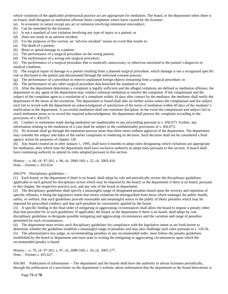which violations of the applicable professional practice act are appropriate for mediation. The board, or the department when there is no board, shall designate as mediation offenses those complaints where harm caused by the licensee:

- (a) Is economic in nature except any act or omission involving intentional misconduct;
- (b) Can be remedied by the licensee;
- (c) Is not a standard of care violation involving any type of injury to a patient; or
- (d) Does not result in an adverse incident.
- (2) For the purposes of this section, an "adverse incident" means an event that results in:
- (a) The death of a patient;
- (b) Brain or spinal damage to a patient;
- (c) The performance of a surgical procedure on the wrong patient;
- (d) The performance of a wrong-site surgical procedure;

(e) The performance of a surgical procedure that is medically unnecessary or otherwise unrelated to the patient's diagnosis or medical condition;

(f) The surgical repair of damage to a patient resulting from a planned surgical procedure, which damage is not a recognized specific risk as disclosed to the patient and documented through the informed-consent process;

- (g) The performance of a procedure to remove unplanned foreign objects remaining from a surgical procedure; or
- (h) The performance of any other surgical procedure that breached the standard of care.

(3) After the department determines a complaint is legally sufficient and the alleged violations are defined as mediation offenses, the department or any agent of the department may conduct informal mediation to resolve the complaint. If the complainant and the subject of the complaint agree to a resolution of a complaint within 14 days after contact by the mediator, the mediator shall notify the department of the terms of the resolution. The department or board shall take no further action unless the complainant and the subject each fail to record with the department an acknowledgment of satisfaction of the terms of mediation within 60 days of the mediator's notification to the department. A successful mediation shall not constitute discipline. In the event the complainant and subject fail to reach settlement terms or to record the required acknowledgment, the department shall process the complaint according to the provisions of s. 456.073.

(4) Conduct or statements made during mediation are inadmissible in any proceeding pursuant to s. 456.073. Further, any information relating to the mediation of a case shall be subject to the confidentiality provisions of s. 456.073.

(5) No licensee shall go through the mediation process more than three times without approval of the department. The department may consider the subject and dates of the earlier complaints in rendering its decision. Such decision shall not be considered a final agency action for purposes of chapter 120.

(6) Any board created on or after January 1, 1995, shall have 6 months to adopt rules designating which violations are appropriate for mediation, after which time the department shall have exclusive authority to adopt rules pursuant to this section. A board shall have continuing authority to amend its rules adopted pursuant to this section.

History.—s. 66, ch. 97-261; s. 96, ch. 2000-160; s. 22, ch. 2003-416. Note.—Former s. 455.614.

456.079 Disciplinary guidelines.—

(1) Each board, or the department if there is no board, shall adopt by rule and periodically review the disciplinary guidelines applicable to each ground for disciplinary action which may be imposed by the board, or the department if there is no board, pursuant to this chapter, the respective practice acts, and any rule of the board or department.

(2) The disciplinary guidelines shall specify a meaningful range of designated penalties based upon the severity and repetition of specific offenses, it being the legislative intent that minor violations be distinguished from those which endanger the public health, safety, or welfare; that such guidelines provide reasonable and meaningful notice to the public of likely penalties which may be imposed for proscribed conduct; and that such penalties be consistently applied by the board.

(3) A specific finding in the final order of mitigating or aggravating circumstances shall allow the board to impose a penalty other than that provided for in such guidelines. If applicable, the board, or the department if there is no board, shall adopt by rule disciplinary guidelines to designate possible mitigating and aggravating circumstances and the variation and range of penalties permitted for such circumstances.

(4) The department must review such disciplinary guidelines for compliance with the legislative intent as set forth herein to determine whether the guidelines establish a meaningful range of penalties and may also challenge such rules pursuant to s. 120.56. (5) The administrative law judge, in recommending penalties in any recommended order, must follow the penalty guidelines established by the board or department and must state in writing the mitigating or aggravating circumstances upon which the recommended penalty is based.

History.—s. 70, ch. 97-261; s. 97, ch. 2000-160; s. 16, ch. 2001-277. Note.—Former s. 455.627.

456.081 Publication of information.—The department and the boards shall have the authority to advise licensees periodically, through the publication of a newsletter on the department's website, about information that the department or the board determines is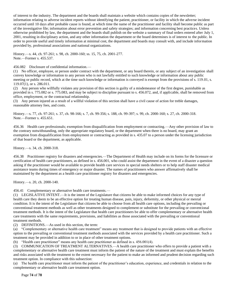of interest to the industry. The department and the boards shall maintain a website which contains copies of the newsletter; information relating to adverse incident reports without identifying the patient, practitioner, or facility in which the adverse incident occurred until 10 days after probable cause is found, at which time the name of the practitioner and facility shall become public as part of the investigative file; information about error prevention and safety strategies; and information concerning best practices. Unless otherwise prohibited by law, the department and the boards shall publish on the website a summary of final orders entered after July 1, 2001, resulting in disciplinary action, and any other information the department or the board determines is of interest to the public. In order to provide useful and timely information at minimal cost, the department and boards may consult with, and include information provided by, professional associations and national organizations.

History.—s. 44, ch. 97-261; s. 98, ch. 2000-160; ss. 15, 75, ch. 2001-277. Note.—Former s. 455.537.

456.082 Disclosure of confidential information.—

(1) No officer, employee, or person under contract with the department, or any board therein, or any subject of an investigation shall convey knowledge or information to any person who is not lawfully entitled to such knowledge or information about any public meeting or public record, which at the time such knowledge or information is conveyed is exempt from the provisions of s. 119.01, s. 119.07(1), or s. 286.011.

(2) Any person who willfully violates any provision of this section is guilty of a misdemeanor of the first degree, punishable as provided in s. 775.082 or s. 775.083, and may be subject to discipline pursuant to s. 456.072, and, if applicable, shall be removed from office, employment, or the contractual relationship.

(3) Any person injured as a result of a willful violation of this section shall have a civil cause of action for treble damages, reasonable attorney fees, and costs.

History.—s. 77, ch. 97-261; s. 37, ch. 98-166; s. 7, ch. 99-356; s. 188, ch. 99-397; s. 99, ch. 2000-160; s. 27, ch. 2000-318. Note.—Former s. 455.651.

456.36 Health care professionals; exemption from disqualification from employment or contracting.—Any other provision of law to the contrary notwithstanding, only the appropriate regulatory board, or the department when there is no board, may grant an exemption from disqualification from employment or contracting as provided in s. 435.07 to a person under the licensing jurisdiction of that board or the department, as applicable.

History.—s. 34, ch. 2000-318.

456.38 Practitioner registry for disasters and emergencies.—The Department of Health may include on its forms for the licensure or certification of health care practitioners, as defined in s. 456.001, who could assist the department in the event of a disaster a question asking if the practitioner would be available to provide health care services in special needs shelters or to help staff disaster medical assistance teams during times of emergency or major disaster. The names of practitioners who answer affirmatively shall be maintained by the department as a health care practitioner registry for disasters and emergencies.

History.—s. 20, ch. 2000-140.

456.41 Complementary or alternative health care treatments.—

(1) LEGISLATIVE INTENT.—It is the intent of the Legislature that citizens be able to make informed choices for any type of health care they deem to be an effective option for treating human disease, pain, injury, deformity, or other physical or mental condition. It is the intent of the Legislature that citizens be able to choose from all health care options, including the prevailing or conventional treatment methods as well as other treatments designed to complement or substitute for the prevailing or conventional treatment methods. It is the intent of the Legislature that health care practitioners be able to offer complementary or alternative health care treatments with the same requirements, provisions, and liabilities as those associated with the prevailing or conventional treatment methods.

(2) DEFINITIONS.—As used in this section, the term:

(a) "Complementary or alternative health care treatment" means any treatment that is designed to provide patients with an effective option to the prevailing or conventional treatment methods associated with the services provided by a health care practitioner. Such a treatment may be provided in addition to or in place of other treatment options.

(b) "Health care practitioner" means any health care practitioner as defined in s. 456.001(4).

(3) COMMUNICATION OF TREATMENT ALTERNATIVES.—A health care practitioner who offers to provide a patient with a complementary or alternative health care treatment must inform the patient of the nature of the treatment and must explain the benefits and risks associated with the treatment to the extent necessary for the patient to make an informed and prudent decision regarding such treatment option. In compliance with this subsection:

(a) The health care practitioner must inform the patient of the practitioner's education, experience, and credentials in relation to the complementary or alternative health care treatment option.

Page **74** of **78**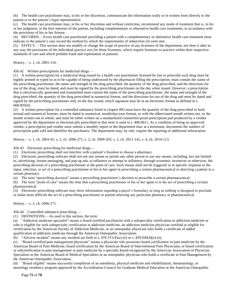(b) The health care practitioner may, in his or her discretion, communicate the information orally or in written form directly to the patient or to the patient's legal representative.

(c) The health care practitioner may, in his or her discretion and without restriction, recommend any mode of treatment that is, in his or her judgment, in the best interests of the patient, including complementary or alternative health care treatments, in accordance with the provisions of his or her license.

(4) RECORDS.—Every health care practitioner providing a patient with a complementary or alternative health care treatment must indicate in the patient's care record the method by which the requirements of subsection (3) were met.

(5) EFFECT.—This section does not modify or change the scope of practice of any licensees of the department, nor does it alter in any way the provisions of the individual practice acts for those licensees, which require licensees to practice within their respective standards of care and which prohibit fraud and exploitation of patients.

History.—s. 1, ch. 2001-116.

456.42 Written prescriptions for medicinal drugs.—

(1) A written prescription for a medicinal drug issued by a health care practitioner licensed by law to prescribe such drug must be legibly printed or typed so as to be capable of being understood by the pharmacist filling the prescription; must contain the name of the prescribing practitioner, the name and strength of the drug prescribed, the quantity of the drug prescribed, and the directions for use of the drug; must be dated; and must be signed by the prescribing practitioner on the day when issued. However, a prescription that is electronically generated and transmitted must contain the name of the prescribing practitioner, the name and strength of the drug prescribed, the quantity of the drug prescribed in numerical format, and the directions for use of the drug and must be dated and signed by the prescribing practitioner only on the day issued, which signature may be in an electronic format as defined in s. 668.003(4).

(2) A written prescription for a controlled substance listed in chapter 893 must have the quantity of the drug prescribed in both textual and numerical formats, must be dated in numerical, month/day/year format, or with the abbreviated month written out, or the month written out in whole, and must be either written on a standardized counterfeit-proof prescription pad produced by a vendor approved by the department or electronically prescribed as that term is used in s. 408.0611. As a condition of being an approved vendor, a prescription pad vendor must submit a monthly report to the department that, at a minimum, documents the number of prescription pads sold and identifies the purchasers. The department may, by rule, require the reporting of additional information.

History.—s. 1, ch. 2003-41; s. 2, ch. 2006-271; s. 2, ch. 2009-202; s. 2, ch. 2011-141; s. 4, ch. 2014-113.

456.43 Electronic prescribing for medicinal drugs.—

(1) Electronic prescribing shall not interfere with a patient's freedom to choose a pharmacy.

(2) Electronic prescribing software shall not use any means or permit any other person to use any means, including, but not limited to, advertising, instant messaging, and pop-up ads, to influence or attempt to influence, through economic incentives or otherwise, the prescribing decision of a prescribing practitioner at the point of care. Such means shall not be triggered or in specific response to the input, selection, or act of a prescribing practitioner or his or her agent in prescribing a certain pharmaceutical or directing a patient to a certain pharmacy.

(a) The term "prescribing decision" means a prescribing practitioner's decision to prescribe a certain pharmaceutical.

(b) The term "point of care" means the time that a prescribing practitioner or his or her agent is in the act of prescribing a certain pharmaceutical.

(3) Electronic prescribing software may show information regarding a payor's formulary as long as nothing is designed to preclude or make more difficult the act of a prescribing practitioner or patient selecting any particular pharmacy or pharmaceutical.

History.—s. 3, ch. 2006-271.

456.44 Controlled substance prescribing.—

(1) DEFINITIONS.—As used in this section, the term:

(a) "Addiction medicine specialist" means a board-certified psychiatrist with a subspecialty certification in addiction medicine or who is eligible for such subspecialty certification in addiction medicine, an addiction medicine physician certified or eligible for certification by the American Society of Addiction Medicine, or an osteopathic physician who holds a certificate of added qualification in addiction medicine through the American Osteopathic Association.

(b) "Adverse incident" means any incident set forth in s.  $458.351(4)(a)-(e)$  or s.  $459.026(4)(a)-(e)$ .

(c) "Board-certified pain management physician" means a physician who possesses board certification in pain medicine by the American Board of Pain Medicine, board certification by the American Board of Interventional Pain Physicians, or board certification or subcertification in pain management or pain medicine by a specialty board recognized by the American Association of Physician Specialists or the American Board of Medical Specialties or an osteopathic physician who holds a certificate in Pain Management by the American Osteopathic Association.

(d) "Board eligible" means successful completion of an anesthesia, physical medicine and rehabilitation, rheumatology, or neurology residency program approved by the Accreditation Council for Graduate Medical Education or the American Osteopathic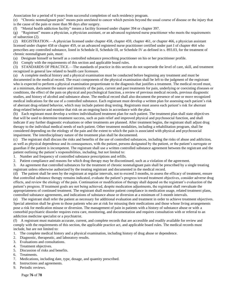Association for a period of 6 years from successful completion of such residency program.

(e) "Chronic nonmalignant pain" means pain unrelated to cancer which persists beyond the usual course of disease or the injury that is the cause of the pain or more than 90 days after surgery.

(f) "Mental health addiction facility" means a facility licensed under chapter 394 or chapter 397.

(g) "Registrant" means a physician, a physician assistant, or an advanced registered nurse practitioner who meets the requirements of subsection (2).

(2) REGISTRATION.—A physician licensed under chapter 458, chapter 459, chapter 461, or chapter 466, a physician assistant licensed under chapter 458 or chapter 459, or an advanced registered nurse practitioner certified under part I of chapter 464 who prescribes any controlled substance, listed in Schedule II, Schedule III, or Schedule IV as defined in s. 893.03, for the treatment of chronic nonmalignant pain, must:

(a) Designate himself or herself as a controlled substance prescribing practitioner on his or her practitioner profile.

(b) Comply with the requirements of this section and applicable board rules.

(3) STANDARDS OF PRACTICE.—The standards of practice in this section do not supersede the level of care, skill, and treatment recognized in general law related to health care licensure.

(a) A complete medical history and a physical examination must be conducted before beginning any treatment and must be documented in the medical record. The exact components of the physical examination shall be left to the judgment of the registrant who is expected to perform a physical examination proportionate to the diagnosis that justifies a treatment. The medical record must, at a minimum, document the nature and intensity of the pain, current and past treatments for pain, underlying or coexisting diseases or conditions, the effect of the pain on physical and psychological function, a review of previous medical records, previous diagnostic studies, and history of alcohol and substance abuse. The medical record shall also document the presence of one or more recognized medical indications for the use of a controlled substance. Each registrant must develop a written plan for assessing each patient's risk of aberrant drug-related behavior, which may include patient drug testing. Registrants must assess each patient's risk for aberrant drug-related behavior and monitor that risk on an ongoing basis in accordance with the plan.

(b) Each registrant must develop a written individualized treatment plan for each patient. The treatment plan shall state objectives that will be used to determine treatment success, such as pain relief and improved physical and psychosocial function, and shall indicate if any further diagnostic evaluations or other treatments are planned. After treatment begins, the registrant shall adjust drug therapy to the individual medical needs of each patient. Other treatment modalities, including a rehabilitation program, shall be considered depending on the etiology of the pain and the extent to which the pain is associated with physical and psychosocial impairment. The interdisciplinary nature of the treatment plan shall be documented.

(c) The registrant shall discuss the risks and benefits of the use of controlled substances, including the risks of abuse and addiction, as well as physical dependence and its consequences, with the patient, persons designated by the patient, or the patient's surrogate or guardian if the patient is incompetent. The registrant shall use a written controlled substance agreement between the registrant and the patient outlining the patient's responsibilities, including, but not limited to:

1. Number and frequency of controlled substance prescriptions and refills.

2. Patient compliance and reasons for which drug therapy may be discontinued, such as a violation of the agreement.

3. An agreement that controlled substances for the treatment of chronic nonmalignant pain shall be prescribed by a single treating registrant unless otherwise authorized by the treating registrant and documented in the medical record.

(d) The patient shall be seen by the registrant at regular intervals, not to exceed 3 months, to assess the efficacy of treatment, ensure that controlled substance therapy remains indicated, evaluate the patient's progress toward treatment objectives, consider adverse drug effects, and review the etiology of the pain. Continuation or modification of therapy shall depend on the registrant's evaluation of the patient's progress. If treatment goals are not being achieved, despite medication adjustments, the registrant shall reevaluate the appropriateness of continued treatment. The registrant shall monitor patient compliance in medication usage, related treatment plans, controlled substance agreements, and indications of substance abuse or diversion at a minimum of 3-month intervals.

(e) The registrant shall refer the patient as necessary for additional evaluation and treatment in order to achieve treatment objectives. Special attention shall be given to those patients who are at risk for misusing their medications and those whose living arrangements pose a risk for medication misuse or diversion. The management of pain in patients with a history of substance abuse or with a comorbid psychiatric disorder requires extra care, monitoring, and documentation and requires consultation with or referral to an addiction medicine specialist or a psychiatrist.

(f) A registrant must maintain accurate, current, and complete records that are accessible and readily available for review and comply with the requirements of this section, the applicable practice act, and applicable board rules. The medical records must include, but are not limited to:

- 1. The complete medical history and a physical examination, including history of drug abuse or dependence.
- 2. Diagnostic, therapeutic, and laboratory results.
- 3. Evaluations and consultations.
- 4. Treatment objectives.
- 5. Discussion of risks and benefits.
- 6. Treatments.
- 7. Medications, including date, type, dosage, and quantity prescribed.
- 8. Instructions and agreements.
- 9. Periodic reviews.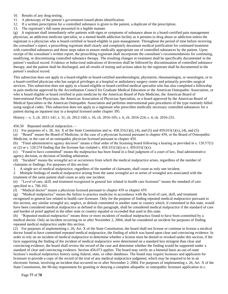- 10. Results of any drug testing.
- 11. A photocopy of the patient's government-issued photo identification.
- 12. If a written prescription for a controlled substance is given to the patient, a duplicate of the prescription.
- 13. The registrant's full name presented in a legible manner.

(g) A registrant shall immediately refer patients with signs or symptoms of substance abuse to a board-certified pain management physician, an addiction medicine specialist, or a mental health addiction facility as it pertains to drug abuse or addiction unless the registrant is a physician who is board-certified or board-eligible in pain management. Throughout the period of time before receiving the consultant's report, a prescribing registrant shall clearly and completely document medical justification for continued treatment with controlled substances and those steps taken to ensure medically appropriate use of controlled substances by the patient. Upon receipt of the consultant's written report, the prescribing registrant shall incorporate the consultant's recommendations for continuing, modifying, or discontinuing controlled substance therapy. The resulting changes in treatment shall be specifically documented in the patient's medical record. Evidence or behavioral indications of diversion shall be followed by discontinuation of controlled substance therapy, and the patient shall be discharged, and all results of testing and actions taken by the registrant shall be documented in the patient's medical record.

This subsection does not apply to a board-eligible or board-certified anesthesiologist, physiatrist, rheumatologist, or neurologist, or to a board-certified physician who has surgical privileges at a hospital or ambulatory surgery center and primarily provides surgical services. This subsection does not apply to a board-eligible or board-certified medical specialist who has also completed a fellowship in pain medicine approved by the Accreditation Council for Graduate Medical Education or the American Osteopathic Association, or who is board eligible or board certified in pain medicine by the American Board of Pain Medicine, the American Board of Interventional Pain Physicians, the American Association of Physician Specialists, or a board approved by the American Board of Medical Specialties or the American Osteopathic Association and performs interventional pain procedures of the type routinely billed using surgical codes. This subsection does not apply to a registrant who prescribes medically necessary controlled substances for a patient during an inpatient stay in a hospital licensed under chapter 395.

History.—s. 3, ch. 2011-141; s. 31, ch. 2012-160; s. 16, ch. 2016-105; s. 6, ch. 2016-224; s. 4, ch. 2016-231.

456.50 Repeated medical malpractice.—

(1) For purposes of s. 26, Art. X of the State Constitution and ss.  $458.331(1)(t)$ , (4), and (5) and  $459.015(1)(x)$ , (4), and (5):

(a) "Board" means the Board of Medicine, in the case of a physician licensed pursuant to chapter 458, or the Board of Osteopathic Medicine, in the case of an osteopathic physician licensed pursuant to chapter 459.

(b) "Final administrative agency decision" means a final order of the licensing board following a hearing as provided in s. 120.57(1) or (2) or s. 120.574 finding that the licensee has violated s.  $458.331(1)(t)$  or s.  $459.015(1)(x)$ .

(c) "Found to have committed" means the malpractice has been found in a final judgment of a court of law, final administrative agency decision, or decision of binding arbitration.

(d) "Incident" means the wrongful act or occurrence from which the medical malpractice arises, regardless of the number of claimants or findings. For purposes of this section:

1. A single act of medical malpractice, regardless of the number of claimants, shall count as only one incident.

2. Multiple findings of medical malpractice arising from the same wrongful act or series of wrongful acts associated with the treatment of the same patient shall count as only one incident.

(e) "Level of care, skill, and treatment recognized in general law related to health care licensure" means the standard of care specified in s. 766.102.

(f) "Medical doctor" means a physician licensed pursuant to chapter 458 or chapter 459.

(g) "Medical malpractice" means the failure to practice medicine in accordance with the level of care, skill, and treatment recognized in general law related to health care licensure. Only for the purpose of finding repeated medical malpractice pursuant to this section, any similar wrongful act, neglect, or default committed in another state or country which, if committed in this state, would have been considered medical malpractice as defined in this paragraph, shall be considered medical malpractice if the standard of care and burden of proof applied in the other state or country equaled or exceeded that used in this state.

(h) "Repeated medical malpractice" means three or more incidents of medical malpractice found to have been committed by a medical doctor. Only an incident occurring on or after November 2, 2004, shall be considered an incident for purposes of finding repeated medical malpractice under this section.

(2) For purposes of implementing s. 26, Art. X of the State Constitution, the board shall not license or continue to license a medical doctor found to have committed repeated medical malpractice, the finding of which was based upon clear and convincing evidence. In order to rely on an incident of medical malpractice to determine whether a license must be denied or revoked under this section, if the facts supporting the finding of the incident of medical malpractice were determined on a standard less stringent than clear and convincing evidence, the board shall review the record of the case and determine whether the finding would be supported under a standard of clear and convincing evidence. Section 456.073 applies. The board may verify on a biennial basis an out-of-state licensee's medical malpractice history using federal, state, or other databases. The board may require licensees and applicants for licensure to provide a copy of the record of the trial of any medical malpractice judgment, which may be required to be in an electronic format, involving an incident that occurred on or after November 2, 2004. For purposes of implementing s. 26, Art. X of the State Constitution, the 90-day requirement for granting or denying a complete allopathic or osteopathic licensure application in s.